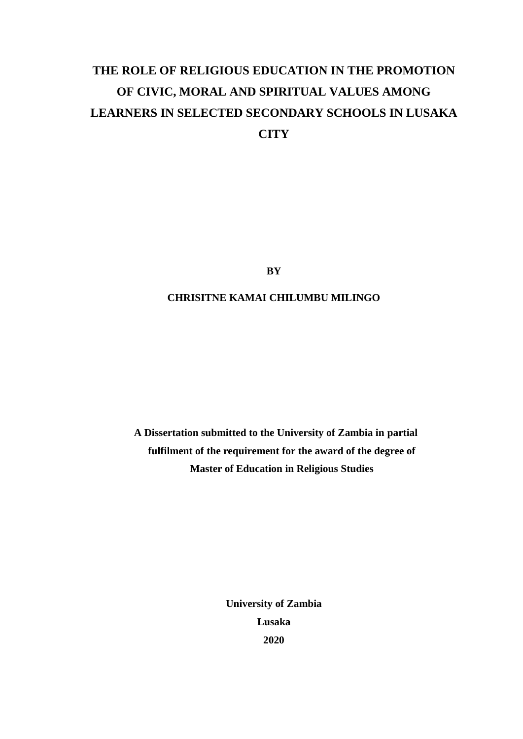# **THE ROLE OF RELIGIOUS EDUCATION IN THE PROMOTION OF CIVIC, MORAL AND SPIRITUAL VALUES AMONG LEARNERS IN SELECTED SECONDARY SCHOOLS IN LUSAKA CITY**

**BY**

### **CHRISITNE KAMAI CHILUMBU MILINGO**

**A Dissertation submitted to the University of Zambia in partial fulfilment of the requirement for the award of the degree of Master of Education in Religious Studies**

> **University of Zambia Lusaka 2020**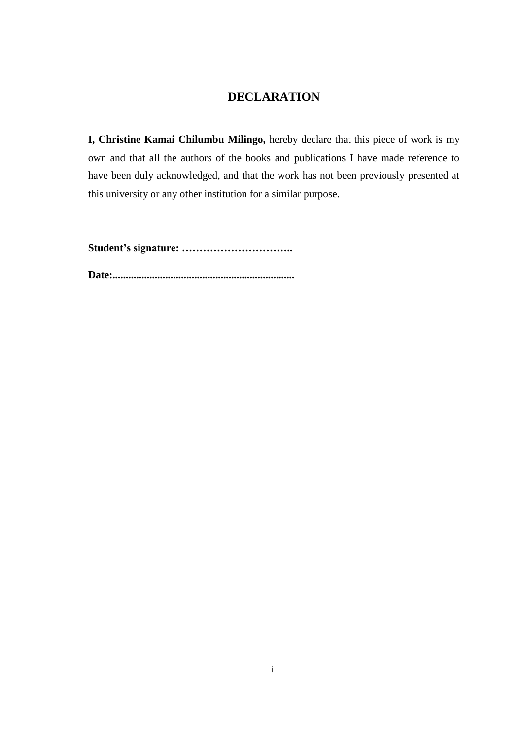## **DECLARATION**

<span id="page-1-0"></span>**I, Christine Kamai Chilumbu Milingo,** hereby declare that this piece of work is my own and that all the authors of the books and publications I have made reference to have been duly acknowledged, and that the work has not been previously presented at this university or any other institution for a similar purpose.

**Student's signature: …………………………..** 

**Date:.....................................................................**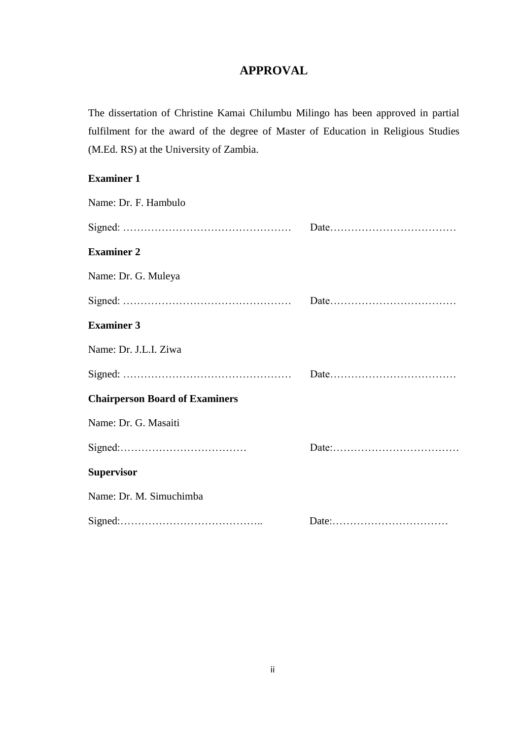# **APPROVAL**

<span id="page-2-0"></span>The dissertation of Christine Kamai Chilumbu Milingo has been approved in partial fulfilment for the award of the degree of Master of Education in Religious Studies (M.Ed. RS) at the University of Zambia.

### **Examiner 1**

| Name: Dr. F. Hambulo                  |  |
|---------------------------------------|--|
|                                       |  |
| <b>Examiner 2</b>                     |  |
| Name: Dr. G. Muleya                   |  |
|                                       |  |
| <b>Examiner 3</b>                     |  |
| Name: Dr. J.L.I. Ziwa                 |  |
|                                       |  |
| <b>Chairperson Board of Examiners</b> |  |
| Name: Dr. G. Masaiti                  |  |
|                                       |  |
| <b>Supervisor</b>                     |  |
| Name: Dr. M. Simuchimba               |  |
|                                       |  |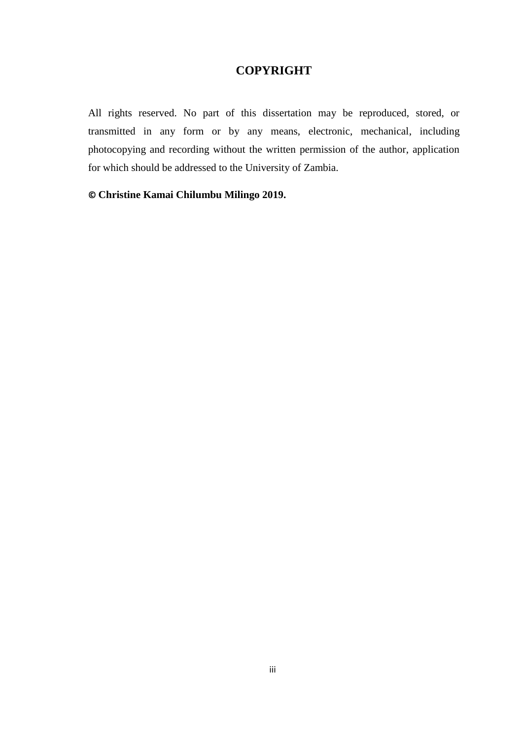### **COPYRIGHT**

<span id="page-3-0"></span>All rights reserved. No part of this dissertation may be reproduced, stored, or transmitted in any form or by any means, electronic, mechanical, including photocopying and recording without the written permission of the author, application for which should be addressed to the University of Zambia.

**© Christine Kamai Chilumbu Milingo 2019.**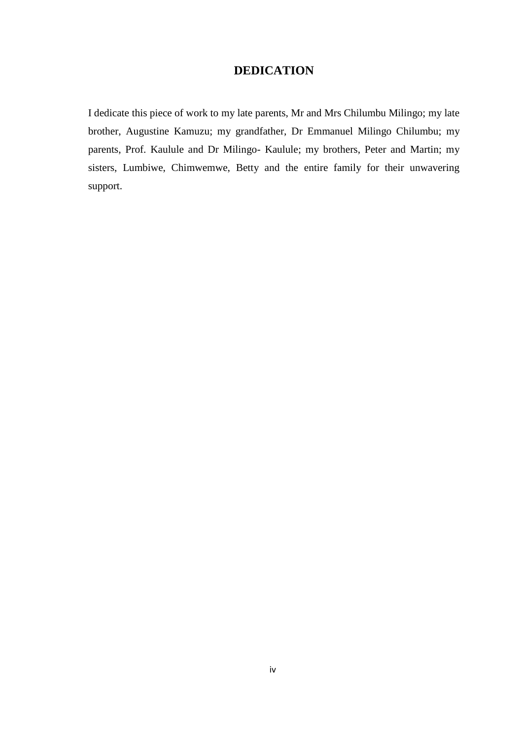### **DEDICATION**

<span id="page-4-0"></span>I dedicate this piece of work to my late parents, Mr and Mrs Chilumbu Milingo; my late brother, Augustine Kamuzu; my grandfather, Dr Emmanuel Milingo Chilumbu; my parents, Prof. Kaulule and Dr Milingo- Kaulule; my brothers, Peter and Martin; my sisters, Lumbiwe, Chimwemwe, Betty and the entire family for their unwavering support.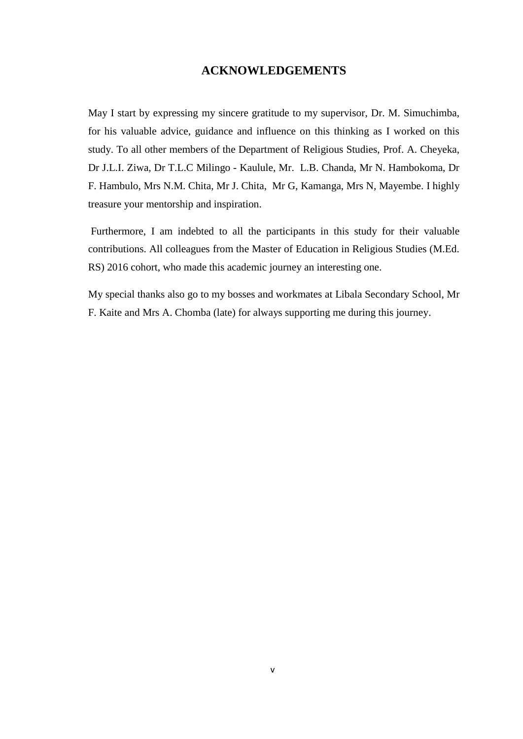### **ACKNOWLEDGEMENTS**

<span id="page-5-0"></span>May I start by expressing my sincere gratitude to my supervisor, Dr. M. Simuchimba, for his valuable advice, guidance and influence on this thinking as I worked on this study. To all other members of the Department of Religious Studies, Prof. A. Cheyeka, Dr J.L.I. Ziwa, Dr T.L.C Milingo - Kaulule, Mr. L.B. Chanda, Mr N. Hambokoma, Dr F. Hambulo, Mrs N.M. Chita, Mr J. Chita, Mr G, Kamanga, Mrs N, Mayembe. I highly treasure your mentorship and inspiration.

Furthermore, I am indebted to all the participants in this study for their valuable contributions. All colleagues from the Master of Education in Religious Studies (M.Ed. RS) 2016 cohort, who made this academic journey an interesting one.

My special thanks also go to my bosses and workmates at Libala Secondary School, Mr F. Kaite and Mrs A. Chomba (late) for always supporting me during this journey.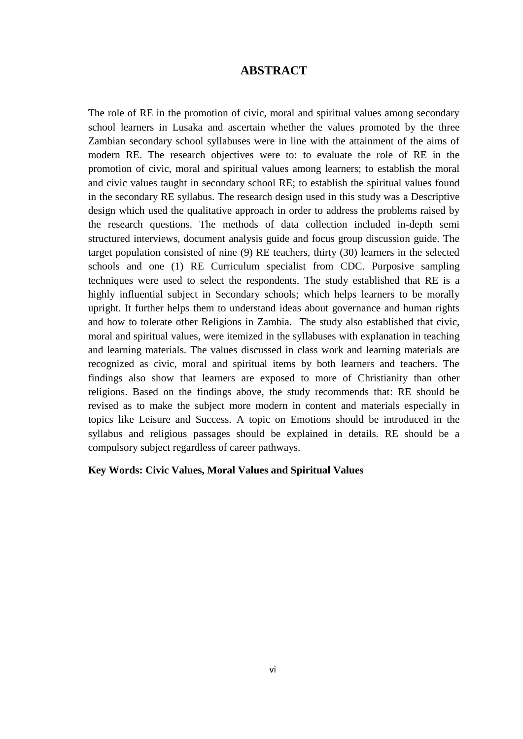### **ABSTRACT**

<span id="page-6-0"></span>The role of RE in the promotion of civic, moral and spiritual values among secondary school learners in Lusaka and ascertain whether the values promoted by the three Zambian secondary school syllabuses were in line with the attainment of the aims of modern RE. The research objectives were to: to evaluate the role of RE in the promotion of civic, moral and spiritual values among learners; to establish the moral and civic values taught in secondary school RE; to establish the spiritual values found in the secondary RE syllabus. The research design used in this study was a Descriptive design which used the qualitative approach in order to address the problems raised by the research questions. The methods of data collection included in-depth semi structured interviews, document analysis guide and focus group discussion guide. The target population consisted of nine (9) RE teachers, thirty (30) learners in the selected schools and one (1) RE Curriculum specialist from CDC. Purposive sampling techniques were used to select the respondents. The study established that RE is a highly influential subject in Secondary schools; which helps learners to be morally upright. It further helps them to understand ideas about governance and human rights and how to tolerate other Religions in Zambia. The study also established that civic, moral and spiritual values, were itemized in the syllabuses with explanation in teaching and learning materials. The values discussed in class work and learning materials are recognized as civic, moral and spiritual items by both learners and teachers. The findings also show that learners are exposed to more of Christianity than other religions. Based on the findings above, the study recommends that: RE should be revised as to make the subject more modern in content and materials especially in topics like Leisure and Success. A topic on Emotions should be introduced in the syllabus and religious passages should be explained in details. RE should be a compulsory subject regardless of career pathways.

#### **Key Words: Civic Values, Moral Values and Spiritual Values**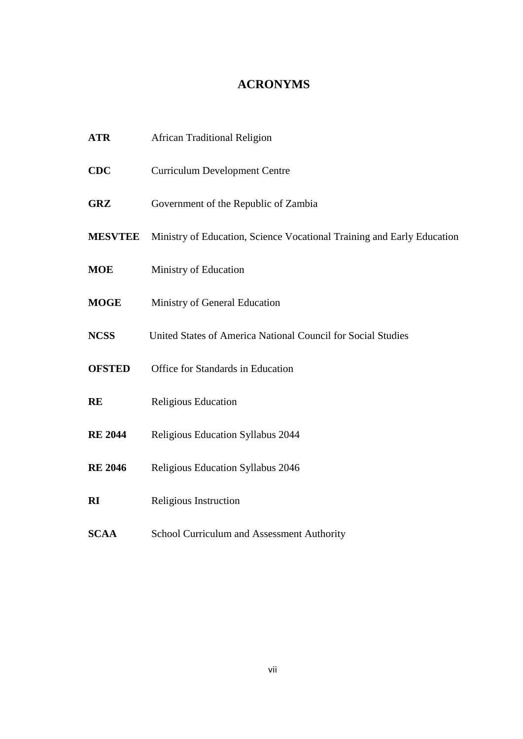# **ACRONYMS**

<span id="page-7-0"></span>

| <b>ATR</b>     | <b>African Traditional Religion</b>                                    |  |  |  |  |
|----------------|------------------------------------------------------------------------|--|--|--|--|
| <b>CDC</b>     | <b>Curriculum Development Centre</b>                                   |  |  |  |  |
| <b>GRZ</b>     | Government of the Republic of Zambia                                   |  |  |  |  |
| <b>MESVTEE</b> | Ministry of Education, Science Vocational Training and Early Education |  |  |  |  |
| <b>MOE</b>     | Ministry of Education                                                  |  |  |  |  |
| <b>MOGE</b>    | Ministry of General Education                                          |  |  |  |  |
| <b>NCSS</b>    | United States of America National Council for Social Studies           |  |  |  |  |
| <b>OFSTED</b>  | Office for Standards in Education                                      |  |  |  |  |
| <b>RE</b>      | Religious Education                                                    |  |  |  |  |
| <b>RE 2044</b> | Religious Education Syllabus 2044                                      |  |  |  |  |
| <b>RE 2046</b> | Religious Education Syllabus 2046                                      |  |  |  |  |
| <b>RI</b>      | Religious Instruction                                                  |  |  |  |  |
| <b>SCAA</b>    | School Curriculum and Assessment Authority                             |  |  |  |  |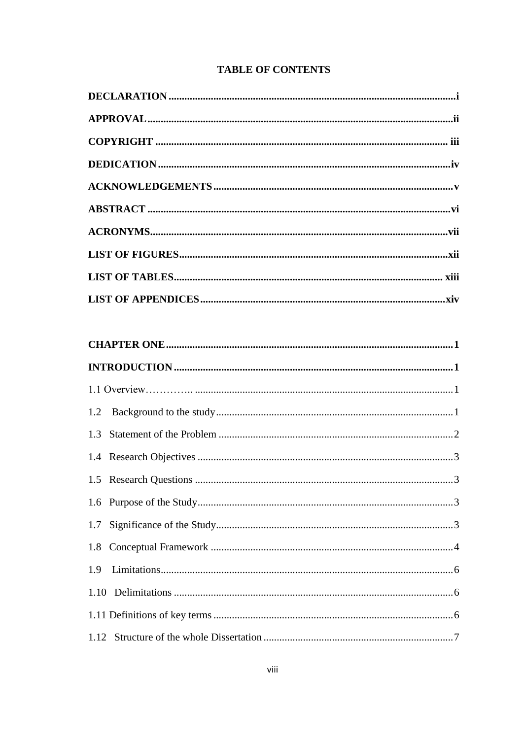# **TABLE OF CONTENTS**

| 1.3 |  |  |  |
|-----|--|--|--|
|     |  |  |  |
|     |  |  |  |
|     |  |  |  |
|     |  |  |  |
|     |  |  |  |
| 1.9 |  |  |  |
|     |  |  |  |
|     |  |  |  |
|     |  |  |  |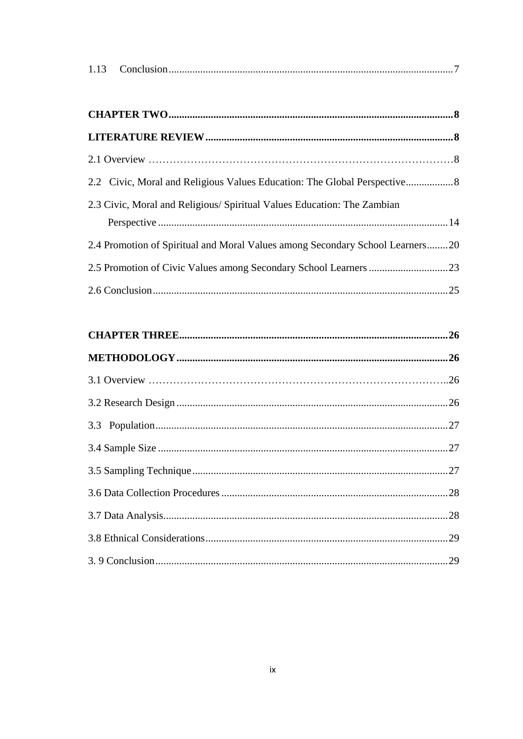| 1.13 |  |  |
|------|--|--|
|------|--|--|

| 2.2 Civic, Moral and Religious Values Education: The Global Perspective       |  |
|-------------------------------------------------------------------------------|--|
| 2.3 Civic, Moral and Religious/ Spiritual Values Education: The Zambian       |  |
|                                                                               |  |
| 2.4 Promotion of Spiritual and Moral Values among Secondary School Learners20 |  |
| 2.5 Promotion of Civic Values among Secondary School Learners 23              |  |
|                                                                               |  |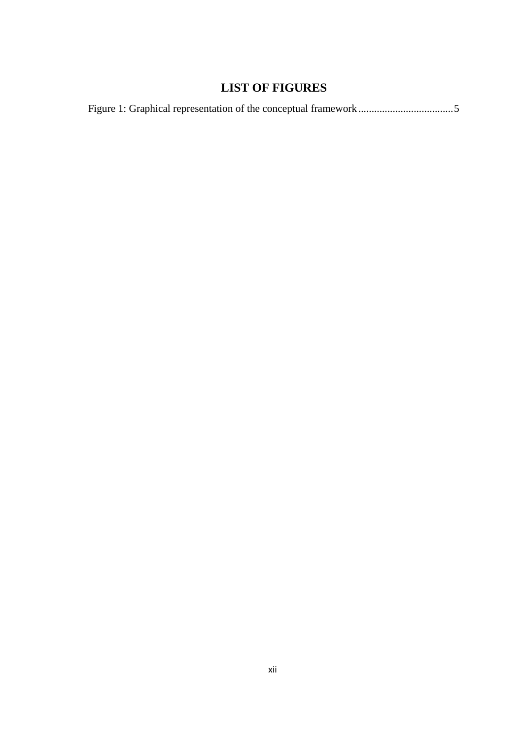# **LIST OF FIGURES**

<span id="page-12-0"></span>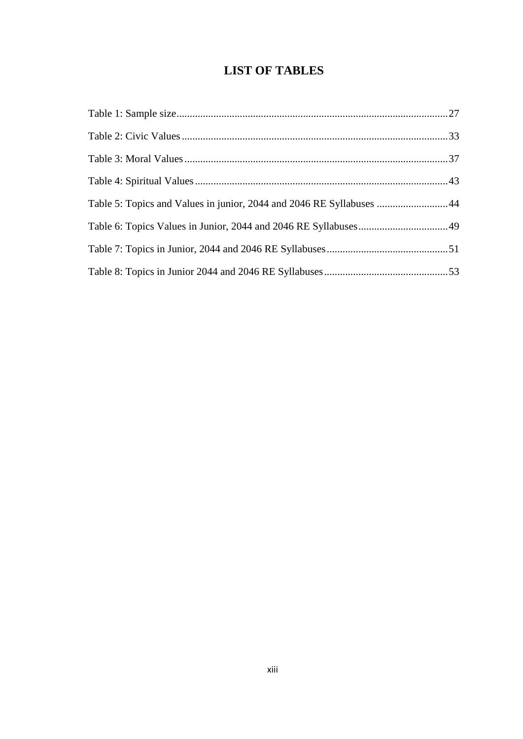# **LIST OF TABLES**

<span id="page-13-0"></span>

| Table 5: Topics and Values in junior, 2044 and 2046 RE Syllabuses 44 |  |
|----------------------------------------------------------------------|--|
|                                                                      |  |
|                                                                      |  |
|                                                                      |  |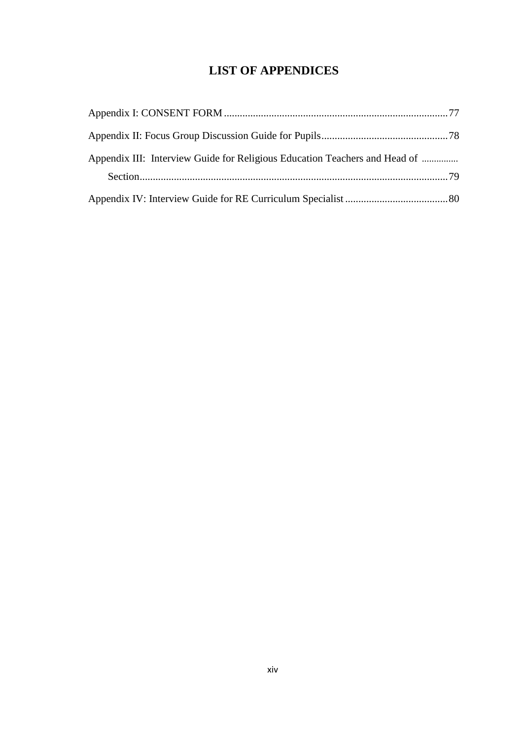# **LIST OF APPENDICES**

<span id="page-14-0"></span>

| Appendix III: Interview Guide for Religious Education Teachers and Head of |  |
|----------------------------------------------------------------------------|--|
|                                                                            |  |
|                                                                            |  |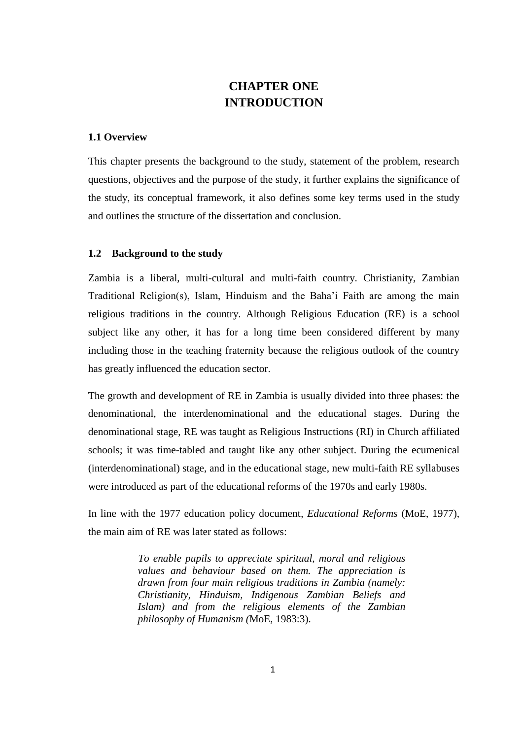# **CHAPTER ONE INTRODUCTION**

#### <span id="page-15-2"></span><span id="page-15-1"></span><span id="page-15-0"></span>**1.1 Overview**

This chapter presents the background to the study, statement of the problem, research questions, objectives and the purpose of the study, it further explains the significance of the study, its conceptual framework, it also defines some key terms used in the study and outlines the structure of the dissertation and conclusion.

#### <span id="page-15-3"></span>**1.2 Background to the study**

Zambia is a liberal, multi-cultural and multi-faith country. Christianity, Zambian Traditional Religion(s), Islam, Hinduism and the Baha"i Faith are among the main religious traditions in the country. Although Religious Education (RE) is a school subject like any other, it has for a long time been considered different by many including those in the teaching fraternity because the religious outlook of the country has greatly influenced the education sector.

The growth and development of RE in Zambia is usually divided into three phases: the denominational, the interdenominational and the educational stages. During the denominational stage, RE was taught as Religious Instructions (RI) in Church affiliated schools; it was time-tabled and taught like any other subject. During the ecumenical (interdenominational) stage, and in the educational stage, new multi-faith RE syllabuses were introduced as part of the educational reforms of the 1970s and early 1980s.

In line with the 1977 education policy document, *Educational Reforms* (MoE, 1977), the main aim of RE was later stated as follows:

> *To enable pupils to appreciate spiritual, moral and religious values and behaviour based on them. The appreciation is drawn from four main religious traditions in Zambia (namely: Christianity, Hinduism, Indigenous Zambian Beliefs and Islam) and from the religious elements of the Zambian philosophy of Humanism (*MoE, 1983:3).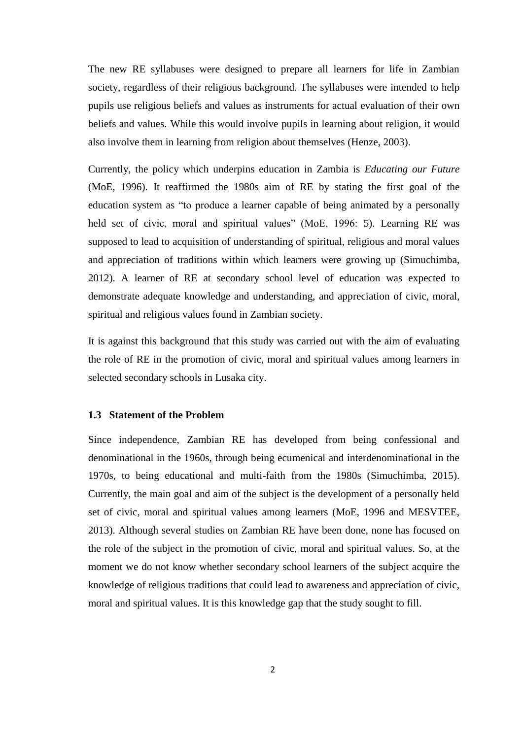The new RE syllabuses were designed to prepare all learners for life in Zambian society, regardless of their religious background. The syllabuses were intended to help pupils use religious beliefs and values as instruments for actual evaluation of their own beliefs and values. While this would involve pupils in learning about religion, it would also involve them in learning from religion about themselves (Henze, 2003).

Currently, the policy which underpins education in Zambia is *Educating our Future* (MoE, 1996). It reaffirmed the 1980s aim of RE by stating the first goal of the education system as "to produce a learner capable of being animated by a personally held set of civic, moral and spiritual values" (MoE, 1996: 5). Learning RE was supposed to lead to acquisition of understanding of spiritual, religious and moral values and appreciation of traditions within which learners were growing up (Simuchimba, 2012). A learner of RE at secondary school level of education was expected to demonstrate adequate knowledge and understanding, and appreciation of civic, moral, spiritual and religious values found in Zambian society.

It is against this background that this study was carried out with the aim of evaluating the role of RE in the promotion of civic, moral and spiritual values among learners in selected secondary schools in Lusaka city.

#### <span id="page-16-0"></span>**1.3 Statement of the Problem**

Since independence, Zambian RE has developed from being confessional and denominational in the 1960s, through being ecumenical and interdenominational in the 1970s, to being educational and multi-faith from the 1980s (Simuchimba, 2015). Currently, the main goal and aim of the subject is the development of a personally held set of civic, moral and spiritual values among learners (MoE, 1996 and MESVTEE, 2013). Although several studies on Zambian RE have been done, none has focused on the role of the subject in the promotion of civic, moral and spiritual values. So, at the moment we do not know whether secondary school learners of the subject acquire the knowledge of religious traditions that could lead to awareness and appreciation of civic, moral and spiritual values. It is this knowledge gap that the study sought to fill.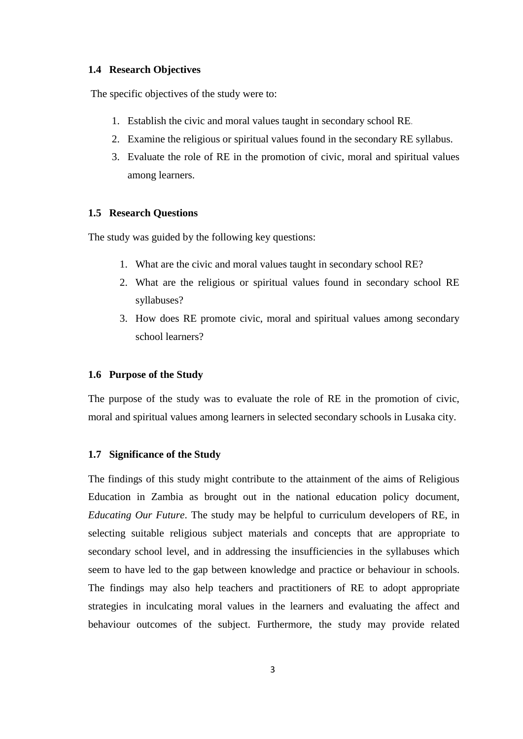#### <span id="page-17-0"></span>**1.4 Research Objectives**

The specific objectives of the study were to:

- 1. Establish the civic and moral values taught in secondary school RE.
- 2. Examine the religious or spiritual values found in the secondary RE syllabus.
- 3. Evaluate the role of RE in the promotion of civic, moral and spiritual values among learners.

#### <span id="page-17-1"></span>**1.5 Research Questions**

The study was guided by the following key questions:

- 1. What are the civic and moral values taught in secondary school RE?
- 2. What are the religious or spiritual values found in secondary school RE syllabuses?
- 3. How does RE promote civic, moral and spiritual values among secondary school learners?

#### <span id="page-17-2"></span>**1.6 Purpose of the Study**

The purpose of the study was to evaluate the role of RE in the promotion of civic, moral and spiritual values among learners in selected secondary schools in Lusaka city.

#### <span id="page-17-3"></span>**1.7 Significance of the Study**

The findings of this study might contribute to the attainment of the aims of Religious Education in Zambia as brought out in the national education policy document, *Educating Our Future*. The study may be helpful to curriculum developers of RE, in selecting suitable religious subject materials and concepts that are appropriate to secondary school level, and in addressing the insufficiencies in the syllabuses which seem to have led to the gap between knowledge and practice or behaviour in schools. The findings may also help teachers and practitioners of RE to adopt appropriate strategies in inculcating moral values in the learners and evaluating the affect and behaviour outcomes of the subject. Furthermore, the study may provide related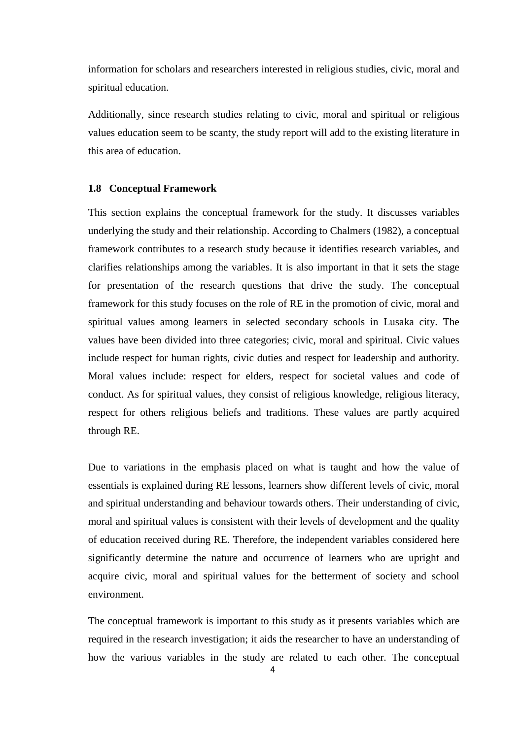information for scholars and researchers interested in religious studies, civic, moral and spiritual education.

Additionally, since research studies relating to civic, moral and spiritual or religious values education seem to be scanty, the study report will add to the existing literature in this area of education.

#### <span id="page-18-0"></span>**1.8 Conceptual Framework**

This section explains the conceptual framework for the study. It discusses variables underlying the study and their relationship. According to Chalmers (1982), a conceptual framework contributes to a research study because it identifies research variables, and clarifies relationships among the variables. It is also important in that it sets the stage for presentation of the research questions that drive the study. The conceptual framework for this study focuses on the role of RE in the promotion of civic, moral and spiritual values among learners in selected secondary schools in Lusaka city. The values have been divided into three categories; civic, moral and spiritual. Civic values include respect for human rights, civic duties and respect for leadership and authority. Moral values include: respect for elders, respect for societal values and code of conduct. As for spiritual values, they consist of religious knowledge, religious literacy, respect for others religious beliefs and traditions. These values are partly acquired through RE.

Due to variations in the emphasis placed on what is taught and how the value of essentials is explained during RE lessons, learners show different levels of civic, moral and spiritual understanding and behaviour towards others. Their understanding of civic, moral and spiritual values is consistent with their levels of development and the quality of education received during RE. Therefore, the independent variables considered here significantly determine the nature and occurrence of learners who are upright and acquire civic, moral and spiritual values for the betterment of society and school environment.

The conceptual framework is important to this study as it presents variables which are required in the research investigation; it aids the researcher to have an understanding of how the various variables in the study are related to each other. The conceptual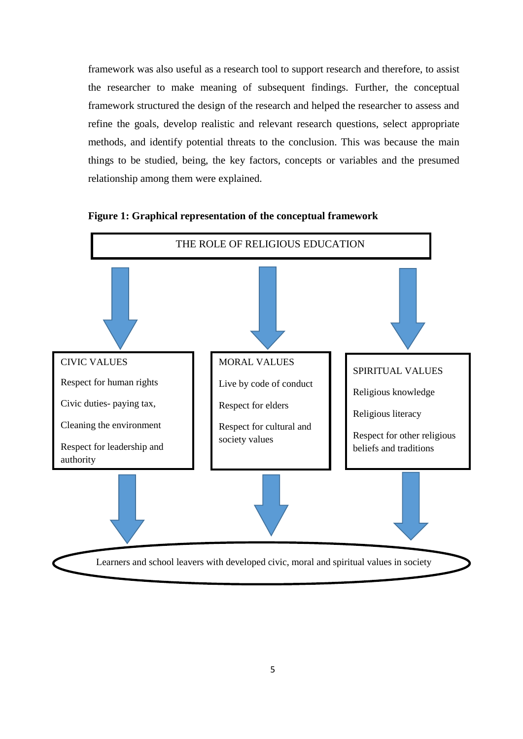framework was also useful as a research tool to support research and therefore, to assist the researcher to make meaning of subsequent findings. Further, the conceptual framework structured the design of the research and helped the researcher to assess and refine the goals, develop realistic and relevant research questions, select appropriate methods, and identify potential threats to the conclusion. This was because the main things to be studied, being, the key factors, concepts or variables and the presumed relationship among them were explained.



### <span id="page-19-0"></span>**Figure 1: Graphical representation of the conceptual framework**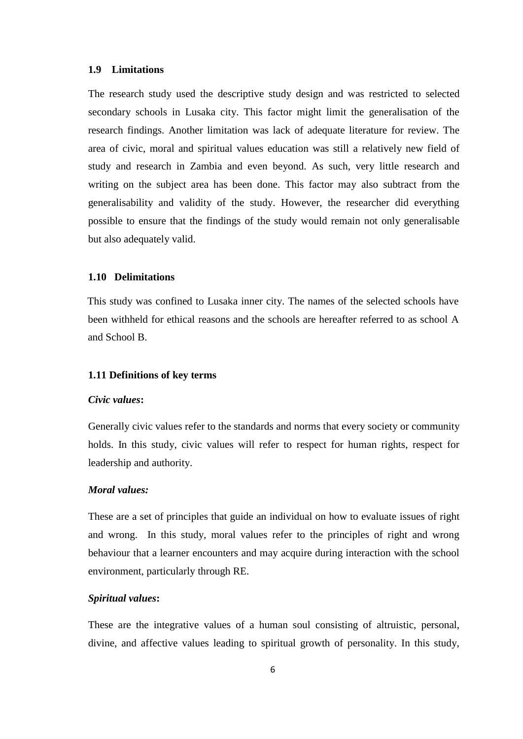#### <span id="page-20-0"></span>**1.9 Limitations**

The research study used the descriptive study design and was restricted to selected secondary schools in Lusaka city. This factor might limit the generalisation of the research findings. Another limitation was lack of adequate literature for review. The area of civic, moral and spiritual values education was still a relatively new field of study and research in Zambia and even beyond. As such, very little research and writing on the subject area has been done. This factor may also subtract from the generalisability and validity of the study. However, the researcher did everything possible to ensure that the findings of the study would remain not only generalisable but also adequately valid.

#### <span id="page-20-1"></span>**1.10 Delimitations**

This study was confined to Lusaka inner city. The names of the selected schools have been withheld for ethical reasons and the schools are hereafter referred to as school A and School B.

#### <span id="page-20-2"></span>**1.11 Definitions of key terms**

#### *Civic values***:**

Generally civic values refer to the standards and norms that every society or community holds. In this study, civic values will refer to respect for human rights, respect for leadership and authority.

#### *Moral values:*

These are a set of principles that guide an individual on how to evaluate issues of right and wrong. In this study, moral values refer to the principles of right and wrong behaviour that a learner encounters and may acquire during interaction with the school environment, particularly through RE.

#### *Spiritual values***:**

These are the integrative values of a human soul consisting of altruistic, personal, divine, and affective values leading to spiritual growth of personality. In this study,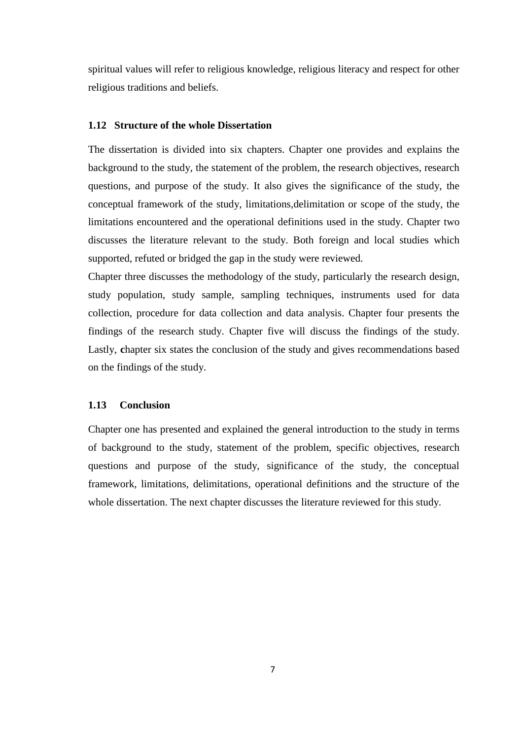spiritual values will refer to religious knowledge, religious literacy and respect for other religious traditions and beliefs.

#### <span id="page-21-0"></span>**1.12 Structure of the whole Dissertation**

The dissertation is divided into six chapters. Chapter one provides and explains the background to the study, the statement of the problem, the research objectives, research questions, and purpose of the study. It also gives the significance of the study, the conceptual framework of the study, limitations,delimitation or scope of the study, the limitations encountered and the operational definitions used in the study. Chapter two discusses the literature relevant to the study. Both foreign and local studies which supported, refuted or bridged the gap in the study were reviewed.

Chapter three discusses the methodology of the study, particularly the research design, study population, study sample, sampling techniques, instruments used for data collection, procedure for data collection and data analysis. Chapter four presents the findings of the research study. Chapter five will discuss the findings of the study. Lastly, chapter six states the conclusion of the study and gives recommendations based on the findings of the study.

#### <span id="page-21-1"></span>**1.13 Conclusion**

Chapter one has presented and explained the general introduction to the study in terms of background to the study, statement of the problem, specific objectives, research questions and purpose of the study, significance of the study, the conceptual framework, limitations, delimitations, operational definitions and the structure of the whole dissertation. The next chapter discusses the literature reviewed for this study.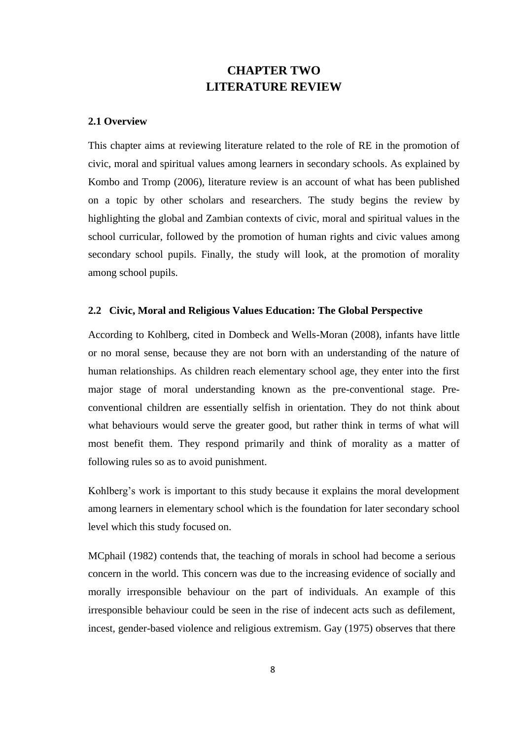# **CHAPTER TWO LITERATURE REVIEW**

#### <span id="page-22-2"></span><span id="page-22-1"></span><span id="page-22-0"></span>**2.1 Overview**

This chapter aims at reviewing literature related to the role of RE in the promotion of civic, moral and spiritual values among learners in secondary schools. As explained by Kombo and Tromp (2006), literature review is an account of what has been published on a topic by other scholars and researchers. The study begins the review by highlighting the global and Zambian contexts of civic, moral and spiritual values in the school curricular, followed by the promotion of human rights and civic values among secondary school pupils. Finally, the study will look, at the promotion of morality among school pupils.

#### <span id="page-22-3"></span>**2.2 Civic, Moral and Religious Values Education: The Global Perspective**

According to Kohlberg, cited in Dombeck and Wells-Moran (2008), infants have little or no moral sense, because they are not born with an understanding of the nature of human relationships. As children reach elementary school age, they enter into the first major stage of moral understanding known as the pre-conventional stage. Preconventional children are essentially selfish in orientation. They do not think about what behaviours would serve the greater good, but rather think in terms of what will most benefit them. They respond primarily and think of morality as a matter of following rules so as to avoid punishment.

Kohlberg's work is important to this study because it explains the moral development among learners in elementary school which is the foundation for later secondary school level which this study focused on.

MCphail (1982) contends that, the teaching of morals in school had become a serious concern in the world. This concern was due to the increasing evidence of socially and morally irresponsible behaviour on the part of individuals. An example of this irresponsible behaviour could be seen in the rise of indecent acts such as defilement, incest, gender-based violence and religious extremism. Gay (1975) observes that there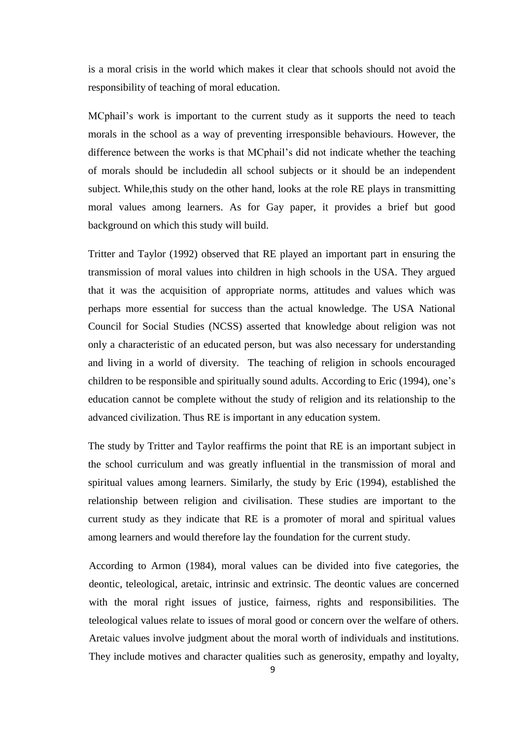is a moral crisis in the world which makes it clear that schools should not avoid the responsibility of teaching of moral education.

MCphail"s work is important to the current study as it supports the need to teach morals in the school as a way of preventing irresponsible behaviours. However, the difference between the works is that MCphail"s did not indicate whether the teaching of morals should be includedin all school subjects or it should be an independent subject. While,this study on the other hand, looks at the role RE plays in transmitting moral values among learners. As for Gay paper, it provides a brief but good background on which this study will build.

Tritter and Taylor (1992) observed that RE played an important part in ensuring the transmission of moral values into children in high schools in the USA. They argued that it was the acquisition of appropriate norms, attitudes and values which was perhaps more essential for success than the actual knowledge. The USA National Council for Social Studies (NCSS) asserted that knowledge about religion was not only a characteristic of an educated person, but was also necessary for understanding and living in a world of diversity. The teaching of religion in schools encouraged children to be responsible and spiritually sound adults. According to Eric (1994), one"s education cannot be complete without the study of religion and its relationship to the advanced civilization. Thus RE is important in any education system.

The study by Tritter and Taylor reaffirms the point that RE is an important subject in the school curriculum and was greatly influential in the transmission of moral and spiritual values among learners. Similarly, the study by Eric (1994), established the relationship between religion and civilisation. These studies are important to the current study as they indicate that RE is a promoter of moral and spiritual values among learners and would therefore lay the foundation for the current study.

According to Armon (1984), moral values can be divided into five categories, the deontic, teleological, aretaic, intrinsic and extrinsic. The deontic values are concerned with the moral right issues of justice, fairness, rights and responsibilities. The teleological values relate to issues of moral good or concern over the welfare of others. Aretaic values involve judgment about the moral worth of individuals and institutions. They include motives and character qualities such as generosity, empathy and loyalty,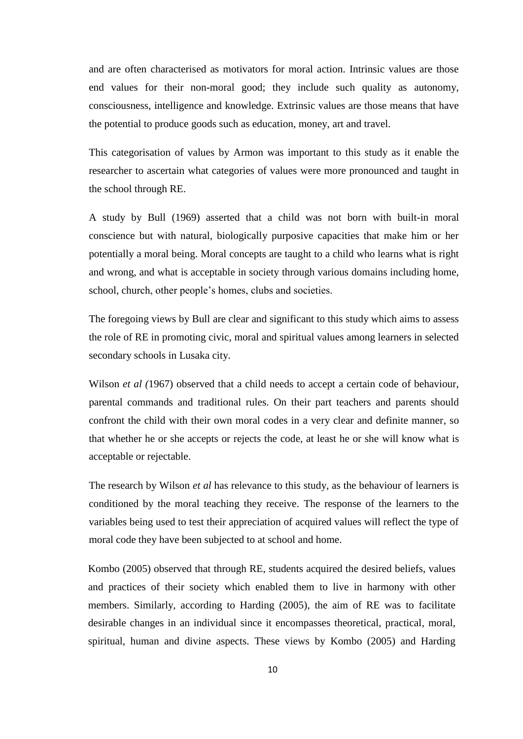and are often characterised as motivators for moral action. Intrinsic values are those end values for their non-moral good; they include such quality as autonomy, consciousness, intelligence and knowledge. Extrinsic values are those means that have the potential to produce goods such as education, money, art and travel.

This categorisation of values by Armon was important to this study as it enable the researcher to ascertain what categories of values were more pronounced and taught in the school through RE.

A study by Bull (1969) asserted that a child was not born with built-in moral conscience but with natural, biologically purposive capacities that make him or her potentially a moral being. Moral concepts are taught to a child who learns what is right and wrong, and what is acceptable in society through various domains including home, school, church, other people"s homes, clubs and societies.

The foregoing views by Bull are clear and significant to this study which aims to assess the role of RE in promoting civic, moral and spiritual values among learners in selected secondary schools in Lusaka city.

Wilson *et al* (1967) observed that a child needs to accept a certain code of behaviour, parental commands and traditional rules. On their part teachers and parents should confront the child with their own moral codes in a very clear and definite manner, so that whether he or she accepts or rejects the code, at least he or she will know what is acceptable or rejectable.

The research by Wilson *et al* has relevance to this study, as the behaviour of learners is conditioned by the moral teaching they receive. The response of the learners to the variables being used to test their appreciation of acquired values will reflect the type of moral code they have been subjected to at school and home.

Kombo (2005) observed that through RE, students acquired the desired beliefs, values and practices of their society which enabled them to live in harmony with other members. Similarly, according to Harding (2005), the aim of RE was to facilitate desirable changes in an individual since it encompasses theoretical, practical, moral, spiritual, human and divine aspects. These views by Kombo (2005) and Harding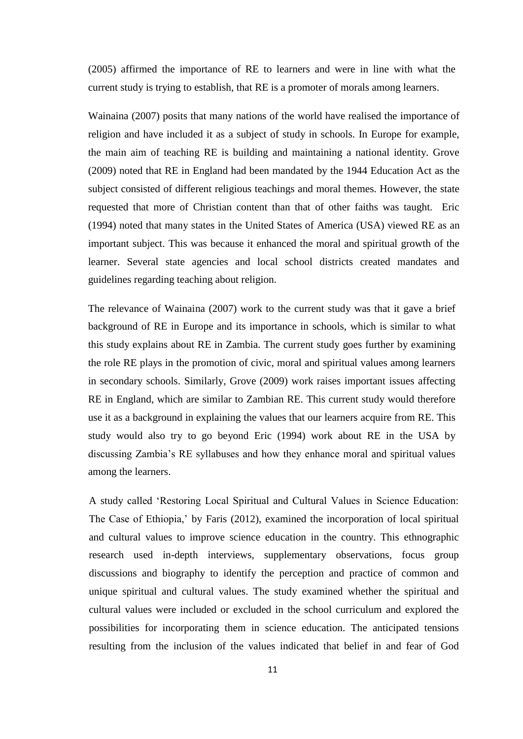(2005) affirmed the importance of RE to learners and were in line with what the current study is trying to establish, that RE is a promoter of morals among learners.

Wainaina (2007) posits that many nations of the world have realised the importance of religion and have included it as a subject of study in schools. In Europe for example, the main aim of teaching RE is building and maintaining a national identity. Grove (2009) noted that RE in England had been mandated by the 1944 Education Act as the subject consisted of different religious teachings and moral themes. However, the state requested that more of Christian content than that of other faiths was taught. Eric (1994) noted that many states in the United States of America (USA) viewed RE as an important subject. This was because it enhanced the moral and spiritual growth of the learner. Several state agencies and local school districts created mandates and guidelines regarding teaching about religion.

The relevance of Wainaina (2007) work to the current study was that it gave a brief background of RE in Europe and its importance in schools, which is similar to what this study explains about RE in Zambia. The current study goes further by examining the role RE plays in the promotion of civic, moral and spiritual values among learners in secondary schools. Similarly, Grove (2009) work raises important issues affecting RE in England, which are similar to Zambian RE. This current study would therefore use it as a background in explaining the values that our learners acquire from RE. This study would also try to go beyond Eric (1994) work about RE in the USA by discussing Zambia"s RE syllabuses and how they enhance moral and spiritual values among the learners.

A study called "Restoring Local Spiritual and Cultural Values in Science Education: The Case of Ethiopia," by Faris (2012), examined the incorporation of local spiritual and cultural values to improve science education in the country. This ethnographic research used in-depth interviews, supplementary observations, focus group discussions and biography to identify the perception and practice of common and unique spiritual and cultural values. The study examined whether the spiritual and cultural values were included or excluded in the school curriculum and explored the possibilities for incorporating them in science education. The anticipated tensions resulting from the inclusion of the values indicated that belief in and fear of God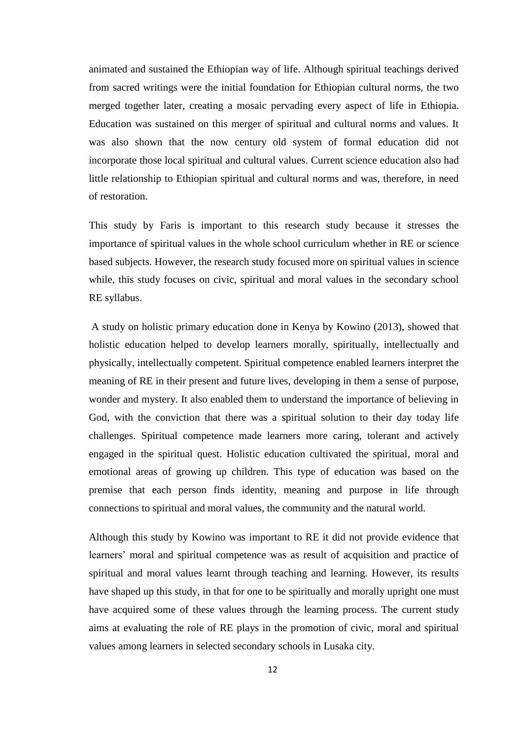animated and sustained the Ethiopian way of life. Although spiritual teachings derived from sacred writings were the initial foundation for Ethiopian cultural norms, the two merged together later, creating a mosaic pervading every aspect of life in Ethiopia. Education was sustained on this merger of spiritual and cultural norms and values. It was also shown that the now century old system of formal education did not incorporate those local spiritual and cultural values. Current science education also had little relationship to Ethiopian spiritual and cultural norms and was, therefore, in need of restoration.

This study by Faris is important to this research study because it stresses the importance of spiritual values in the whole school curriculum whether in RE or science based subjects. However, the research study focused more on spiritual values in science while, this study focuses on civic, spiritual and moral values in the secondary school RE syllabus.

A study on holistic primary education done in Kenya by Kowino (2013), showed that holistic education helped to develop learners morally, spiritually, intellectually and physically, intellectually competent. Spiritual competence enabled learners interpret the meaning of RE in their present and future lives, developing in them a sense of purpose, wonder and mystery. It also enabled them to understand the importance of believing in God, with the conviction that there was a spiritual solution to their day today life challenges. Spiritual competence made learners more caring, tolerant and actively engaged in the spiritual quest. Holistic education cultivated the spiritual, moral and emotional areas of growing up children. This type of education was based on the premise that each person finds identity, meaning and purpose in life through connections to spiritual and moral values, the community and the natural world.

Although this study by Kowino was important to RE it did not provide evidence that learners' moral and spiritual competence was as result of acquisition and practice of spiritual and moral values learnt through teaching and learning. However, its results have shaped up this study, in that for one to be spiritually and morally upright one must have acquired some of these values through the learning process. The current study aims at evaluating the role of RE plays in the promotion of civic, moral and spiritual values among learners in selected secondary schools in Lusaka city.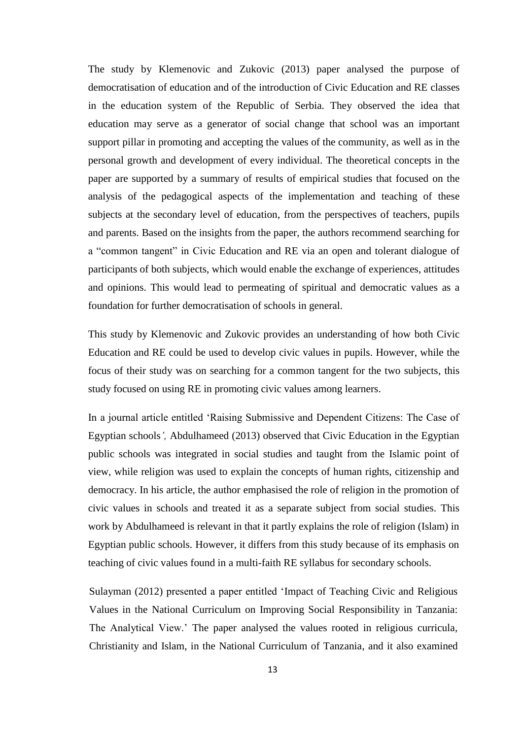The study by Klemenovic and Zukovic (2013) paper analysed the purpose of democratisation of education and of the introduction of Civic Education and RE classes in the education system of the Republic of Serbia. They observed the idea that education may serve as a generator of social change that school was an important support pillar in promoting and accepting the values of the community, as well as in the personal growth and development of every individual. The theoretical concepts in the paper are supported by a summary of results of empirical studies that focused on the analysis of the pedagogical aspects of the implementation and teaching of these subjects at the secondary level of education, from the perspectives of teachers, pupils and parents. Based on the insights from the paper, the authors recommend searching for a "common tangent" in Civic Education and RE via an open and tolerant dialogue of participants of both subjects, which would enable the exchange of experiences, attitudes and opinions. This would lead to permeating of spiritual and democratic values as a foundation for further democratisation of schools in general.

This study by Klemenovic and Zukovic provides an understanding of how both Civic Education and RE could be used to develop civic values in pupils. However, while the focus of their study was on searching for a common tangent for the two subjects, this study focused on using RE in promoting civic values among learners.

In a journal article entitled "Raising Submissive and Dependent Citizens: The Case of Egyptian schools*",* Abdulhameed (2013) observed that Civic Education in the Egyptian public schools was integrated in social studies and taught from the Islamic point of view, while religion was used to explain the concepts of human rights, citizenship and democracy. In his article, the author emphasised the role of religion in the promotion of civic values in schools and treated it as a separate subject from social studies. This work by Abdulhameed is relevant in that it partly explains the role of religion (Islam) in Egyptian public schools. However, it differs from this study because of its emphasis on teaching of civic values found in a multi-faith RE syllabus for secondary schools.

Sulayman (2012) presented a paper entitled "Impact of Teaching Civic and Religious Values in the National Curriculum on Improving Social Responsibility in Tanzania: The Analytical View." The paper analysed the values rooted in religious curricula, Christianity and Islam, in the National Curriculum of Tanzania, and it also examined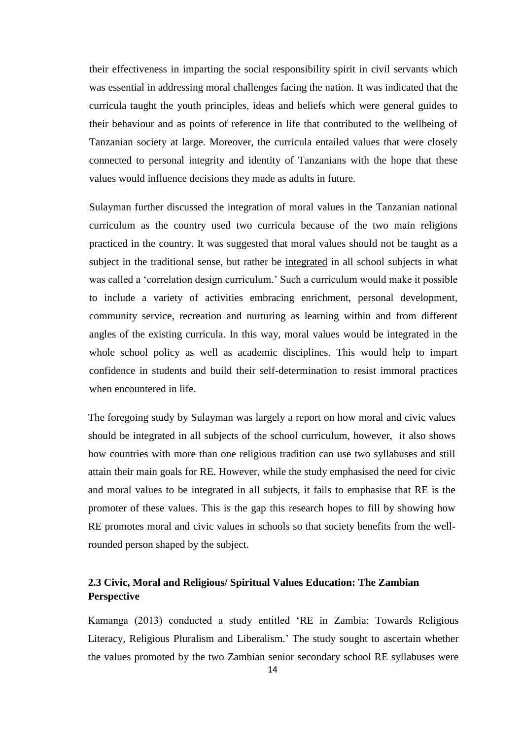their effectiveness in imparting the social responsibility spirit in civil servants which was essential in addressing moral challenges facing the nation. It was indicated that the curricula taught the youth principles, ideas and beliefs which were general guides to their behaviour and as points of reference in life that contributed to the wellbeing of Tanzanian society at large. Moreover, the curricula entailed values that were closely connected to personal integrity and identity of Tanzanians with the hope that these values would influence decisions they made as adults in future.

Sulayman further discussed the integration of moral values in the Tanzanian national curriculum as the country used two curricula because of the two main religions practiced in the country. It was suggested that moral values should not be taught as a subject in the traditional sense, but rather be integrated in all school subjects in what was called a "correlation design curriculum." Such a curriculum would make it possible to include a variety of activities embracing enrichment, personal development, community service, recreation and nurturing as learning within and from different angles of the existing curricula. In this way, moral values would be integrated in the whole school policy as well as academic disciplines. This would help to impart confidence in students and build their self-determination to resist immoral practices when encountered in life.

The foregoing study by Sulayman was largely a report on how moral and civic values should be integrated in all subjects of the school curriculum, however, it also shows how countries with more than one religious tradition can use two syllabuses and still attain their main goals for RE. However, while the study emphasised the need for civic and moral values to be integrated in all subjects, it fails to emphasise that RE is the promoter of these values. This is the gap this research hopes to fill by showing how RE promotes moral and civic values in schools so that society benefits from the wellrounded person shaped by the subject.

## <span id="page-28-0"></span>**2.3 Civic, Moral and Religious/ Spiritual Values Education: The Zambian Perspective**

Kamanga (2013) conducted a study entitled "RE in Zambia: Towards Religious Literacy, Religious Pluralism and Liberalism." The study sought to ascertain whether the values promoted by the two Zambian senior secondary school RE syllabuses were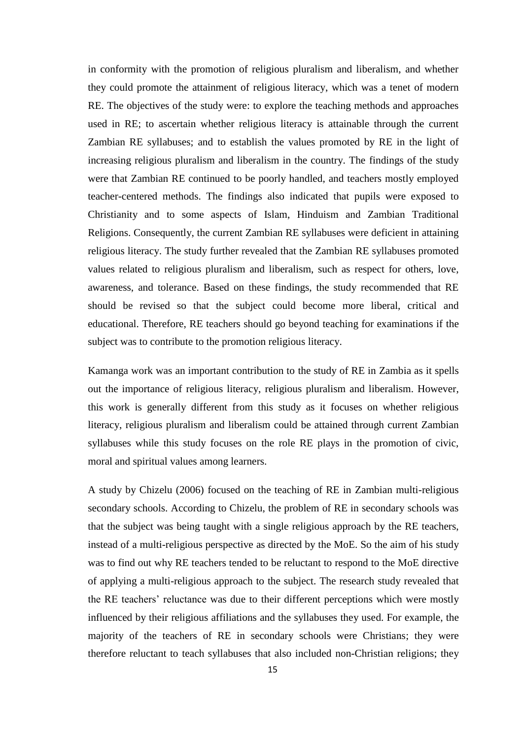in conformity with the promotion of religious pluralism and liberalism, and whether they could promote the attainment of religious literacy, which was a tenet of modern RE. The objectives of the study were: to explore the teaching methods and approaches used in RE; to ascertain whether religious literacy is attainable through the current Zambian RE syllabuses; and to establish the values promoted by RE in the light of increasing religious pluralism and liberalism in the country. The findings of the study were that Zambian RE continued to be poorly handled, and teachers mostly employed teacher-centered methods. The findings also indicated that pupils were exposed to Christianity and to some aspects of Islam, Hinduism and Zambian Traditional Religions. Consequently, the current Zambian RE syllabuses were deficient in attaining religious literacy. The study further revealed that the Zambian RE syllabuses promoted values related to religious pluralism and liberalism, such as respect for others, love, awareness, and tolerance. Based on these findings, the study recommended that RE should be revised so that the subject could become more liberal, critical and educational. Therefore, RE teachers should go beyond teaching for examinations if the subject was to contribute to the promotion religious literacy.

Kamanga work was an important contribution to the study of RE in Zambia as it spells out the importance of religious literacy, religious pluralism and liberalism. However, this work is generally different from this study as it focuses on whether religious literacy, religious pluralism and liberalism could be attained through current Zambian syllabuses while this study focuses on the role RE plays in the promotion of civic, moral and spiritual values among learners.

A study by Chizelu (2006) focused on the teaching of RE in Zambian multi-religious secondary schools. According to Chizelu, the problem of RE in secondary schools was that the subject was being taught with a single religious approach by the RE teachers, instead of a multi-religious perspective as directed by the MoE. So the aim of his study was to find out why RE teachers tended to be reluctant to respond to the MoE directive of applying a multi-religious approach to the subject. The research study revealed that the RE teachers' reluctance was due to their different perceptions which were mostly influenced by their religious affiliations and the syllabuses they used. For example, the majority of the teachers of RE in secondary schools were Christians; they were therefore reluctant to teach syllabuses that also included non-Christian religions; they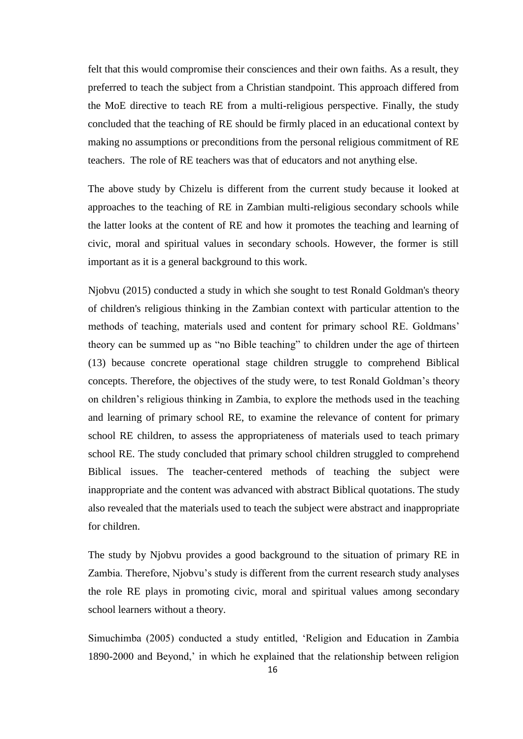felt that this would compromise their consciences and their own faiths. As a result, they preferred to teach the subject from a Christian standpoint. This approach differed from the MoE directive to teach RE from a multi-religious perspective. Finally, the study concluded that the teaching of RE should be firmly placed in an educational context by making no assumptions or preconditions from the personal religious commitment of RE teachers. The role of RE teachers was that of educators and not anything else.

The above study by Chizelu is different from the current study because it looked at approaches to the teaching of RE in Zambian multi-religious secondary schools while the latter looks at the content of RE and how it promotes the teaching and learning of civic, moral and spiritual values in secondary schools. However, the former is still important as it is a general background to this work.

Njobvu (2015) conducted a study in which she sought to test Ronald Goldman's theory of children's religious thinking in the Zambian context with particular attention to the methods of teaching, materials used and content for primary school RE. Goldmans" theory can be summed up as "no Bible teaching" to children under the age of thirteen (13) because concrete operational stage children struggle to comprehend Biblical concepts. Therefore, the objectives of the study were, to test Ronald Goldman"s theory on children"s religious thinking in Zambia, to explore the methods used in the teaching and learning of primary school RE, to examine the relevance of content for primary school RE children, to assess the appropriateness of materials used to teach primary school RE. The study concluded that primary school children struggled to comprehend Biblical issues. The teacher-centered methods of teaching the subject were inappropriate and the content was advanced with abstract Biblical quotations. The study also revealed that the materials used to teach the subject were abstract and inappropriate for children.

The study by Njobvu provides a good background to the situation of primary RE in Zambia. Therefore, Njobvu"s study is different from the current research study analyses the role RE plays in promoting civic, moral and spiritual values among secondary school learners without a theory.

Simuchimba (2005) conducted a study entitled, "Religion and Education in Zambia 1890-2000 and Beyond," in which he explained that the relationship between religion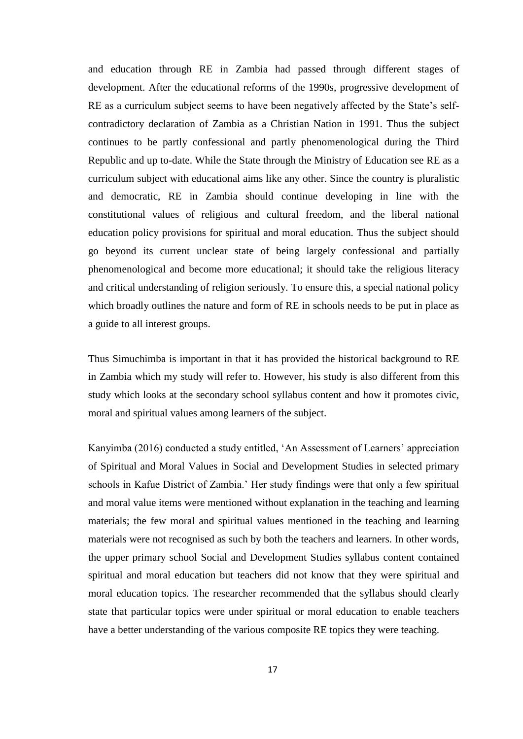and education through RE in Zambia had passed through different stages of development. After the educational reforms of the 1990s, progressive development of RE as a curriculum subject seems to have been negatively affected by the State's selfcontradictory declaration of Zambia as a Christian Nation in 1991. Thus the subject continues to be partly confessional and partly phenomenological during the Third Republic and up to-date. While the State through the Ministry of Education see RE as a curriculum subject with educational aims like any other. Since the country is pluralistic and democratic, RE in Zambia should continue developing in line with the constitutional values of religious and cultural freedom, and the liberal national education policy provisions for spiritual and moral education. Thus the subject should go beyond its current unclear state of being largely confessional and partially phenomenological and become more educational; it should take the religious literacy and critical understanding of religion seriously. To ensure this, a special national policy which broadly outlines the nature and form of RE in schools needs to be put in place as a guide to all interest groups.

Thus Simuchimba is important in that it has provided the historical background to RE in Zambia which my study will refer to. However, his study is also different from this study which looks at the secondary school syllabus content and how it promotes civic, moral and spiritual values among learners of the subject.

Kanyimba (2016) conducted a study entitled, "An Assessment of Learners" appreciation of Spiritual and Moral Values in Social and Development Studies in selected primary schools in Kafue District of Zambia." Her study findings were that only a few spiritual and moral value items were mentioned without explanation in the teaching and learning materials; the few moral and spiritual values mentioned in the teaching and learning materials were not recognised as such by both the teachers and learners. In other words, the upper primary school Social and Development Studies syllabus content contained spiritual and moral education but teachers did not know that they were spiritual and moral education topics. The researcher recommended that the syllabus should clearly state that particular topics were under spiritual or moral education to enable teachers have a better understanding of the various composite RE topics they were teaching.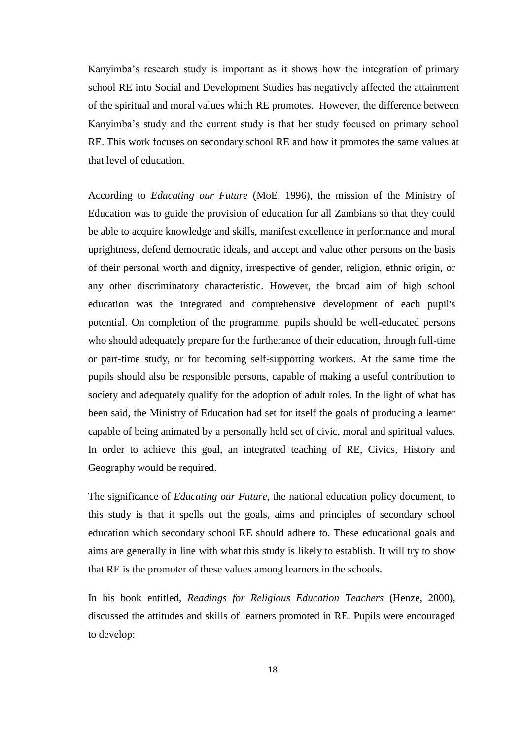Kanyimba"s research study is important as it shows how the integration of primary school RE into Social and Development Studies has negatively affected the attainment of the spiritual and moral values which RE promotes. However, the difference between Kanyimba"s study and the current study is that her study focused on primary school RE. This work focuses on secondary school RE and how it promotes the same values at that level of education.

According to *Educating our Future* (MoE, 1996), the mission of the Ministry of Education was to guide the provision of education for all Zambians so that they could be able to acquire knowledge and skills, manifest excellence in performance and moral uprightness, defend democratic ideals, and accept and value other persons on the basis of their personal worth and dignity, irrespective of gender, religion, ethnic origin, or any other discriminatory characteristic. However, the broad aim of high school education was the integrated and comprehensive development of each pupil's potential. On completion of the programme, pupils should be well-educated persons who should adequately prepare for the furtherance of their education, through full-time or part-time study, or for becoming self-supporting workers. At the same time the pupils should also be responsible persons, capable of making a useful contribution to society and adequately qualify for the adoption of adult roles. In the light of what has been said, the Ministry of Education had set for itself the goals of producing a learner capable of being animated by a personally held set of civic, moral and spiritual values. In order to achieve this goal, an integrated teaching of RE, Civics, History and Geography would be required.

The significance of *Educating our Future*, the national education policy document, to this study is that it spells out the goals, aims and principles of secondary school education which secondary school RE should adhere to. These educational goals and aims are generally in line with what this study is likely to establish. It will try to show that RE is the promoter of these values among learners in the schools.

In his book entitled, *Readings for Religious Education Teachers* (Henze, 2000), discussed the attitudes and skills of learners promoted in RE. Pupils were encouraged to develop: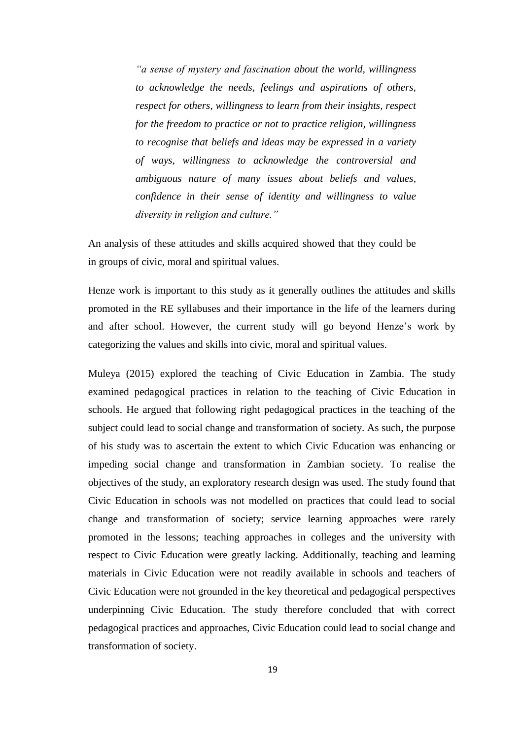*"a sense of mystery and fascination about the world, willingness to acknowledge the needs, feelings and aspirations of others, respect for others, willingness to learn from their insights, respect for the freedom to practice or not to practice religion, willingness to recognise that beliefs and ideas may be expressed in a variety of ways, willingness to acknowledge the controversial and ambiguous nature of many issues about beliefs and values, confidence in their sense of identity and willingness to value diversity in religion and culture."*

An analysis of these attitudes and skills acquired showed that they could be in groups of civic, moral and spiritual values.

Henze work is important to this study as it generally outlines the attitudes and skills promoted in the RE syllabuses and their importance in the life of the learners during and after school. However, the current study will go beyond Henze"s work by categorizing the values and skills into civic, moral and spiritual values.

Muleya (2015) explored the teaching of Civic Education in Zambia. The study examined pedagogical practices in relation to the teaching of Civic Education in schools. He argued that following right pedagogical practices in the teaching of the subject could lead to social change and transformation of society. As such, the purpose of his study was to ascertain the extent to which Civic Education was enhancing or impeding social change and transformation in Zambian society. To realise the objectives of the study, an exploratory research design was used. The study found that Civic Education in schools was not modelled on practices that could lead to social change and transformation of society; service learning approaches were rarely promoted in the lessons; teaching approaches in colleges and the university with respect to Civic Education were greatly lacking. Additionally, teaching and learning materials in Civic Education were not readily available in schools and teachers of Civic Education were not grounded in the key theoretical and pedagogical perspectives underpinning Civic Education. The study therefore concluded that with correct pedagogical practices and approaches, Civic Education could lead to social change and transformation of society.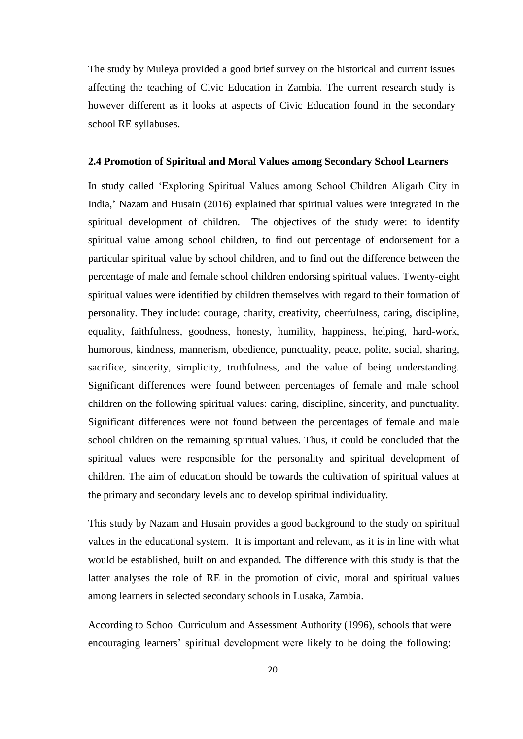The study by Muleya provided a good brief survey on the historical and current issues affecting the teaching of Civic Education in Zambia. The current research study is however different as it looks at aspects of Civic Education found in the secondary school RE syllabuses.

#### <span id="page-34-0"></span>**2.4 Promotion of Spiritual and Moral Values among Secondary School Learners**

In study called "Exploring Spiritual Values among School Children Aligarh City in India," Nazam and Husain (2016) explained that spiritual values were integrated in the spiritual development of children. The objectives of the study were: to identify spiritual value among school children, to find out percentage of endorsement for a particular spiritual value by school children, and to find out the difference between the percentage of male and female school children endorsing spiritual values. Twenty-eight spiritual values were identified by children themselves with regard to their formation of personality. They include: courage, charity, creativity, cheerfulness, caring, discipline, equality, faithfulness, goodness, honesty, humility, happiness, helping, hard-work, humorous, kindness, mannerism, obedience, punctuality, peace, polite, social, sharing, sacrifice, sincerity, simplicity, truthfulness, and the value of being understanding. Significant differences were found between percentages of female and male school children on the following spiritual values: caring, discipline, sincerity, and punctuality. Significant differences were not found between the percentages of female and male school children on the remaining spiritual values. Thus, it could be concluded that the spiritual values were responsible for the personality and spiritual development of children. The aim of education should be towards the cultivation of spiritual values at the primary and secondary levels and to develop spiritual individuality.

This study by Nazam and Husain provides a good background to the study on spiritual values in the educational system. It is important and relevant, as it is in line with what would be established, built on and expanded. The difference with this study is that the latter analyses the role of RE in the promotion of civic, moral and spiritual values among learners in selected secondary schools in Lusaka, Zambia.

According to School Curriculum and Assessment Authority (1996), schools that were encouraging learners" spiritual development were likely to be doing the following: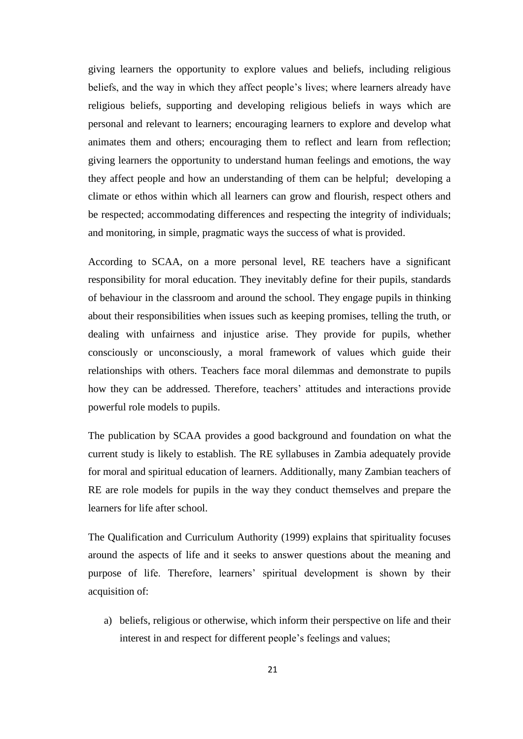giving learners the opportunity to explore values and beliefs, including religious beliefs, and the way in which they affect people's lives; where learners already have religious beliefs, supporting and developing religious beliefs in ways which are personal and relevant to learners; encouraging learners to explore and develop what animates them and others; encouraging them to reflect and learn from reflection; giving learners the opportunity to understand human feelings and emotions, the way they affect people and how an understanding of them can be helpful; developing a climate or ethos within which all learners can grow and flourish, respect others and be respected; accommodating differences and respecting the integrity of individuals; and monitoring, in simple, pragmatic ways the success of what is provided.

According to SCAA, on a more personal level, RE teachers have a significant responsibility for moral education. They inevitably define for their pupils, standards of behaviour in the classroom and around the school. They engage pupils in thinking about their responsibilities when issues such as keeping promises, telling the truth, or dealing with unfairness and injustice arise. They provide for pupils, whether consciously or unconsciously, a moral framework of values which guide their relationships with others. Teachers face moral dilemmas and demonstrate to pupils how they can be addressed. Therefore, teachers' attitudes and interactions provide powerful role models to pupils.

The publication by SCAA provides a good background and foundation on what the current study is likely to establish. The RE syllabuses in Zambia adequately provide for moral and spiritual education of learners. Additionally, many Zambian teachers of RE are role models for pupils in the way they conduct themselves and prepare the learners for life after school.

The Qualification and Curriculum Authority (1999) explains that spirituality focuses around the aspects of life and it seeks to answer questions about the meaning and purpose of life. Therefore, learners" spiritual development is shown by their acquisition of:

a) beliefs, religious or otherwise, which inform their perspective on life and their interest in and respect for different people's feelings and values;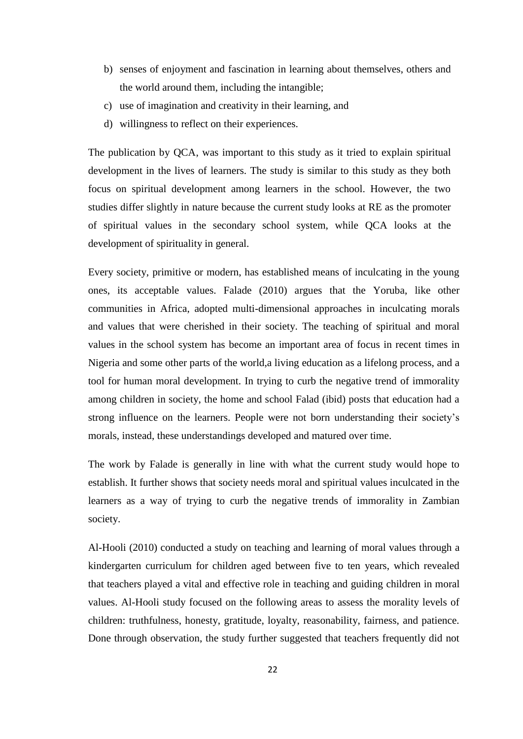- b) senses of enjoyment and fascination in learning about themselves, others and the world around them, including the intangible;
- c) use of imagination and creativity in their learning, and
- d) willingness to reflect on their experiences.

The publication by QCA, was important to this study as it tried to explain spiritual development in the lives of learners. The study is similar to this study as they both focus on spiritual development among learners in the school. However, the two studies differ slightly in nature because the current study looks at RE as the promoter of spiritual values in the secondary school system, while QCA looks at the development of spirituality in general.

Every society, primitive or modern, has established means of inculcating in the young ones, its acceptable values. Falade (2010) argues that the Yoruba, like other communities in Africa, adopted multi-dimensional approaches in inculcating morals and values that were cherished in their society. The teaching of spiritual and moral values in the school system has become an important area of focus in recent times in Nigeria and some other parts of the world,a living education as a lifelong process, and a tool for human moral development. In trying to curb the negative trend of immorality among children in society, the home and school Falad (ibid) posts that education had a strong influence on the learners. People were not born understanding their society"s morals, instead, these understandings developed and matured over time.

The work by Falade is generally in line with what the current study would hope to establish. It further shows that society needs moral and spiritual values inculcated in the learners as a way of trying to curb the negative trends of immorality in Zambian society.

Al-Hooli (2010) conducted a study on teaching and learning of moral values through a kindergarten curriculum for children aged between five to ten years, which revealed that teachers played a vital and effective role in teaching and guiding children in moral values. Al-Hooli study focused on the following areas to assess the morality levels of children: truthfulness, honesty, gratitude, loyalty, reasonability, fairness, and patience. Done through observation, the study further suggested that teachers frequently did not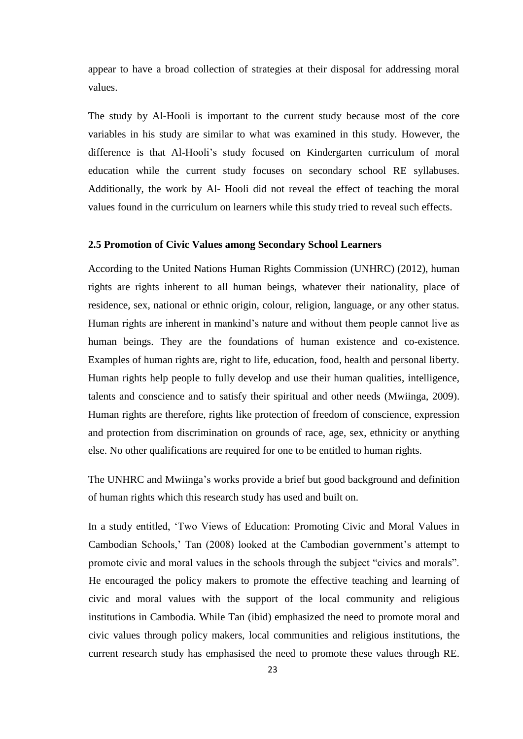appear to have a broad collection of strategies at their disposal for addressing moral values.

The study by Al-Hooli is important to the current study because most of the core variables in his study are similar to what was examined in this study. However, the difference is that Al-Hooli"s study focused on Kindergarten curriculum of moral education while the current study focuses on secondary school RE syllabuses. Additionally, the work by Al- Hooli did not reveal the effect of teaching the moral values found in the curriculum on learners while this study tried to reveal such effects.

# **2.5 Promotion of Civic Values among Secondary School Learners**

According to the United Nations Human Rights Commission (UNHRC) (2012), human rights are rights inherent to all human beings, whatever their nationality, place of residence, sex, national or ethnic origin, colour, religion, language, or any other status. Human rights are inherent in mankind"s nature and without them people cannot live as human beings. They are the foundations of human existence and co-existence. Examples of human rights are, right to life, education, food, health and personal liberty. Human rights help people to fully develop and use their human qualities, intelligence, talents and conscience and to satisfy their spiritual and other needs (Mwiinga, 2009). Human rights are therefore, rights like protection of freedom of conscience, expression and protection from discrimination on grounds of race, age, sex, ethnicity or anything else. No other qualifications are required for one to be entitled to human rights.

The UNHRC and Mwiinga"s works provide a brief but good background and definition of human rights which this research study has used and built on.

In a study entitled, "Two Views of Education: Promoting Civic and Moral Values in Cambodian Schools,' Tan (2008) looked at the Cambodian government's attempt to promote civic and moral values in the schools through the subject "civics and morals". He encouraged the policy makers to promote the effective teaching and learning of civic and moral values with the support of the local community and religious institutions in Cambodia. While Tan (ibid) emphasized the need to promote moral and civic values through policy makers, local communities and religious institutions, the current research study has emphasised the need to promote these values through RE.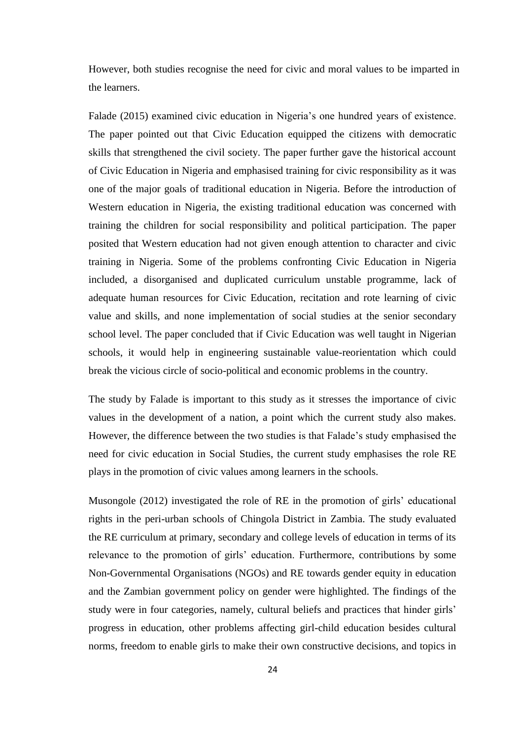However, both studies recognise the need for civic and moral values to be imparted in the learners.

Falade (2015) examined civic education in Nigeria's one hundred years of existence. The paper pointed out that Civic Education equipped the citizens with democratic skills that strengthened the civil society. The paper further gave the historical account of Civic Education in Nigeria and emphasised training for civic responsibility as it was one of the major goals of traditional education in Nigeria. Before the introduction of Western education in Nigeria, the existing traditional education was concerned with training the children for social responsibility and political participation. The paper posited that Western education had not given enough attention to character and civic training in Nigeria. Some of the problems confronting Civic Education in Nigeria included, a disorganised and duplicated curriculum unstable programme, lack of adequate human resources for Civic Education, recitation and rote learning of civic value and skills, and none implementation of social studies at the senior secondary school level. The paper concluded that if Civic Education was well taught in Nigerian schools, it would help in engineering sustainable value-reorientation which could break the vicious circle of socio-political and economic problems in the country.

The study by Falade is important to this study as it stresses the importance of civic values in the development of a nation, a point which the current study also makes. However, the difference between the two studies is that Falade"s study emphasised the need for civic education in Social Studies, the current study emphasises the role RE plays in the promotion of civic values among learners in the schools.

Musongole (2012) investigated the role of RE in the promotion of girls' educational rights in the peri-urban schools of Chingola District in Zambia. The study evaluated the RE curriculum at primary, secondary and college levels of education in terms of its relevance to the promotion of girls' education. Furthermore, contributions by some Non-Governmental Organisations (NGOs) and RE towards gender equity in education and the Zambian government policy on gender were highlighted. The findings of the study were in four categories, namely, cultural beliefs and practices that hinder girls" progress in education, other problems affecting girl-child education besides cultural norms, freedom to enable girls to make their own constructive decisions, and topics in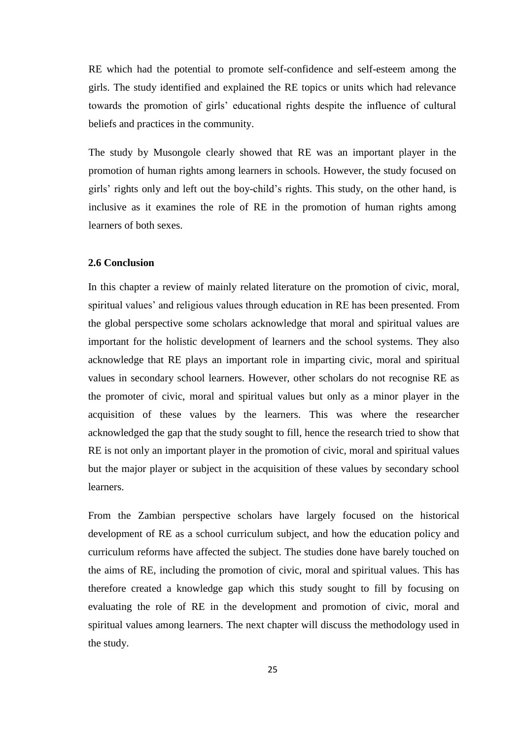RE which had the potential to promote self-confidence and self-esteem among the girls. The study identified and explained the RE topics or units which had relevance towards the promotion of girls" educational rights despite the influence of cultural beliefs and practices in the community.

The study by Musongole clearly showed that RE was an important player in the promotion of human rights among learners in schools. However, the study focused on girls" rights only and left out the boy-child"s rights. This study, on the other hand, is inclusive as it examines the role of RE in the promotion of human rights among learners of both sexes.

#### **2.6 Conclusion**

In this chapter a review of mainly related literature on the promotion of civic, moral, spiritual values' and religious values through education in RE has been presented. From the global perspective some scholars acknowledge that moral and spiritual values are important for the holistic development of learners and the school systems. They also acknowledge that RE plays an important role in imparting civic, moral and spiritual values in secondary school learners. However, other scholars do not recognise RE as the promoter of civic, moral and spiritual values but only as a minor player in the acquisition of these values by the learners. This was where the researcher acknowledged the gap that the study sought to fill, hence the research tried to show that RE is not only an important player in the promotion of civic, moral and spiritual values but the major player or subject in the acquisition of these values by secondary school learners.

From the Zambian perspective scholars have largely focused on the historical development of RE as a school curriculum subject, and how the education policy and curriculum reforms have affected the subject. The studies done have barely touched on the aims of RE, including the promotion of civic, moral and spiritual values. This has therefore created a knowledge gap which this study sought to fill by focusing on evaluating the role of RE in the development and promotion of civic, moral and spiritual values among learners. The next chapter will discuss the methodology used in the study.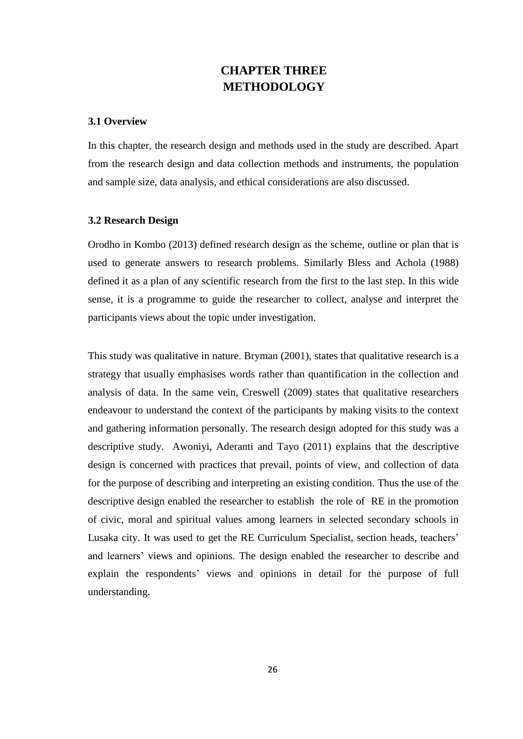# **CHAPTER THREE METHODOLOGY**

#### **3.1 Overview**

In this chapter, the research design and methods used in the study are described. Apart from the research design and data collection methods and instruments, the population and sample size, data analysis, and ethical considerations are also discussed.

## **3.2 Research Design**

Orodho in Kombo (2013) defined research design as the scheme, outline or plan that is used to generate answers to research problems. Similarly Bless and Achola (1988) defined it as a plan of any scientific research from the first to the last step. In this wide sense, it is a programme to guide the researcher to collect, analyse and interpret the participants views about the topic under investigation.

This study was qualitative in nature. Bryman (2001), states that qualitative research is a strategy that usually emphasises words rather than quantification in the collection and analysis of data. In the same vein, Creswell (2009) states that qualitative researchers endeavour to understand the context of the participants by making visits to the context and gathering information personally. The research design adopted for this study was a descriptive study. Awoniyi, Aderanti and Tayo (2011) explains that the descriptive design is concerned with practices that prevail, points of view, and collection of data for the purpose of describing and interpreting an existing condition. Thus the use of the descriptive design enabled the researcher to establish the role of RE in the promotion of civic, moral and spiritual values among learners in selected secondary schools in Lusaka city. It was used to get the RE Curriculum Specialist, section heads, teachers' and learners" views and opinions. The design enabled the researcher to describe and explain the respondents' views and opinions in detail for the purpose of full understanding.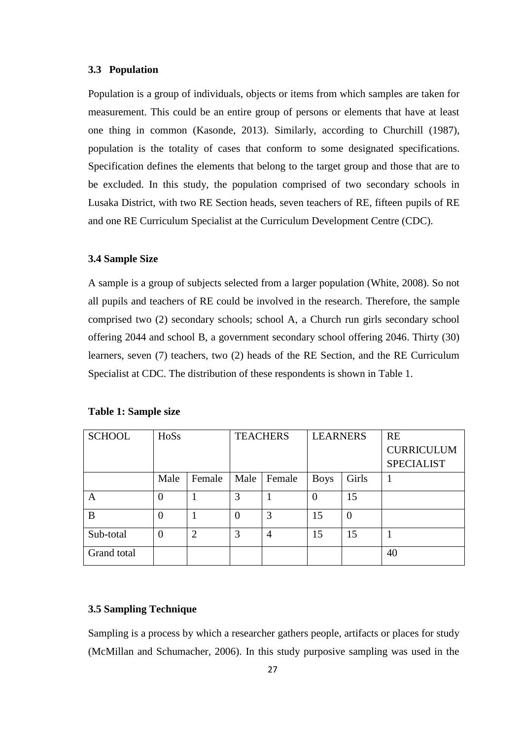## **3.3 Population**

Population is a group of individuals, objects or items from which samples are taken for measurement. This could be an entire group of persons or elements that have at least one thing in common (Kasonde, 2013). Similarly, according to Churchill (1987), population is the totality of cases that conform to some designated specifications. Specification defines the elements that belong to the target group and those that are to be excluded. In this study, the population comprised of two secondary schools in Lusaka District, with two RE Section heads, seven teachers of RE, fifteen pupils of RE and one RE Curriculum Specialist at the Curriculum Development Centre (CDC).

#### **3.4 Sample Size**

A sample is a group of subjects selected from a larger population (White, 2008). So not all pupils and teachers of RE could be involved in the research. Therefore, the sample comprised two (2) secondary schools; school A, a Church run girls secondary school offering 2044 and school B, a government secondary school offering 2046. Thirty (30) learners, seven (7) teachers, two (2) heads of the RE Section, and the RE Curriculum Specialist at CDC. The distribution of these respondents is shown in Table 1.

| <b>SCHOOL</b> | HoSs           |                | <b>TEACHERS</b> |                | <b>LEARNERS</b> |                | <b>RE</b>         |
|---------------|----------------|----------------|-----------------|----------------|-----------------|----------------|-------------------|
|               |                |                |                 |                |                 |                | <b>CURRICULUM</b> |
|               |                |                |                 |                |                 |                | <b>SPECIALIST</b> |
|               | Male           | Female         | Male            | Female         | <b>Boys</b>     | Girls          |                   |
| A             | $\overline{0}$ |                | 3               |                | $\overline{0}$  | 15             |                   |
| B             | $\theta$       |                | $\overline{0}$  | 3              | 15              | $\overline{0}$ |                   |
| Sub-total     | $\theta$       | $\overline{2}$ | 3               | $\overline{4}$ | 15              | 15             |                   |
| Grand total   |                |                |                 |                |                 |                | 40                |

#### **Table 1: Sample size**

# **3.5 Sampling Technique**

Sampling is a process by which a researcher gathers people, artifacts or places for study (McMillan and Schumacher, 2006). In this study purposive sampling was used in the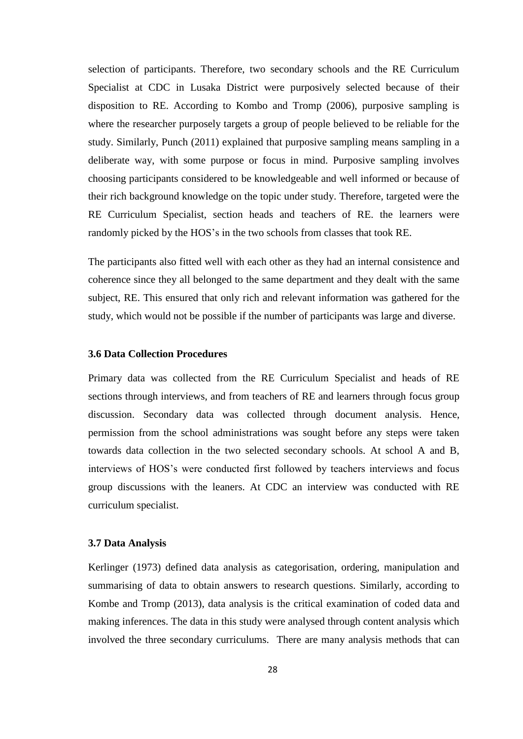selection of participants. Therefore, two secondary schools and the RE Curriculum Specialist at CDC in Lusaka District were purposively selected because of their disposition to RE. According to Kombo and Tromp (2006), purposive sampling is where the researcher purposely targets a group of people believed to be reliable for the study. Similarly, Punch (2011) explained that purposive sampling means sampling in a deliberate way, with some purpose or focus in mind. Purposive sampling involves choosing participants considered to be knowledgeable and well informed or because of their rich background knowledge on the topic under study. Therefore, targeted were the RE Curriculum Specialist, section heads and teachers of RE. the learners were randomly picked by the HOS"s in the two schools from classes that took RE.

The participants also fitted well with each other as they had an internal consistence and coherence since they all belonged to the same department and they dealt with the same subject, RE. This ensured that only rich and relevant information was gathered for the study, which would not be possible if the number of participants was large and diverse.

#### **3.6 Data Collection Procedures**

Primary data was collected from the RE Curriculum Specialist and heads of RE sections through interviews, and from teachers of RE and learners through focus group discussion. Secondary data was collected through document analysis. Hence, permission from the school administrations was sought before any steps were taken towards data collection in the two selected secondary schools. At school A and B, interviews of HOS"s were conducted first followed by teachers interviews and focus group discussions with the leaners. At CDC an interview was conducted with RE curriculum specialist.

# **3.7 Data Analysis**

Kerlinger (1973) defined data analysis as categorisation, ordering, manipulation and summarising of data to obtain answers to research questions. Similarly, according to Kombe and Tromp (2013), data analysis is the critical examination of coded data and making inferences. The data in this study were analysed through content analysis which involved the three secondary curriculums. There are many analysis methods that can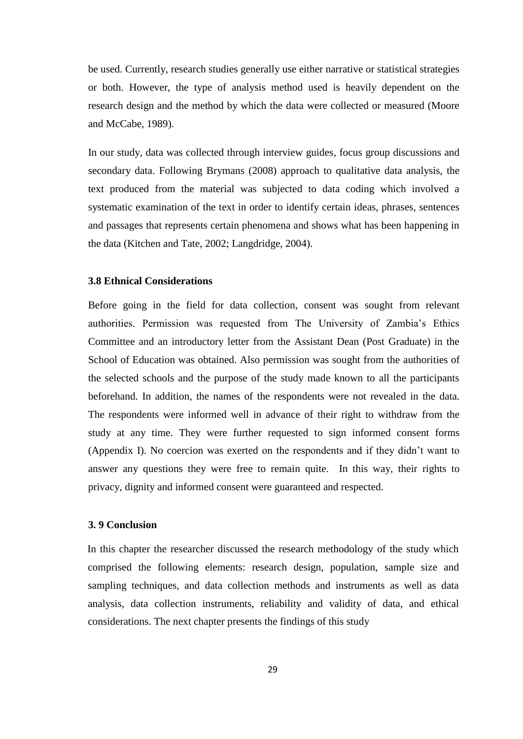be used. Currently, research studies generally use either narrative or statistical strategies or both. However, the type of analysis method used is heavily dependent on the research design and the method by which the data were collected or measured (Moore and McCabe, 1989).

In our study, data was collected through interview guides, focus group discussions and secondary data. Following Brymans (2008) approach to qualitative data analysis, the text produced from the material was subjected to data coding which involved a systematic examination of the text in order to identify certain ideas, phrases, sentences and passages that represents certain phenomena and shows what has been happening in the data (Kitchen and Tate, 2002; Langdridge, 2004).

#### **3.8 Ethnical Considerations**

Before going in the field for data collection, consent was sought from relevant authorities. Permission was requested from The University of Zambia"s Ethics Committee and an introductory letter from the Assistant Dean (Post Graduate) in the School of Education was obtained. Also permission was sought from the authorities of the selected schools and the purpose of the study made known to all the participants beforehand. In addition, the names of the respondents were not revealed in the data. The respondents were informed well in advance of their right to withdraw from the study at any time. They were further requested to sign informed consent forms (Appendix I). No coercion was exerted on the respondents and if they didn"t want to answer any questions they were free to remain quite. In this way, their rights to privacy, dignity and informed consent were guaranteed and respected.

## **3. 9 Conclusion**

In this chapter the researcher discussed the research methodology of the study which comprised the following elements: research design, population, sample size and sampling techniques, and data collection methods and instruments as well as data analysis, data collection instruments, reliability and validity of data, and ethical considerations. The next chapter presents the findings of this study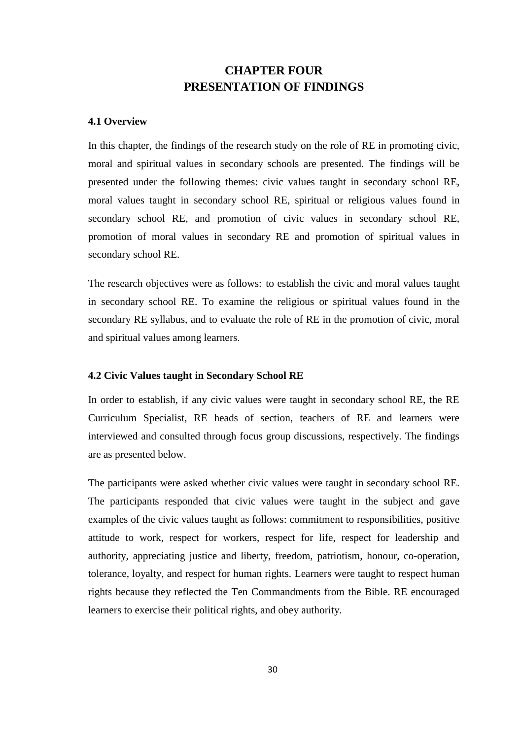# **CHAPTER FOUR PRESENTATION OF FINDINGS**

## **4.1 Overview**

In this chapter, the findings of the research study on the role of RE in promoting civic, moral and spiritual values in secondary schools are presented. The findings will be presented under the following themes: civic values taught in secondary school RE, moral values taught in secondary school RE, spiritual or religious values found in secondary school RE, and promotion of civic values in secondary school RE, promotion of moral values in secondary RE and promotion of spiritual values in secondary school RE.

The research objectives were as follows: to establish the civic and moral values taught in secondary school RE. To examine the religious or spiritual values found in the secondary RE syllabus, and to evaluate the role of RE in the promotion of civic, moral and spiritual values among learners.

## **4.2 Civic Values taught in Secondary School RE**

In order to establish, if any civic values were taught in secondary school RE, the RE Curriculum Specialist, RE heads of section, teachers of RE and learners were interviewed and consulted through focus group discussions, respectively. The findings are as presented below.

The participants were asked whether civic values were taught in secondary school RE. The participants responded that civic values were taught in the subject and gave examples of the civic values taught as follows: commitment to responsibilities, positive attitude to work, respect for workers, respect for life, respect for leadership and authority, appreciating justice and liberty, freedom, patriotism, honour, co-operation, tolerance, loyalty, and respect for human rights. Learners were taught to respect human rights because they reflected the Ten Commandments from the Bible. RE encouraged learners to exercise their political rights, and obey authority.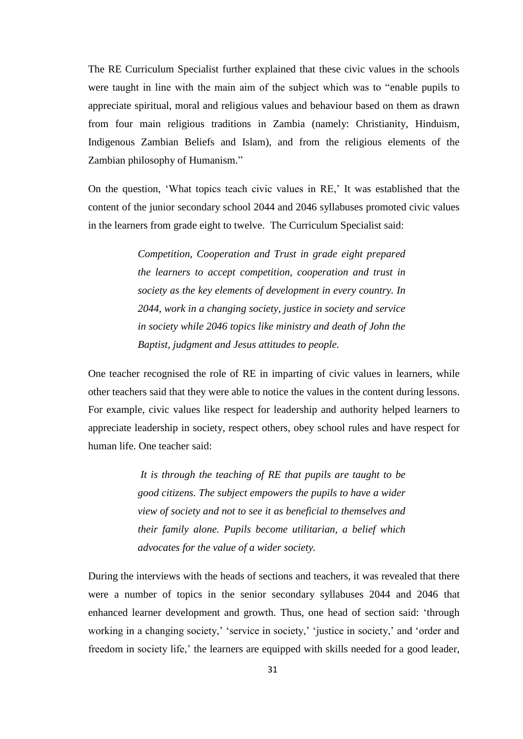The RE Curriculum Specialist further explained that these civic values in the schools were taught in line with the main aim of the subject which was to "enable pupils to appreciate spiritual, moral and religious values and behaviour based on them as drawn from four main religious traditions in Zambia (namely: Christianity, Hinduism, Indigenous Zambian Beliefs and Islam), and from the religious elements of the Zambian philosophy of Humanism."

On the question, "What topics teach civic values in RE," It was established that the content of the junior secondary school 2044 and 2046 syllabuses promoted civic values in the learners from grade eight to twelve. The Curriculum Specialist said:

> *Competition, Cooperation and Trust in grade eight prepared the learners to accept competition, cooperation and trust in society as the key elements of development in every country. In 2044, work in a changing society, justice in society and service in society while 2046 topics like ministry and death of John the Baptist, judgment and Jesus attitudes to people.*

One teacher recognised the role of RE in imparting of civic values in learners, while other teachers said that they were able to notice the values in the content during lessons. For example, civic values like respect for leadership and authority helped learners to appreciate leadership in society, respect others, obey school rules and have respect for human life. One teacher said:

> *It is through the teaching of RE that pupils are taught to be good citizens. The subject empowers the pupils to have a wider view of society and not to see it as beneficial to themselves and their family alone. Pupils become utilitarian, a belief which advocates for the value of a wider society.*

During the interviews with the heads of sections and teachers, it was revealed that there were a number of topics in the senior secondary syllabuses 2044 and 2046 that enhanced learner development and growth. Thus, one head of section said: "through working in a changing society,' 'service in society,' 'justice in society,' and 'order and freedom in society life,' the learners are equipped with skills needed for a good leader,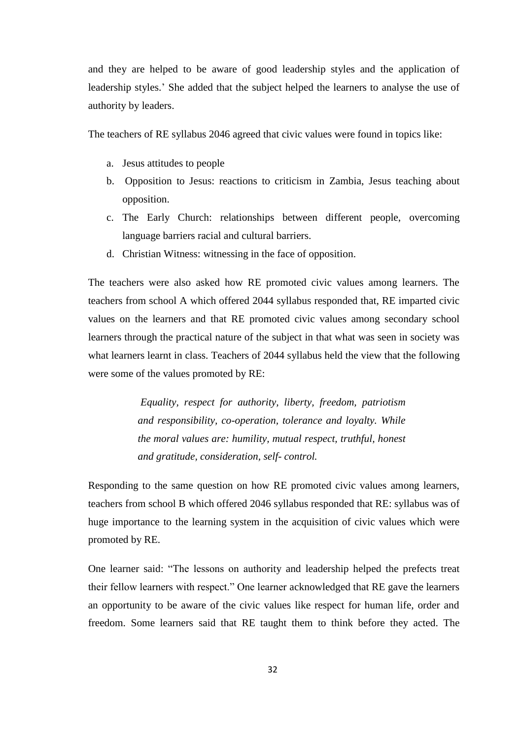and they are helped to be aware of good leadership styles and the application of leadership styles." She added that the subject helped the learners to analyse the use of authority by leaders.

The teachers of RE syllabus 2046 agreed that civic values were found in topics like:

- a. Jesus attitudes to people
- b. Opposition to Jesus: reactions to criticism in Zambia, Jesus teaching about opposition.
- c. The Early Church: relationships between different people, overcoming language barriers racial and cultural barriers.
- d. Christian Witness: witnessing in the face of opposition.

The teachers were also asked how RE promoted civic values among learners. The teachers from school A which offered 2044 syllabus responded that, RE imparted civic values on the learners and that RE promoted civic values among secondary school learners through the practical nature of the subject in that what was seen in society was what learners learnt in class. Teachers of 2044 syllabus held the view that the following were some of the values promoted by RE:

> *Equality, respect for authority, liberty, freedom, patriotism and responsibility, co-operation, tolerance and loyalty. While the moral values are: humility, mutual respect, truthful, honest and gratitude, consideration, self- control.*

Responding to the same question on how RE promoted civic values among learners, teachers from school B which offered 2046 syllabus responded that RE: syllabus was of huge importance to the learning system in the acquisition of civic values which were promoted by RE.

One learner said: "The lessons on authority and leadership helped the prefects treat their fellow learners with respect." One learner acknowledged that RE gave the learners an opportunity to be aware of the civic values like respect for human life, order and freedom. Some learners said that RE taught them to think before they acted. The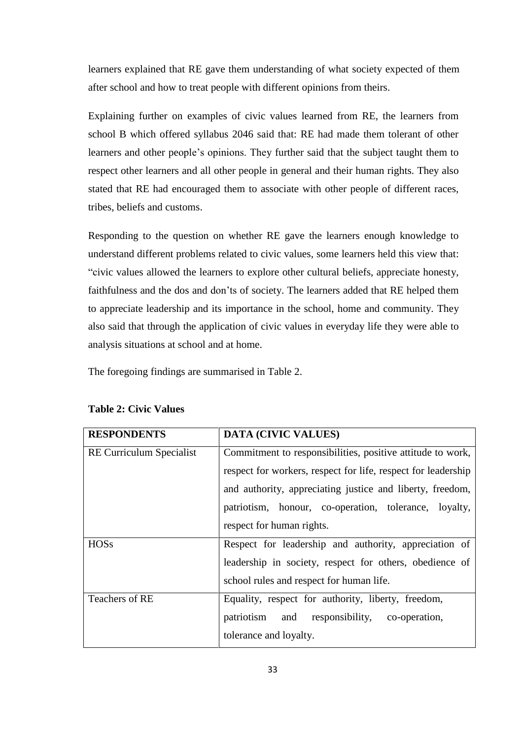learners explained that RE gave them understanding of what society expected of them after school and how to treat people with different opinions from theirs.

Explaining further on examples of civic values learned from RE, the learners from school B which offered syllabus 2046 said that: RE had made them tolerant of other learners and other people"s opinions. They further said that the subject taught them to respect other learners and all other people in general and their human rights. They also stated that RE had encouraged them to associate with other people of different races, tribes, beliefs and customs.

Responding to the question on whether RE gave the learners enough knowledge to understand different problems related to civic values, some learners held this view that: "civic values allowed the learners to explore other cultural beliefs, appreciate honesty, faithfulness and the dos and don"ts of society. The learners added that RE helped them to appreciate leadership and its importance in the school, home and community. They also said that through the application of civic values in everyday life they were able to analysis situations at school and at home.

The foregoing findings are summarised in Table 2.

| <b>RESPONDENTS</b>              | <b>DATA (CIVIC VALUES)</b>                                    |  |  |
|---------------------------------|---------------------------------------------------------------|--|--|
| <b>RE Curriculum Specialist</b> | Commitment to responsibilities, positive attitude to work,    |  |  |
|                                 | respect for workers, respect for life, respect for leadership |  |  |
|                                 | and authority, appreciating justice and liberty, freedom,     |  |  |
|                                 | patriotism, honour, co-operation, tolerance, loyalty,         |  |  |
|                                 | respect for human rights.                                     |  |  |
| <b>HOSs</b>                     | Respect for leadership and authority, appreciation of         |  |  |
|                                 | leadership in society, respect for others, obedience of       |  |  |
|                                 | school rules and respect for human life.                      |  |  |
| Teachers of RE                  | Equality, respect for authority, liberty, freedom,            |  |  |
|                                 | patriotism<br>and responsibility, co-operation,               |  |  |
|                                 | tolerance and loyalty.                                        |  |  |

# **Table 2: Civic Values**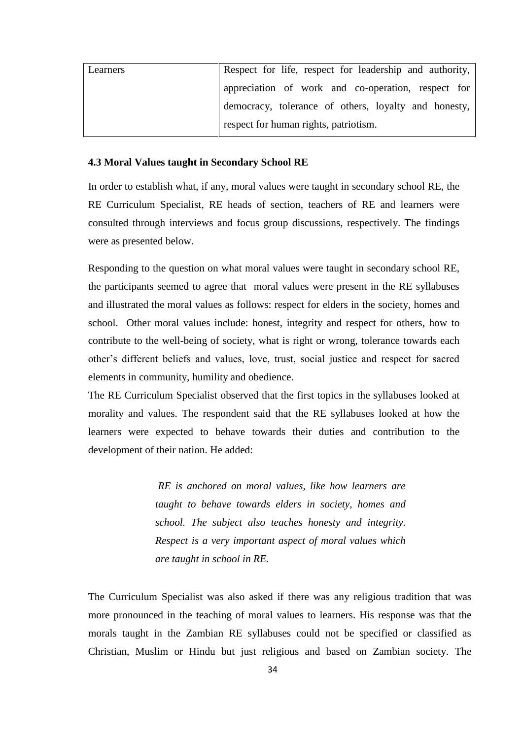| Learners | Respect for life, respect for leadership and authority, |
|----------|---------------------------------------------------------|
|          | appreciation of work and co-operation, respect for      |
|          | democracy, tolerance of others, loyalty and honesty,    |
|          | respect for human rights, patriotism.                   |

#### **4.3 Moral Values taught in Secondary School RE**

In order to establish what, if any, moral values were taught in secondary school RE, the RE Curriculum Specialist, RE heads of section, teachers of RE and learners were consulted through interviews and focus group discussions, respectively. The findings were as presented below.

Responding to the question on what moral values were taught in secondary school RE, the participants seemed to agree that moral values were present in the RE syllabuses and illustrated the moral values as follows: respect for elders in the society, homes and school. Other moral values include: honest, integrity and respect for others, how to contribute to the well-being of society, what is right or wrong, tolerance towards each other"s different beliefs and values, love, trust, social justice and respect for sacred elements in community, humility and obedience.

The RE Curriculum Specialist observed that the first topics in the syllabuses looked at morality and values. The respondent said that the RE syllabuses looked at how the learners were expected to behave towards their duties and contribution to the development of their nation. He added:

> *RE is anchored on moral values, like how learners are taught to behave towards elders in society, homes and school. The subject also teaches honesty and integrity. Respect is a very important aspect of moral values which are taught in school in RE.*

The Curriculum Specialist was also asked if there was any religious tradition that was more pronounced in the teaching of moral values to learners. His response was that the morals taught in the Zambian RE syllabuses could not be specified or classified as Christian, Muslim or Hindu but just religious and based on Zambian society. The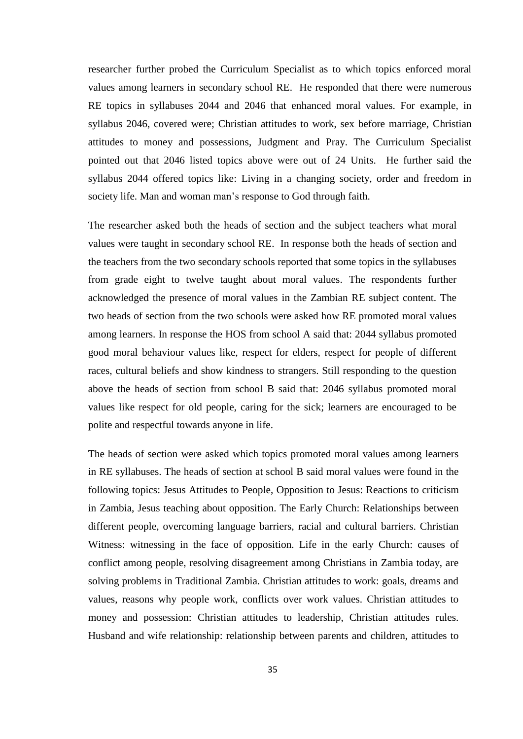researcher further probed the Curriculum Specialist as to which topics enforced moral values among learners in secondary school RE. He responded that there were numerous RE topics in syllabuses 2044 and 2046 that enhanced moral values. For example, in syllabus 2046, covered were; Christian attitudes to work, sex before marriage, Christian attitudes to money and possessions, Judgment and Pray. The Curriculum Specialist pointed out that 2046 listed topics above were out of 24 Units. He further said the syllabus 2044 offered topics like: Living in a changing society, order and freedom in society life. Man and woman man's response to God through faith.

The researcher asked both the heads of section and the subject teachers what moral values were taught in secondary school RE. In response both the heads of section and the teachers from the two secondary schools reported that some topics in the syllabuses from grade eight to twelve taught about moral values. The respondents further acknowledged the presence of moral values in the Zambian RE subject content. The two heads of section from the two schools were asked how RE promoted moral values among learners. In response the HOS from school A said that: 2044 syllabus promoted good moral behaviour values like, respect for elders, respect for people of different races, cultural beliefs and show kindness to strangers. Still responding to the question above the heads of section from school B said that: 2046 syllabus promoted moral values like respect for old people, caring for the sick; learners are encouraged to be polite and respectful towards anyone in life.

The heads of section were asked which topics promoted moral values among learners in RE syllabuses. The heads of section at school B said moral values were found in the following topics: Jesus Attitudes to People, Opposition to Jesus: Reactions to criticism in Zambia, Jesus teaching about opposition. The Early Church: Relationships between different people, overcoming language barriers, racial and cultural barriers. Christian Witness: witnessing in the face of opposition. Life in the early Church: causes of conflict among people, resolving disagreement among Christians in Zambia today, are solving problems in Traditional Zambia. Christian attitudes to work: goals, dreams and values, reasons why people work, conflicts over work values. Christian attitudes to money and possession: Christian attitudes to leadership, Christian attitudes rules. Husband and wife relationship: relationship between parents and children, attitudes to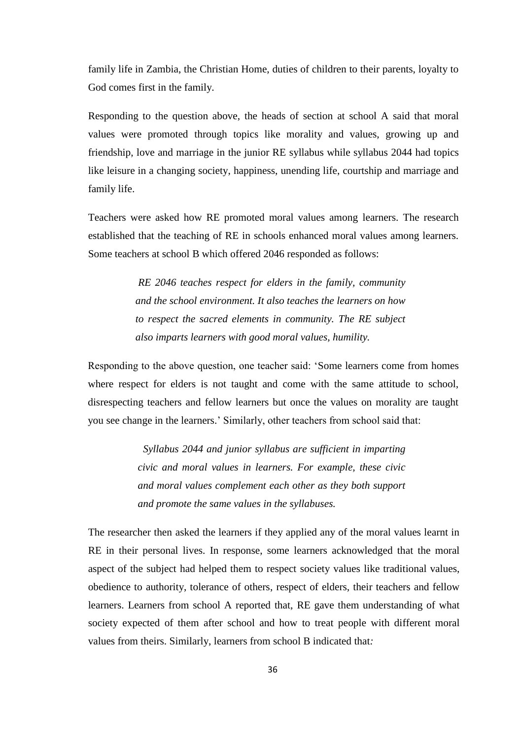family life in Zambia, the Christian Home, duties of children to their parents, loyalty to God comes first in the family.

Responding to the question above, the heads of section at school A said that moral values were promoted through topics like morality and values, growing up and friendship, love and marriage in the junior RE syllabus while syllabus 2044 had topics like leisure in a changing society, happiness, unending life, courtship and marriage and family life.

Teachers were asked how RE promoted moral values among learners. The research established that the teaching of RE in schools enhanced moral values among learners. Some teachers at school B which offered 2046 responded as follows:

> *RE 2046 teaches respect for elders in the family, community and the school environment. It also teaches the learners on how to respect the sacred elements in community. The RE subject also imparts learners with good moral values, humility.*

Responding to the above question, one teacher said: "Some learners come from homes where respect for elders is not taught and come with the same attitude to school, disrespecting teachers and fellow learners but once the values on morality are taught you see change in the learners." Similarly, other teachers from school said that:

> *Syllabus 2044 and junior syllabus are sufficient in imparting civic and moral values in learners. For example, these civic and moral values complement each other as they both support and promote the same values in the syllabuses.*

The researcher then asked the learners if they applied any of the moral values learnt in RE in their personal lives. In response, some learners acknowledged that the moral aspect of the subject had helped them to respect society values like traditional values, obedience to authority, tolerance of others, respect of elders, their teachers and fellow learners. Learners from school A reported that, RE gave them understanding of what society expected of them after school and how to treat people with different moral values from theirs. Similarly, learners from school B indicated that*:*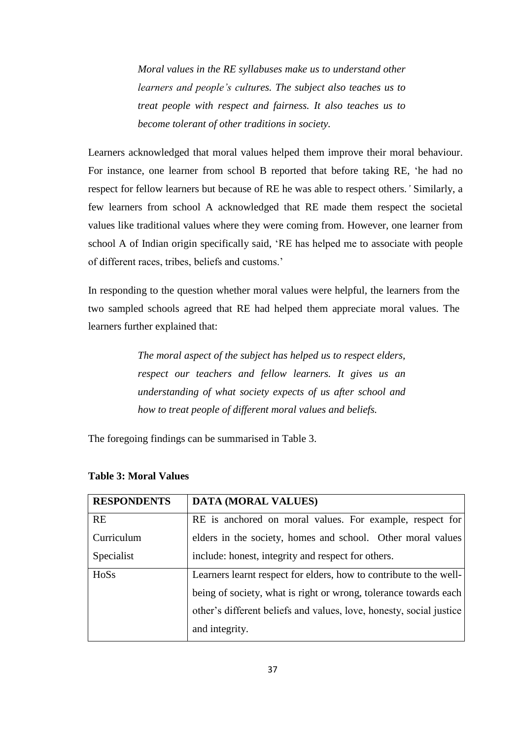*Moral values in the RE syllabuses make us to understand other learners and people"s cultures. The subject also teaches us to treat people with respect and fairness. It also teaches us to become tolerant of other traditions in society.* 

Learners acknowledged that moral values helped them improve their moral behaviour. For instance, one learner from school B reported that before taking RE, "he had no respect for fellow learners but because of RE he was able to respect others*."* Similarly, a few learners from school A acknowledged that RE made them respect the societal values like traditional values where they were coming from. However, one learner from school A of Indian origin specifically said, "RE has helped me to associate with people of different races, tribes, beliefs and customs."

In responding to the question whether moral values were helpful, the learners from the two sampled schools agreed that RE had helped them appreciate moral values. The learners further explained that:

> *The moral aspect of the subject has helped us to respect elders, respect our teachers and fellow learners. It gives us an understanding of what society expects of us after school and how to treat people of different moral values and beliefs.*

The foregoing findings can be summarised in Table 3.

| <b>RESPONDENTS</b> | <b>DATA (MORAL VALUES)</b>                                          |
|--------------------|---------------------------------------------------------------------|
| <b>RE</b>          | RE is anchored on moral values. For example, respect for            |
| Curriculum         | elders in the society, homes and school. Other moral values         |
| Specialist         | include: honest, integrity and respect for others.                  |
| HoSs               | Learners learnt respect for elders, how to contribute to the well-  |
|                    | being of society, what is right or wrong, tolerance towards each    |
|                    | other's different beliefs and values, love, honesty, social justice |
|                    | and integrity.                                                      |

# **Table 3: Moral Values**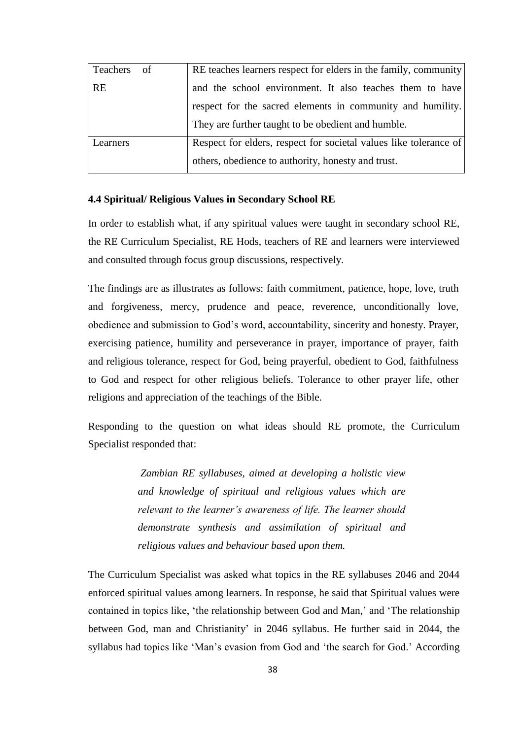| Teachers<br>- of | RE teaches learners respect for elders in the family, community   |
|------------------|-------------------------------------------------------------------|
| <b>RE</b>        | and the school environment. It also teaches them to have          |
|                  | respect for the sacred elements in community and humility.        |
|                  | They are further taught to be obedient and humble.                |
| Learners         | Respect for elders, respect for societal values like tolerance of |
|                  | others, obedience to authority, honesty and trust.                |

#### **4.4 Spiritual/ Religious Values in Secondary School RE**

In order to establish what, if any spiritual values were taught in secondary school RE, the RE Curriculum Specialist, RE Hods, teachers of RE and learners were interviewed and consulted through focus group discussions, respectively.

The findings are as illustrates as follows: faith commitment, patience, hope, love, truth and forgiveness, mercy, prudence and peace, reverence, unconditionally love, obedience and submission to God"s word, accountability, sincerity and honesty. Prayer, exercising patience, humility and perseverance in prayer, importance of prayer, faith and religious tolerance, respect for God, being prayerful, obedient to God, faithfulness to God and respect for other religious beliefs. Tolerance to other prayer life, other religions and appreciation of the teachings of the Bible.

Responding to the question on what ideas should RE promote, the Curriculum Specialist responded that:

> *Zambian RE syllabuses, aimed at developing a holistic view and knowledge of spiritual and religious values which are relevant to the learner"s awareness of life. The learner should demonstrate synthesis and assimilation of spiritual and religious values and behaviour based upon them.*

The Curriculum Specialist was asked what topics in the RE syllabuses 2046 and 2044 enforced spiritual values among learners. In response, he said that Spiritual values were contained in topics like, "the relationship between God and Man," and "The relationship between God, man and Christianity' in 2046 syllabus. He further said in 2044, the syllabus had topics like 'Man's evasion from God and 'the search for God.' According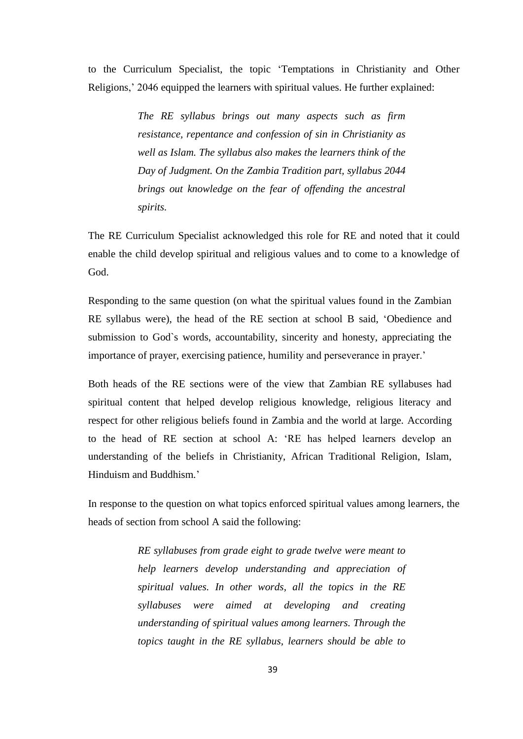to the Curriculum Specialist, the topic "Temptations in Christianity and Other Religions," 2046 equipped the learners with spiritual values. He further explained:

> *The RE syllabus brings out many aspects such as firm resistance, repentance and confession of sin in Christianity as well as Islam. The syllabus also makes the learners think of the Day of Judgment. On the Zambia Tradition part, syllabus 2044 brings out knowledge on the fear of offending the ancestral spirits.*

The RE Curriculum Specialist acknowledged this role for RE and noted that it could enable the child develop spiritual and religious values and to come to a knowledge of God.

Responding to the same question (on what the spiritual values found in the Zambian RE syllabus were), the head of the RE section at school B said, "Obedience and submission to God`s words, accountability, sincerity and honesty, appreciating the importance of prayer, exercising patience, humility and perseverance in prayer.'

Both heads of the RE sections were of the view that Zambian RE syllabuses had spiritual content that helped develop religious knowledge, religious literacy and respect for other religious beliefs found in Zambia and the world at large. According to the head of RE section at school A: "RE has helped learners develop an understanding of the beliefs in Christianity, African Traditional Religion, Islam, Hinduism and Buddhism*.*"

In response to the question on what topics enforced spiritual values among learners, the heads of section from school A said the following:

> *RE syllabuses from grade eight to grade twelve were meant to help learners develop understanding and appreciation of spiritual values. In other words, all the topics in the RE syllabuses were aimed at developing and creating understanding of spiritual values among learners. Through the topics taught in the RE syllabus, learners should be able to*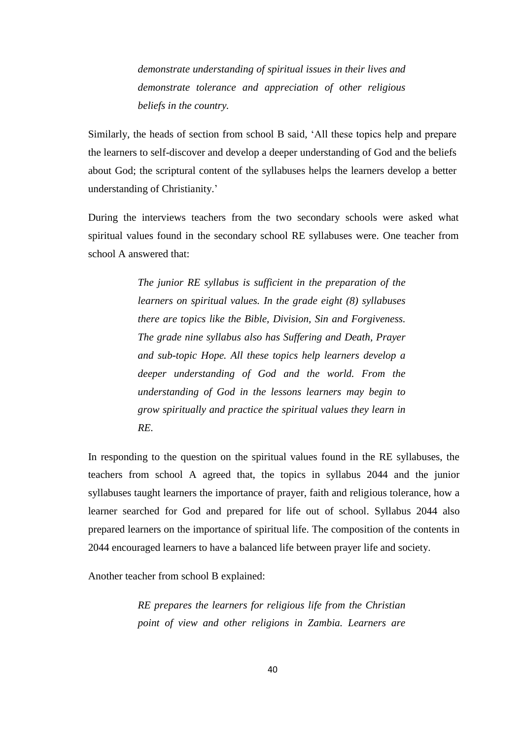*demonstrate understanding of spiritual issues in their lives and demonstrate tolerance and appreciation of other religious beliefs in the country.*

Similarly, the heads of section from school B said, "All these topics help and prepare the learners to self-discover and develop a deeper understanding of God and the beliefs about God; the scriptural content of the syllabuses helps the learners develop a better understanding of Christianity.'

During the interviews teachers from the two secondary schools were asked what spiritual values found in the secondary school RE syllabuses were. One teacher from school A answered that:

> *The junior RE syllabus is sufficient in the preparation of the learners on spiritual values. In the grade eight (8) syllabuses there are topics like the Bible, Division, Sin and Forgiveness. The grade nine syllabus also has Suffering and Death, Prayer and sub-topic Hope. All these topics help learners develop a deeper understanding of God and the world. From the understanding of God in the lessons learners may begin to grow spiritually and practice the spiritual values they learn in RE.*

In responding to the question on the spiritual values found in the RE syllabuses, the teachers from school A agreed that, the topics in syllabus 2044 and the junior syllabuses taught learners the importance of prayer, faith and religious tolerance, how a learner searched for God and prepared for life out of school. Syllabus 2044 also prepared learners on the importance of spiritual life. The composition of the contents in 2044 encouraged learners to have a balanced life between prayer life and society.

Another teacher from school B explained:

 *RE prepares the learners for religious life from the Christian point of view and other religions in Zambia. Learners are*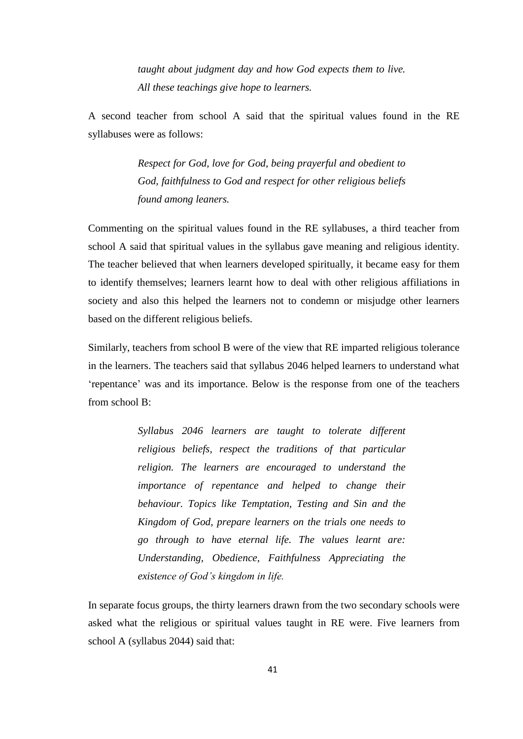*taught about judgment day and how God expects them to live. All these teachings give hope to learners.*

A second teacher from school A said that the spiritual values found in the RE syllabuses were as follows:

> *Respect for God, love for God, being prayerful and obedient to God, faithfulness to God and respect for other religious beliefs found among leaners.*

Commenting on the spiritual values found in the RE syllabuses, a third teacher from school A said that spiritual values in the syllabus gave meaning and religious identity. The teacher believed that when learners developed spiritually, it became easy for them to identify themselves; learners learnt how to deal with other religious affiliations in society and also this helped the learners not to condemn or misjudge other learners based on the different religious beliefs.

Similarly, teachers from school B were of the view that RE imparted religious tolerance in the learners. The teachers said that syllabus 2046 helped learners to understand what "repentance" was and its importance. Below is the response from one of the teachers from school B:

> *Syllabus 2046 learners are taught to tolerate different religious beliefs, respect the traditions of that particular religion. The learners are encouraged to understand the importance of repentance and helped to change their behaviour. Topics like Temptation, Testing and Sin and the Kingdom of God, prepare learners on the trials one needs to go through to have eternal life. The values learnt are: Understanding, Obedience, Faithfulness Appreciating the existence of God"s kingdom in life.*

In separate focus groups, the thirty learners drawn from the two secondary schools were asked what the religious or spiritual values taught in RE were. Five learners from school A (syllabus 2044) said that: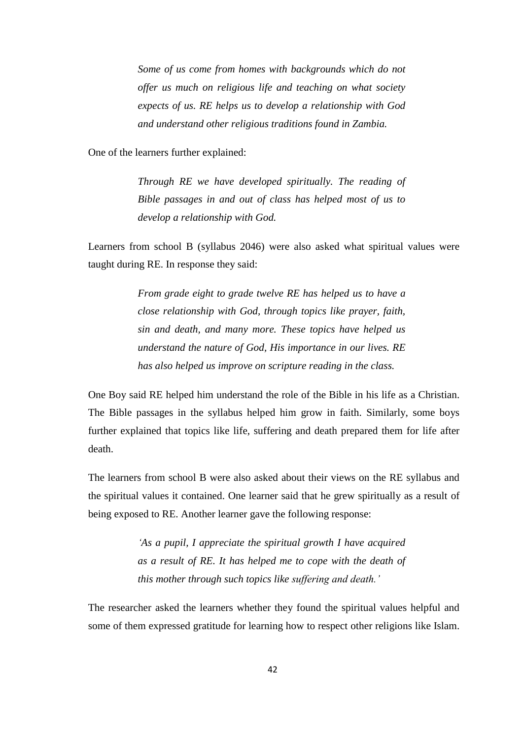*Some of us come from homes with backgrounds which do not offer us much on religious life and teaching on what society expects of us. RE helps us to develop a relationship with God and understand other religious traditions found in Zambia.* 

One of the learners further explained:

 *Through RE we have developed spiritually. The reading of Bible passages in and out of class has helped most of us to develop a relationship with God.*

Learners from school B (syllabus 2046) were also asked what spiritual values were taught during RE. In response they said:

> *From grade eight to grade twelve RE has helped us to have a close relationship with God, through topics like prayer, faith, sin and death, and many more. These topics have helped us understand the nature of God, His importance in our lives. RE has also helped us improve on scripture reading in the class.*

One Boy said RE helped him understand the role of the Bible in his life as a Christian. The Bible passages in the syllabus helped him grow in faith. Similarly, some boys further explained that topics like life, suffering and death prepared them for life after death.

The learners from school B were also asked about their views on the RE syllabus and the spiritual values it contained. One learner said that he grew spiritually as a result of being exposed to RE. Another learner gave the following response:

> *"As a pupil, I appreciate the spiritual growth I have acquired as a result of RE. It has helped me to cope with the death of this mother through such topics like suffering and death."*

The researcher asked the learners whether they found the spiritual values helpful and some of them expressed gratitude for learning how to respect other religions like Islam.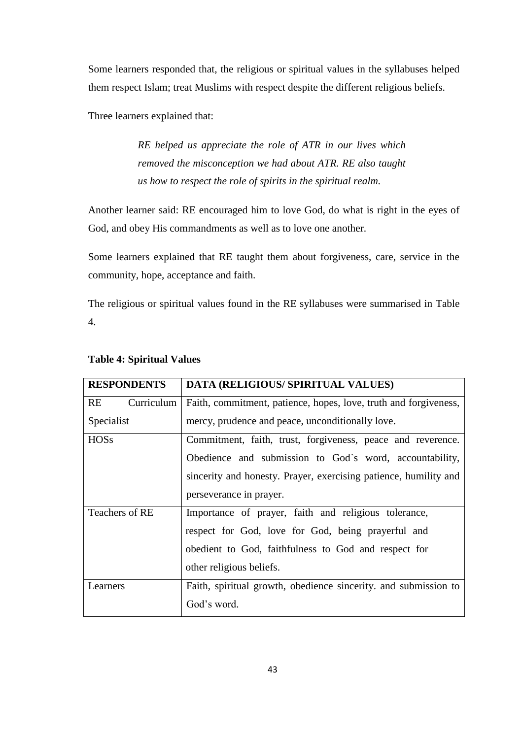Some learners responded that, the religious or spiritual values in the syllabuses helped them respect Islam; treat Muslims with respect despite the different religious beliefs.

Three learners explained that:

 *RE helped us appreciate the role of ATR in our lives which removed the misconception we had about ATR. RE also taught us how to respect the role of spirits in the spiritual realm.* 

Another learner said: RE encouraged him to love God, do what is right in the eyes of God, and obey His commandments as well as to love one another.

Some learners explained that RE taught them about forgiveness, care, service in the community, hope, acceptance and faith.

The religious or spiritual values found in the RE syllabuses were summarised in Table 4.

| <b>RESPONDENTS</b> | DATA (RELIGIOUS/ SPIRITUAL VALUES)                               |  |  |
|--------------------|------------------------------------------------------------------|--|--|
| RE<br>Curriculum   | Faith, commitment, patience, hopes, love, truth and forgiveness, |  |  |
| Specialist         | mercy, prudence and peace, unconditionally love.                 |  |  |
| <b>HOSs</b>        | Commitment, faith, trust, forgiveness, peace and reverence.      |  |  |
|                    | Obedience and submission to God's word, accountability,          |  |  |
|                    | sincerity and honesty. Prayer, exercising patience, humility and |  |  |
|                    | perseverance in prayer.                                          |  |  |
| Teachers of RE     | Importance of prayer, faith and religious tolerance,             |  |  |
|                    | respect for God, love for God, being prayerful and               |  |  |
|                    | obedient to God, faithfulness to God and respect for             |  |  |
|                    | other religious beliefs.                                         |  |  |
| Learners           | Faith, spiritual growth, obedience sincerity. and submission to  |  |  |
|                    | God's word.                                                      |  |  |

# **Table 4: Spiritual Values**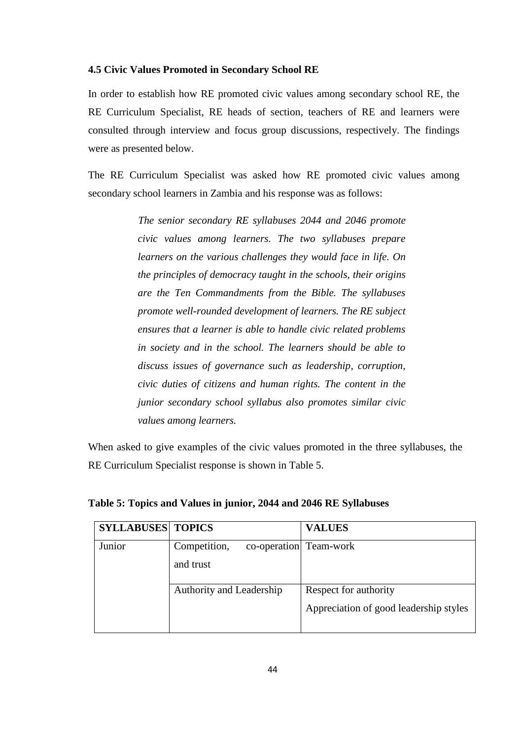#### **4.5 Civic Values Promoted in Secondary School RE**

In order to establish how RE promoted civic values among secondary school RE, the RE Curriculum Specialist, RE heads of section, teachers of RE and learners were consulted through interview and focus group discussions, respectively. The findings were as presented below.

The RE Curriculum Specialist was asked how RE promoted civic values among secondary school learners in Zambia and his response was as follows:

> *The senior secondary RE syllabuses 2044 and 2046 promote civic values among learners. The two syllabuses prepare learners on the various challenges they would face in life. On the principles of democracy taught in the schools, their origins are the Ten Commandments from the Bible. The syllabuses promote well-rounded development of learners. The RE subject ensures that a learner is able to handle civic related problems in society and in the school. The learners should be able to discuss issues of governance such as leadership, corruption, civic duties of citizens and human rights. The content in the junior secondary school syllabus also promotes similar civic values among learners.*

When asked to give examples of the civic values promoted in the three syllabuses, the RE Curriculum Specialist response is shown in Table 5.

| <b>SYLLABUSES TOPICS</b> |                                        | <b>VALUES</b>                          |
|--------------------------|----------------------------------------|----------------------------------------|
| Junior                   | Competition,<br>co-operation Team-work |                                        |
|                          | and trust                              |                                        |
|                          | Authority and Leadership               | Respect for authority                  |
|                          |                                        | Appreciation of good leadership styles |

**Table 5: Topics and Values in junior, 2044 and 2046 RE Syllabuses**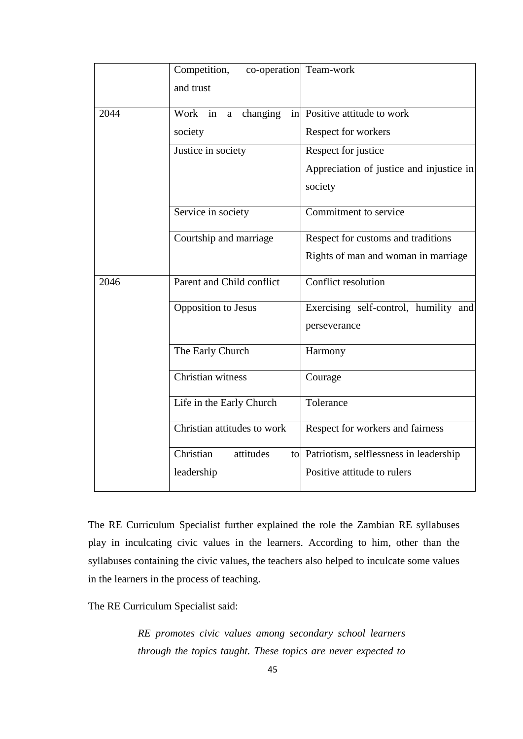|      | Competition,<br>co-operation Team-work |                                           |  |
|------|----------------------------------------|-------------------------------------------|--|
|      | and trust                              |                                           |  |
| 2044 | changing<br>Work in a                  | in Positive attitude to work              |  |
|      | society                                | Respect for workers                       |  |
|      | Justice in society                     | Respect for justice                       |  |
|      |                                        | Appreciation of justice and injustice in  |  |
|      |                                        | society                                   |  |
|      | Service in society                     | Commitment to service                     |  |
|      | Courtship and marriage                 | Respect for customs and traditions        |  |
|      |                                        | Rights of man and woman in marriage       |  |
| 2046 | Parent and Child conflict              | Conflict resolution                       |  |
|      | <b>Opposition</b> to Jesus             | Exercising self-control, humility and     |  |
|      |                                        | perseverance                              |  |
|      | The Early Church                       | Harmony                                   |  |
|      | Christian witness                      | Courage                                   |  |
|      | Life in the Early Church               | Tolerance                                 |  |
|      | Christian attitudes to work            | Respect for workers and fairness          |  |
|      | Christian<br>attitudes                 | to Patriotism, selflessness in leadership |  |
|      | leadership                             | Positive attitude to rulers               |  |

The RE Curriculum Specialist further explained the role the Zambian RE syllabuses play in inculcating civic values in the learners. According to him, other than the syllabuses containing the civic values, the teachers also helped to inculcate some values in the learners in the process of teaching.

The RE Curriculum Specialist said:

 *RE promotes civic values among secondary school learners through the topics taught. These topics are never expected to*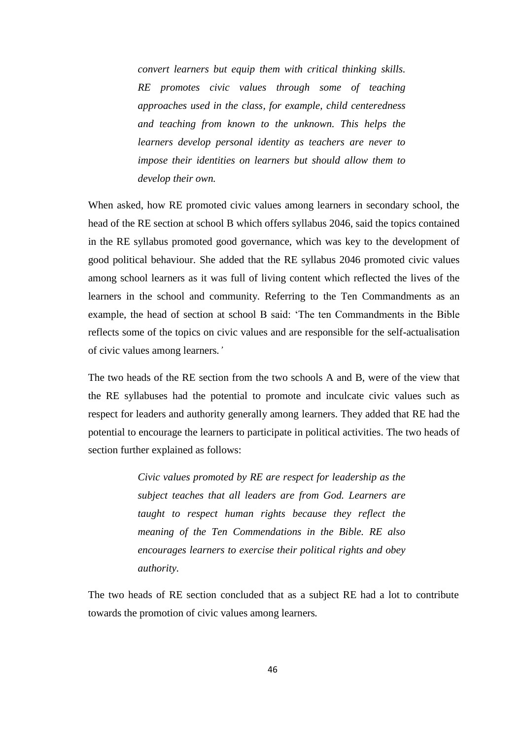*convert learners but equip them with critical thinking skills. RE promotes civic values through some of teaching approaches used in the class, for example, child centeredness and teaching from known to the unknown. This helps the learners develop personal identity as teachers are never to impose their identities on learners but should allow them to develop their own.*

When asked, how RE promoted civic values among learners in secondary school, the head of the RE section at school B which offers syllabus 2046, said the topics contained in the RE syllabus promoted good governance, which was key to the development of good political behaviour. She added that the RE syllabus 2046 promoted civic values among school learners as it was full of living content which reflected the lives of the learners in the school and community. Referring to the Ten Commandments as an example, the head of section at school B said: "The ten Commandments in the Bible reflects some of the topics on civic values and are responsible for the self-actualisation of civic values among learners*."*

The two heads of the RE section from the two schools A and B, were of the view that the RE syllabuses had the potential to promote and inculcate civic values such as respect for leaders and authority generally among learners. They added that RE had the potential to encourage the learners to participate in political activities. The two heads of section further explained as follows:

> *Civic values promoted by RE are respect for leadership as the subject teaches that all leaders are from God. Learners are taught to respect human rights because they reflect the meaning of the Ten Commendations in the Bible. RE also encourages learners to exercise their political rights and obey authority.*

The two heads of RE section concluded that as a subject RE had a lot to contribute towards the promotion of civic values among learners*.*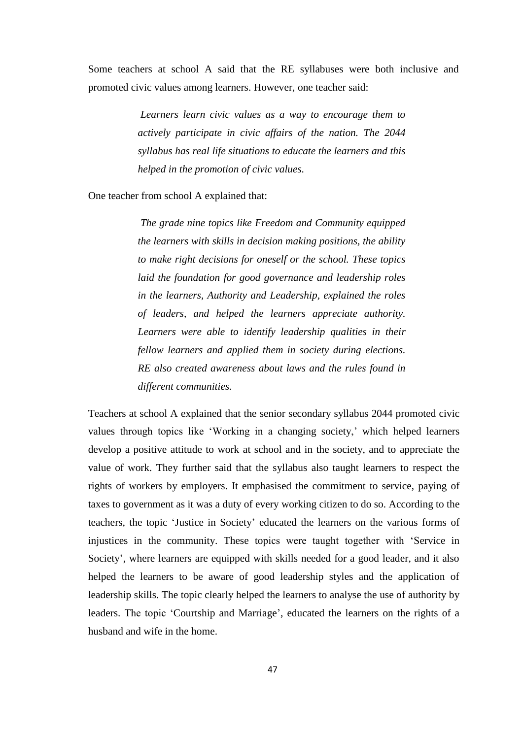Some teachers at school A said that the RE syllabuses were both inclusive and promoted civic values among learners. However, one teacher said:

> *Learners learn civic values as a way to encourage them to actively participate in civic affairs of the nation. The 2044 syllabus has real life situations to educate the learners and this helped in the promotion of civic values.*

One teacher from school A explained that:

 *The grade nine topics like Freedom and Community equipped the learners with skills in decision making positions, the ability to make right decisions for oneself or the school. These topics laid the foundation for good governance and leadership roles in the learners, Authority and Leadership, explained the roles of leaders, and helped the learners appreciate authority.*  Learners were able to identify leadership qualities in their *fellow learners and applied them in society during elections. RE also created awareness about laws and the rules found in different communities.*

Teachers at school A explained that the senior secondary syllabus 2044 promoted civic values through topics like 'Working in a changing society,' which helped learners develop a positive attitude to work at school and in the society, and to appreciate the value of work. They further said that the syllabus also taught learners to respect the rights of workers by employers. It emphasised the commitment to service, paying of taxes to government as it was a duty of every working citizen to do so. According to the teachers, the topic "Justice in Society" educated the learners on the various forms of injustices in the community. These topics were taught together with "Service in Society', where learners are equipped with skills needed for a good leader, and it also helped the learners to be aware of good leadership styles and the application of leadership skills. The topic clearly helped the learners to analyse the use of authority by leaders. The topic 'Courtship and Marriage', educated the learners on the rights of a husband and wife in the home.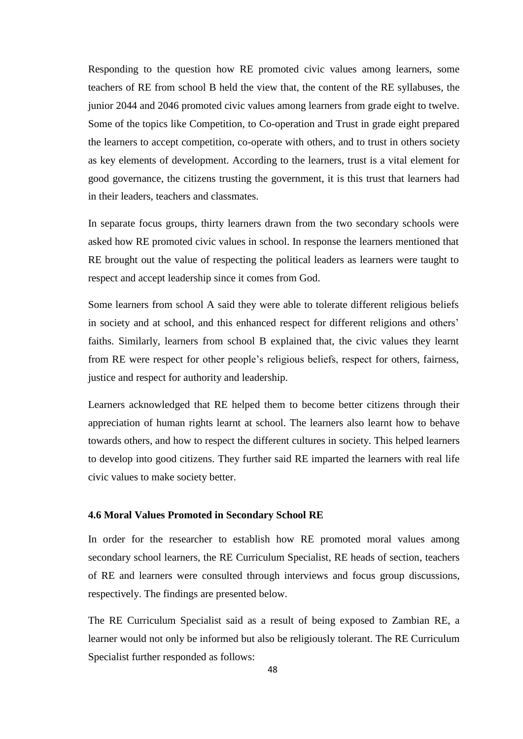Responding to the question how RE promoted civic values among learners, some teachers of RE from school B held the view that, the content of the RE syllabuses, the junior 2044 and 2046 promoted civic values among learners from grade eight to twelve. Some of the topics like Competition, to Co-operation and Trust in grade eight prepared the learners to accept competition, co-operate with others, and to trust in others society as key elements of development. According to the learners, trust is a vital element for good governance, the citizens trusting the government, it is this trust that learners had in their leaders, teachers and classmates.

In separate focus groups, thirty learners drawn from the two secondary schools were asked how RE promoted civic values in school. In response the learners mentioned that RE brought out the value of respecting the political leaders as learners were taught to respect and accept leadership since it comes from God.

Some learners from school A said they were able to tolerate different religious beliefs in society and at school, and this enhanced respect for different religions and others" faiths. Similarly, learners from school B explained that, the civic values they learnt from RE were respect for other people"s religious beliefs, respect for others, fairness, justice and respect for authority and leadership.

Learners acknowledged that RE helped them to become better citizens through their appreciation of human rights learnt at school. The learners also learnt how to behave towards others, and how to respect the different cultures in society. This helped learners to develop into good citizens. They further said RE imparted the learners with real life civic values to make society better.

# **4.6 Moral Values Promoted in Secondary School RE**

In order for the researcher to establish how RE promoted moral values among secondary school learners, the RE Curriculum Specialist, RE heads of section, teachers of RE and learners were consulted through interviews and focus group discussions, respectively. The findings are presented below.

The RE Curriculum Specialist said as a result of being exposed to Zambian RE, a learner would not only be informed but also be religiously tolerant. The RE Curriculum Specialist further responded as follows: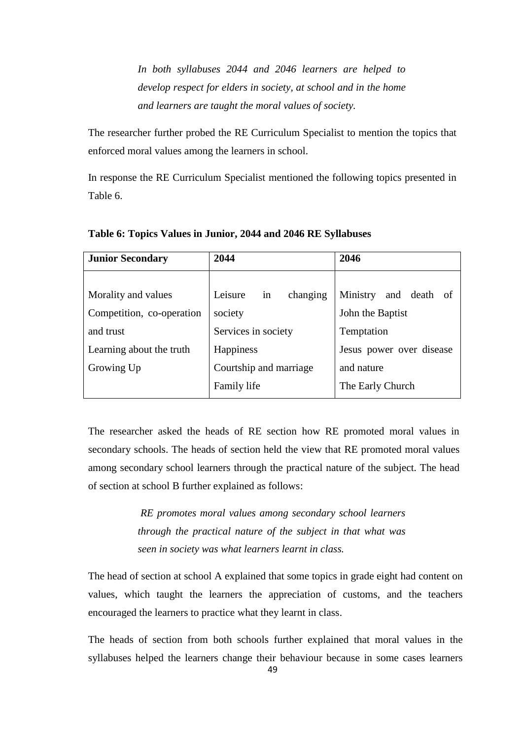*In both syllabuses 2044 and 2046 learners are helped to develop respect for elders in society, at school and in the home and learners are taught the moral values of society.* 

The researcher further probed the RE Curriculum Specialist to mention the topics that enforced moral values among the learners in school.

In response the RE Curriculum Specialist mentioned the following topics presented in Table 6.

| <b>Junior Secondary</b>   | 2044                      | 2046                     |
|---------------------------|---------------------------|--------------------------|
|                           |                           |                          |
| Morality and values       | changing<br>Leisure<br>in | Ministry<br>and death of |
| Competition, co-operation | society                   | John the Baptist         |
| and trust                 | Services in society       | Temptation               |
| Learning about the truth  | <b>Happiness</b>          | Jesus power over disease |
| Growing Up                | Courtship and marriage    | and nature               |
|                           | Family life               | The Early Church         |

**Table 6: Topics Values in Junior, 2044 and 2046 RE Syllabuses** 

The researcher asked the heads of RE section how RE promoted moral values in secondary schools. The heads of section held the view that RE promoted moral values among secondary school learners through the practical nature of the subject. The head of section at school B further explained as follows:

> *RE promotes moral values among secondary school learners through the practical nature of the subject in that what was seen in society was what learners learnt in class.*

The head of section at school A explained that some topics in grade eight had content on values, which taught the learners the appreciation of customs, and the teachers encouraged the learners to practice what they learnt in class.

The heads of section from both schools further explained that moral values in the syllabuses helped the learners change their behaviour because in some cases learners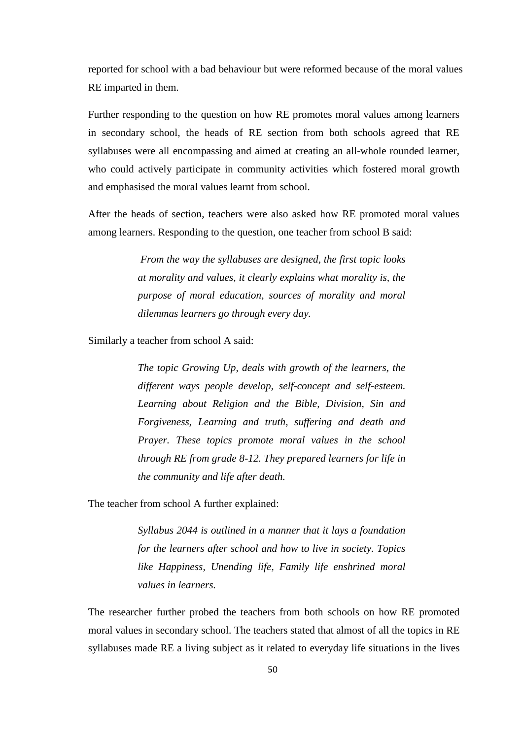reported for school with a bad behaviour but were reformed because of the moral values RE imparted in them.

Further responding to the question on how RE promotes moral values among learners in secondary school, the heads of RE section from both schools agreed that RE syllabuses were all encompassing and aimed at creating an all-whole rounded learner, who could actively participate in community activities which fostered moral growth and emphasised the moral values learnt from school.

After the heads of section, teachers were also asked how RE promoted moral values among learners. Responding to the question, one teacher from school B said:

> *From the way the syllabuses are designed, the first topic looks at morality and values, it clearly explains what morality is, the purpose of moral education, sources of morality and moral dilemmas learners go through every day.*

Similarly a teacher from school A said:

 *The topic Growing Up, deals with growth of the learners, the different ways people develop, self-concept and self-esteem. Learning about Religion and the Bible, Division, Sin and Forgiveness, Learning and truth, suffering and death and Prayer. These topics promote moral values in the school through RE from grade 8-12. They prepared learners for life in the community and life after death.* 

The teacher from school A further explained:

 *Syllabus 2044 is outlined in a manner that it lays a foundation for the learners after school and how to live in society. Topics like Happiness, Unending life, Family life enshrined moral values in learners.* 

The researcher further probed the teachers from both schools on how RE promoted moral values in secondary school. The teachers stated that almost of all the topics in RE syllabuses made RE a living subject as it related to everyday life situations in the lives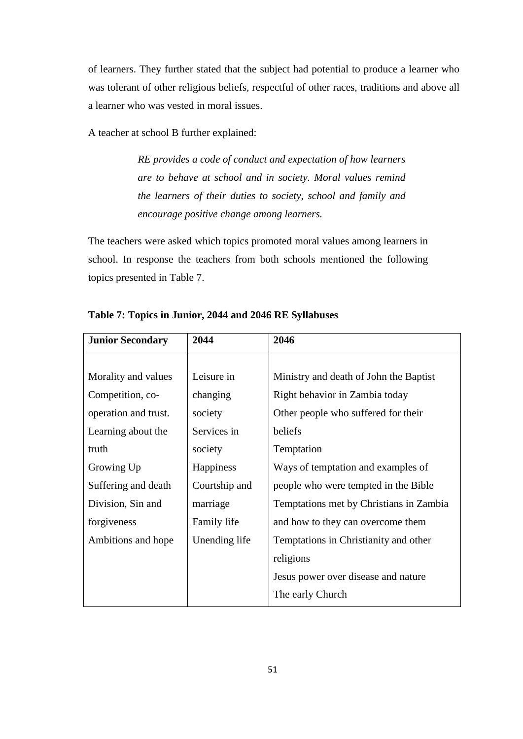of learners. They further stated that the subject had potential to produce a learner who was tolerant of other religious beliefs, respectful of other races, traditions and above all a learner who was vested in moral issues.

A teacher at school B further explained:

 *RE provides a code of conduct and expectation of how learners are to behave at school and in society. Moral values remind the learners of their duties to society, school and family and encourage positive change among learners.*

The teachers were asked which topics promoted moral values among learners in school. In response the teachers from both schools mentioned the following topics presented in Table 7.

| <b>Junior Secondary</b> | 2044             | 2046                                    |
|-------------------------|------------------|-----------------------------------------|
|                         |                  |                                         |
| Morality and values     | Leisure in       | Ministry and death of John the Baptist  |
| Competition, co-        | changing         | Right behavior in Zambia today          |
| operation and trust.    | society          | Other people who suffered for their     |
| Learning about the      | Services in      | beliefs                                 |
| truth                   | society          | Temptation                              |
| Growing Up              | <b>Happiness</b> | Ways of temptation and examples of      |
| Suffering and death     | Courtship and    | people who were tempted in the Bible    |
| Division, Sin and       | marriage         | Temptations met by Christians in Zambia |
| forgiveness             | Family life      | and how to they can overcome them       |
| Ambitions and hope      | Unending life    | Temptations in Christianity and other   |
|                         |                  | religions                               |
|                         |                  | Jesus power over disease and nature     |
|                         |                  | The early Church                        |

**Table 7: Topics in Junior, 2044 and 2046 RE Syllabuses**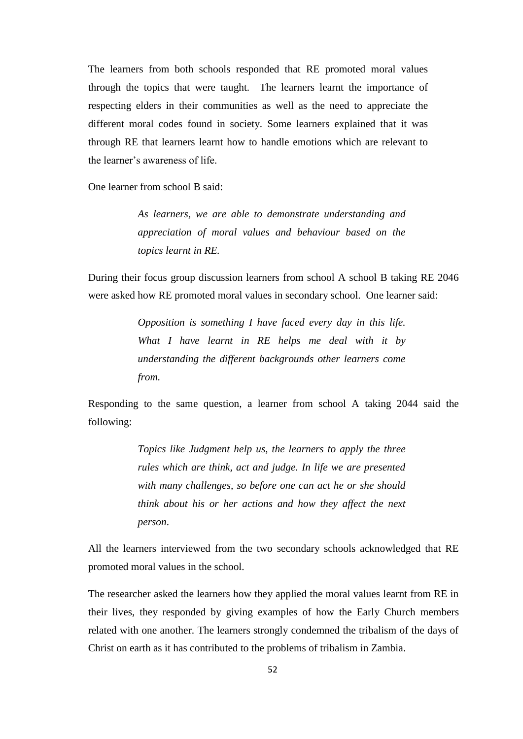The learners from both schools responded that RE promoted moral values through the topics that were taught. The learners learnt the importance of respecting elders in their communities as well as the need to appreciate the different moral codes found in society. Some learners explained that it was through RE that learners learnt how to handle emotions which are relevant to the learner"s awareness of life.

One learner from school B said:

 *As learners, we are able to demonstrate understanding and appreciation of moral values and behaviour based on the topics learnt in RE.* 

During their focus group discussion learners from school A school B taking RE 2046 were asked how RE promoted moral values in secondary school. One learner said:

> *Opposition is something I have faced every day in this life. What I have learnt in RE helps me deal with it by understanding the different backgrounds other learners come from.*

Responding to the same question, a learner from school A taking 2044 said the following:

> *Topics like Judgment help us, the learners to apply the three rules which are think, act and judge. In life we are presented with many challenges, so before one can act he or she should think about his or her actions and how they affect the next person*.

All the learners interviewed from the two secondary schools acknowledged that RE promoted moral values in the school.

The researcher asked the learners how they applied the moral values learnt from RE in their lives, they responded by giving examples of how the Early Church members related with one another. The learners strongly condemned the tribalism of the days of Christ on earth as it has contributed to the problems of tribalism in Zambia.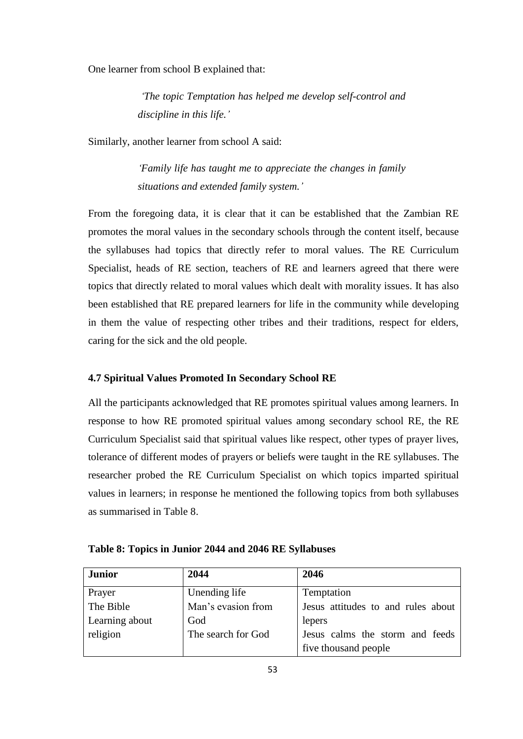One learner from school B explained that:

 *"The topic Temptation has helped me develop self-control and discipline in this life."*

Similarly, another learner from school A said:

 *"Family life has taught me to appreciate the changes in family situations and extended family system."* 

From the foregoing data, it is clear that it can be established that the Zambian RE promotes the moral values in the secondary schools through the content itself, because the syllabuses had topics that directly refer to moral values. The RE Curriculum Specialist, heads of RE section, teachers of RE and learners agreed that there were topics that directly related to moral values which dealt with morality issues. It has also been established that RE prepared learners for life in the community while developing in them the value of respecting other tribes and their traditions, respect for elders, caring for the sick and the old people.

## **4.7 Spiritual Values Promoted In Secondary School RE**

All the participants acknowledged that RE promotes spiritual values among learners. In response to how RE promoted spiritual values among secondary school RE, the RE Curriculum Specialist said that spiritual values like respect, other types of prayer lives, tolerance of different modes of prayers or beliefs were taught in the RE syllabuses. The researcher probed the RE Curriculum Specialist on which topics imparted spiritual values in learners; in response he mentioned the following topics from both syllabuses as summarised in Table 8.

| <b>Junior</b>  | 2044               | 2046                               |
|----------------|--------------------|------------------------------------|
| Prayer         | Unending life      | Temptation                         |
| The Bible      | Man's evasion from | Jesus attitudes to and rules about |
| Learning about | God                | lepers                             |
| religion       | The search for God | Jesus calms the storm and feeds    |
|                |                    | five thousand people               |

**Table 8: Topics in Junior 2044 and 2046 RE Syllabuses**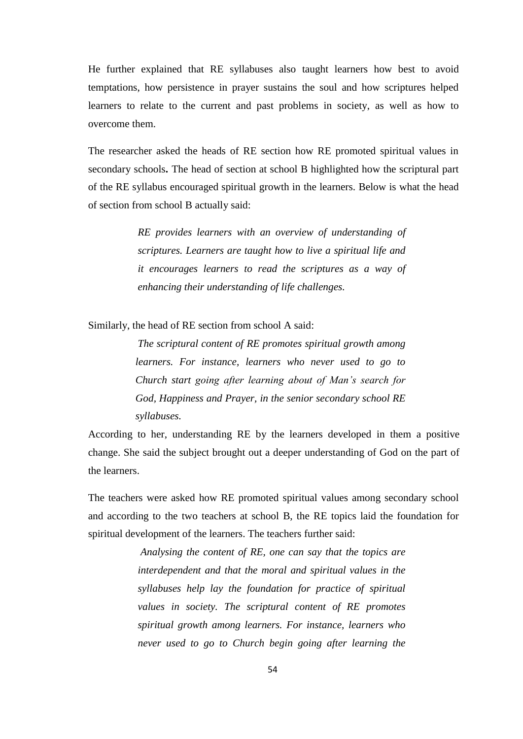He further explained that RE syllabuses also taught learners how best to avoid temptations, how persistence in prayer sustains the soul and how scriptures helped learners to relate to the current and past problems in society, as well as how to overcome them.

The researcher asked the heads of RE section how RE promoted spiritual values in secondary schools**.** The head of section at school B highlighted how the scriptural part of the RE syllabus encouraged spiritual growth in the learners. Below is what the head of section from school B actually said:

> *RE provides learners with an overview of understanding of scriptures. Learners are taught how to live a spiritual life and it encourages learners to read the scriptures as a way of enhancing their understanding of life challenges.*

Similarly, the head of RE section from school A said:

*The scriptural content of RE promotes spiritual growth among learners. For instance, learners who never used to go to Church start going after learning about of Man"s search for God, Happiness and Prayer, in the senior secondary school RE syllabuses.*

According to her, understanding RE by the learners developed in them a positive change. She said the subject brought out a deeper understanding of God on the part of the learners.

The teachers were asked how RE promoted spiritual values among secondary school and according to the two teachers at school B, the RE topics laid the foundation for spiritual development of the learners. The teachers further said:

> *Analysing the content of RE, one can say that the topics are interdependent and that the moral and spiritual values in the syllabuses help lay the foundation for practice of spiritual values in society. The scriptural content of RE promotes spiritual growth among learners. For instance, learners who never used to go to Church begin going after learning the*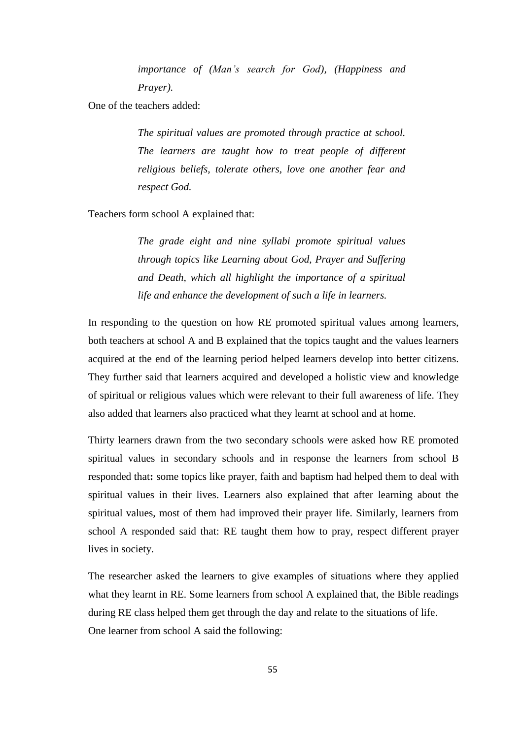*importance of (Man"s search for God), (Happiness and Prayer).*

One of the teachers added:

 *The spiritual values are promoted through practice at school. The learners are taught how to treat people of different religious beliefs, tolerate others, love one another fear and respect God.* 

Teachers form school A explained that:

 *The grade eight and nine syllabi promote spiritual values through topics like Learning about God, Prayer and Suffering and Death, which all highlight the importance of a spiritual life and enhance the development of such a life in learners.*

In responding to the question on how RE promoted spiritual values among learners, both teachers at school A and B explained that the topics taught and the values learners acquired at the end of the learning period helped learners develop into better citizens. They further said that learners acquired and developed a holistic view and knowledge of spiritual or religious values which were relevant to their full awareness of life. They also added that learners also practiced what they learnt at school and at home.

Thirty learners drawn from the two secondary schools were asked how RE promoted spiritual values in secondary schools and in response the learners from school B responded that**:** some topics like prayer, faith and baptism had helped them to deal with spiritual values in their lives. Learners also explained that after learning about the spiritual values, most of them had improved their prayer life. Similarly, learners from school A responded said that: RE taught them how to pray, respect different prayer lives in society.

The researcher asked the learners to give examples of situations where they applied what they learnt in RE. Some learners from school A explained that, the Bible readings during RE class helped them get through the day and relate to the situations of life. One learner from school A said the following: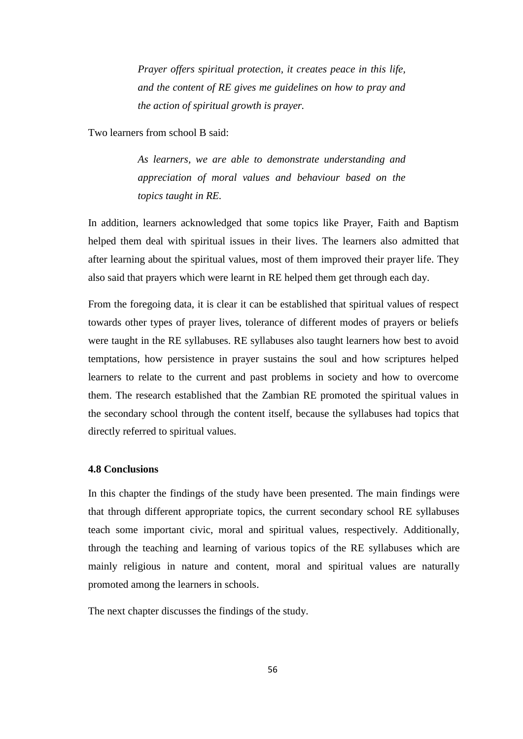*Prayer offers spiritual protection, it creates peace in this life, and the content of RE gives me guidelines on how to pray and the action of spiritual growth is prayer.*

Two learners from school B said:

 *As learners, we are able to demonstrate understanding and appreciation of moral values and behaviour based on the topics taught in RE.* 

In addition, learners acknowledged that some topics like Prayer, Faith and Baptism helped them deal with spiritual issues in their lives. The learners also admitted that after learning about the spiritual values, most of them improved their prayer life. They also said that prayers which were learnt in RE helped them get through each day.

From the foregoing data, it is clear it can be established that spiritual values of respect towards other types of prayer lives, tolerance of different modes of prayers or beliefs were taught in the RE syllabuses. RE syllabuses also taught learners how best to avoid temptations, how persistence in prayer sustains the soul and how scriptures helped learners to relate to the current and past problems in society and how to overcome them. The research established that the Zambian RE promoted the spiritual values in the secondary school through the content itself, because the syllabuses had topics that directly referred to spiritual values.

## **4.8 Conclusions**

In this chapter the findings of the study have been presented. The main findings were that through different appropriate topics, the current secondary school RE syllabuses teach some important civic, moral and spiritual values, respectively. Additionally, through the teaching and learning of various topics of the RE syllabuses which are mainly religious in nature and content, moral and spiritual values are naturally promoted among the learners in schools.

The next chapter discusses the findings of the study.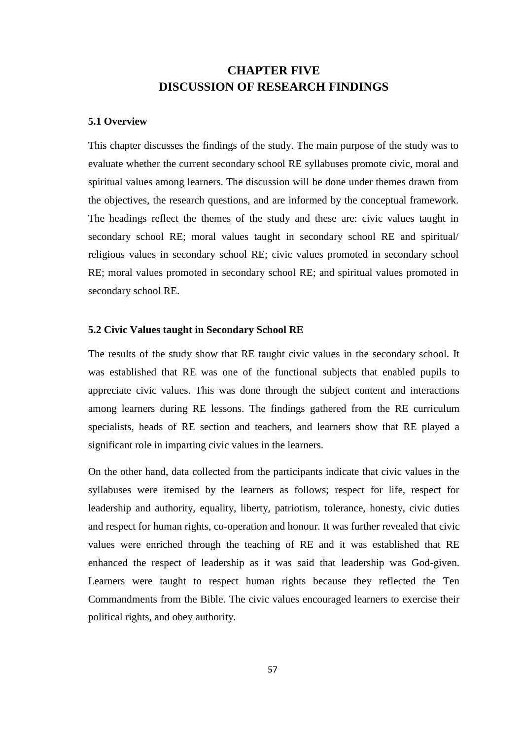# **CHAPTER FIVE DISCUSSION OF RESEARCH FINDINGS**

## **5.1 Overview**

This chapter discusses the findings of the study. The main purpose of the study was to evaluate whether the current secondary school RE syllabuses promote civic, moral and spiritual values among learners. The discussion will be done under themes drawn from the objectives, the research questions, and are informed by the conceptual framework. The headings reflect the themes of the study and these are: civic values taught in secondary school RE; moral values taught in secondary school RE and spiritual/ religious values in secondary school RE; civic values promoted in secondary school RE; moral values promoted in secondary school RE; and spiritual values promoted in secondary school RE.

#### **5.2 Civic Values taught in Secondary School RE**

The results of the study show that RE taught civic values in the secondary school. It was established that RE was one of the functional subjects that enabled pupils to appreciate civic values. This was done through the subject content and interactions among learners during RE lessons. The findings gathered from the RE curriculum specialists, heads of RE section and teachers, and learners show that RE played a significant role in imparting civic values in the learners.

On the other hand, data collected from the participants indicate that civic values in the syllabuses were itemised by the learners as follows; respect for life, respect for leadership and authority, equality, liberty, patriotism, tolerance, honesty, civic duties and respect for human rights, co-operation and honour. It was further revealed that civic values were enriched through the teaching of RE and it was established that RE enhanced the respect of leadership as it was said that leadership was God-given. Learners were taught to respect human rights because they reflected the Ten Commandments from the Bible. The civic values encouraged learners to exercise their political rights, and obey authority.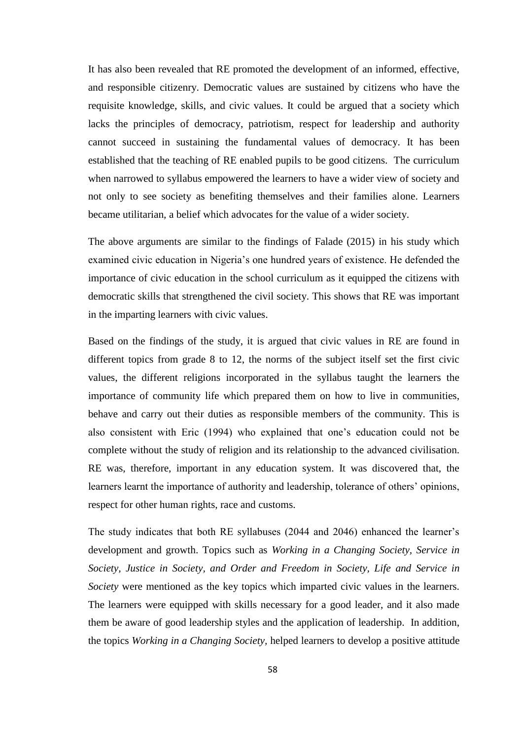It has also been revealed that RE promoted the development of an informed, effective, and responsible citizenry. Democratic values are sustained by citizens who have the requisite knowledge, skills, and civic values. It could be argued that a society which lacks the principles of democracy, patriotism, respect for leadership and authority cannot succeed in sustaining the fundamental values of democracy. It has been established that the teaching of RE enabled pupils to be good citizens. The curriculum when narrowed to syllabus empowered the learners to have a wider view of society and not only to see society as benefiting themselves and their families alone. Learners became utilitarian, a belief which advocates for the value of a wider society.

The above arguments are similar to the findings of Falade (2015) in his study which examined civic education in Nigeria"s one hundred years of existence. He defended the importance of civic education in the school curriculum as it equipped the citizens with democratic skills that strengthened the civil society. This shows that RE was important in the imparting learners with civic values.

Based on the findings of the study, it is argued that civic values in RE are found in different topics from grade 8 to 12, the norms of the subject itself set the first civic values, the different religions incorporated in the syllabus taught the learners the importance of community life which prepared them on how to live in communities, behave and carry out their duties as responsible members of the community. This is also consistent with Eric (1994) who explained that one"s education could not be complete without the study of religion and its relationship to the advanced civilisation. RE was, therefore, important in any education system. It was discovered that, the learners learnt the importance of authority and leadership, tolerance of others" opinions, respect for other human rights, race and customs.

The study indicates that both RE syllabuses (2044 and 2046) enhanced the learner"s development and growth. Topics such as *Working in a Changing Society, Service in Society, Justice in Society, and Order and Freedom in Society, Life and Service in Society* were mentioned as the key topics which imparted civic values in the learners. The learners were equipped with skills necessary for a good leader, and it also made them be aware of good leadership styles and the application of leadership. In addition, the topics *Working in a Changing Society,* helped learners to develop a positive attitude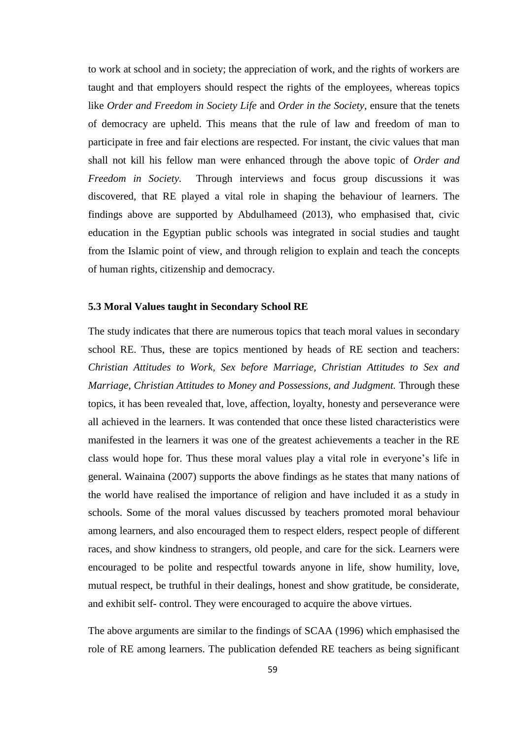to work at school and in society; the appreciation of work, and the rights of workers are taught and that employers should respect the rights of the employees, whereas topics like *Order and Freedom in Society Life* and *Order in the Society*, ensure that the tenets of democracy are upheld. This means that the rule of law and freedom of man to participate in free and fair elections are respected. For instant, the civic values that man shall not kill his fellow man were enhanced through the above topic of *Order and Freedom in Society.* Through interviews and focus group discussions it was discovered, that RE played a vital role in shaping the behaviour of learners. The findings above are supported by Abdulhameed (2013), who emphasised that, civic education in the Egyptian public schools was integrated in social studies and taught from the Islamic point of view, and through religion to explain and teach the concepts of human rights, citizenship and democracy.

#### **5.3 Moral Values taught in Secondary School RE**

The study indicates that there are numerous topics that teach moral values in secondary school RE. Thus, these are topics mentioned by heads of RE section and teachers: *Christian Attitudes to Work, Sex before Marriage, Christian Attitudes to Sex and Marriage, Christian Attitudes to Money and Possessions, and Judgment.* Through these topics, it has been revealed that, love, affection, loyalty, honesty and perseverance were all achieved in the learners. It was contended that once these listed characteristics were manifested in the learners it was one of the greatest achievements a teacher in the RE class would hope for. Thus these moral values play a vital role in everyone"s life in general. Wainaina (2007) supports the above findings as he states that many nations of the world have realised the importance of religion and have included it as a study in schools. Some of the moral values discussed by teachers promoted moral behaviour among learners, and also encouraged them to respect elders, respect people of different races, and show kindness to strangers, old people, and care for the sick. Learners were encouraged to be polite and respectful towards anyone in life, show humility, love, mutual respect, be truthful in their dealings, honest and show gratitude, be considerate, and exhibit self- control. They were encouraged to acquire the above virtues.

The above arguments are similar to the findings of SCAA (1996) which emphasised the role of RE among learners. The publication defended RE teachers as being significant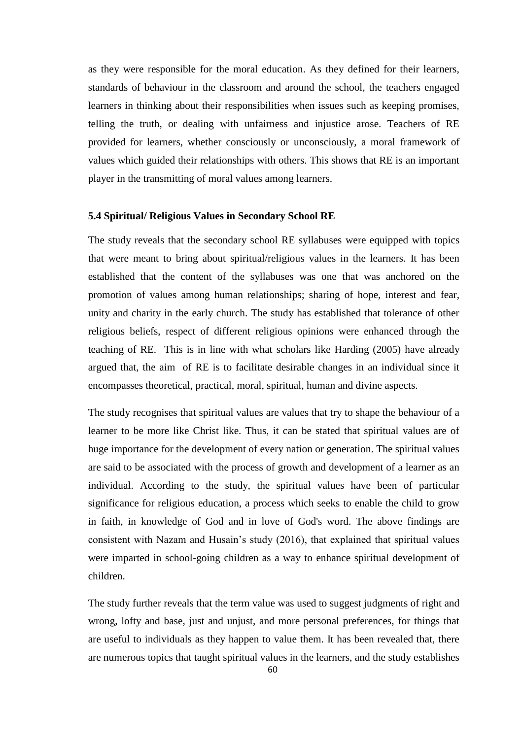as they were responsible for the moral education. As they defined for their learners, standards of behaviour in the classroom and around the school, the teachers engaged learners in thinking about their responsibilities when issues such as keeping promises, telling the truth, or dealing with unfairness and injustice arose. Teachers of RE provided for learners, whether consciously or unconsciously, a moral framework of values which guided their relationships with others. This shows that RE is an important player in the transmitting of moral values among learners.

#### **5.4 Spiritual/ Religious Values in Secondary School RE**

The study reveals that the secondary school RE syllabuses were equipped with topics that were meant to bring about spiritual/religious values in the learners. It has been established that the content of the syllabuses was one that was anchored on the promotion of values among human relationships; sharing of hope, interest and fear, unity and charity in the early church. The study has established that tolerance of other religious beliefs, respect of different religious opinions were enhanced through the teaching of RE. This is in line with what scholars like Harding (2005) have already argued that, the aim of RE is to facilitate desirable changes in an individual since it encompasses theoretical, practical, moral, spiritual, human and divine aspects.

The study recognises that spiritual values are values that try to shape the behaviour of a learner to be more like Christ like. Thus, it can be stated that spiritual values are of huge importance for the development of every nation or generation. The spiritual values are said to be associated with the process of growth and development of a learner as an individual. According to the study, the spiritual values have been of particular significance for religious education, a process which seeks to enable the child to grow in faith, in knowledge of God and in love of God's word. The above findings are consistent with Nazam and Husain"s study (2016), that explained that spiritual values were imparted in school-going children as a way to enhance spiritual development of children.

The study further reveals that the term value was used to suggest judgments of right and wrong, lofty and base, just and unjust, and more personal preferences, for things that are useful to individuals as they happen to value them. It has been revealed that, there are numerous topics that taught spiritual values in the learners, and the study establishes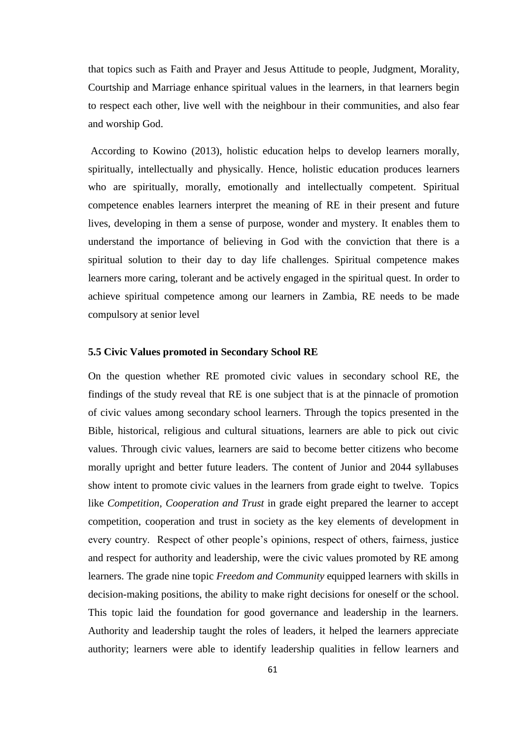that topics such as Faith and Prayer and Jesus Attitude to people, Judgment, Morality, Courtship and Marriage enhance spiritual values in the learners, in that learners begin to respect each other, live well with the neighbour in their communities, and also fear and worship God.

According to Kowino (2013), holistic education helps to develop learners morally, spiritually, intellectually and physically. Hence, holistic education produces learners who are spiritually, morally, emotionally and intellectually competent. Spiritual competence enables learners interpret the meaning of RE in their present and future lives, developing in them a sense of purpose, wonder and mystery. It enables them to understand the importance of believing in God with the conviction that there is a spiritual solution to their day to day life challenges. Spiritual competence makes learners more caring, tolerant and be actively engaged in the spiritual quest. In order to achieve spiritual competence among our learners in Zambia, RE needs to be made compulsory at senior level

#### **5.5 Civic Values promoted in Secondary School RE**

On the question whether RE promoted civic values in secondary school RE, the findings of the study reveal that RE is one subject that is at the pinnacle of promotion of civic values among secondary school learners. Through the topics presented in the Bible, historical, religious and cultural situations, learners are able to pick out civic values. Through civic values, learners are said to become better citizens who become morally upright and better future leaders. The content of Junior and 2044 syllabuses show intent to promote civic values in the learners from grade eight to twelve. Topics like *Competition, Cooperation and Trust* in grade eight prepared the learner to accept competition, cooperation and trust in society as the key elements of development in every country. Respect of other people"s opinions, respect of others, fairness, justice and respect for authority and leadership, were the civic values promoted by RE among learners. The grade nine topic *Freedom and Community* equipped learners with skills in decision-making positions, the ability to make right decisions for oneself or the school. This topic laid the foundation for good governance and leadership in the learners. Authority and leadership taught the roles of leaders, it helped the learners appreciate authority; learners were able to identify leadership qualities in fellow learners and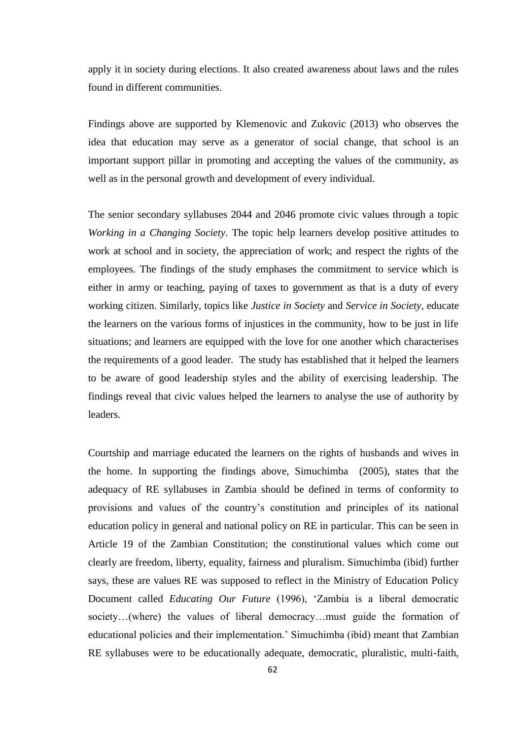apply it in society during elections. It also created awareness about laws and the rules found in different communities.

Findings above are supported by Klemenovic and Zukovic (2013) who observes the idea that education may serve as a generator of social change, that school is an important support pillar in promoting and accepting the values of the community, as well as in the personal growth and development of every individual.

The senior secondary syllabuses 2044 and 2046 promote civic values through a topic *Working in a Changing Society*. The topic help learners develop positive attitudes to work at school and in society, the appreciation of work; and respect the rights of the employees. The findings of the study emphases the commitment to service which is either in army or teaching, paying of taxes to government as that is a duty of every working citizen. Similarly, topics like *Justice in Society* and *Service in Society*, educate the learners on the various forms of injustices in the community, how to be just in life situations; and learners are equipped with the love for one another which characterises the requirements of a good leader. The study has established that it helped the learners to be aware of good leadership styles and the ability of exercising leadership. The findings reveal that civic values helped the learners to analyse the use of authority by leaders.

Courtship and marriage educated the learners on the rights of husbands and wives in the home. In supporting the findings above, Simuchimba (2005), states that the adequacy of RE syllabuses in Zambia should be defined in terms of conformity to provisions and values of the country"s constitution and principles of its national education policy in general and national policy on RE in particular. This can be seen in Article 19 of the Zambian Constitution; the constitutional values which come out clearly are freedom, liberty, equality, fairness and pluralism. Simuchimba (ibid) further says, these are values RE was supposed to reflect in the Ministry of Education Policy Document called *Educating Our Future* (1996), "Zambia is a liberal democratic society…(where) the values of liberal democracy…must guide the formation of educational policies and their implementation." Simuchimba (ibid) meant that Zambian RE syllabuses were to be educationally adequate, democratic, pluralistic, multi-faith,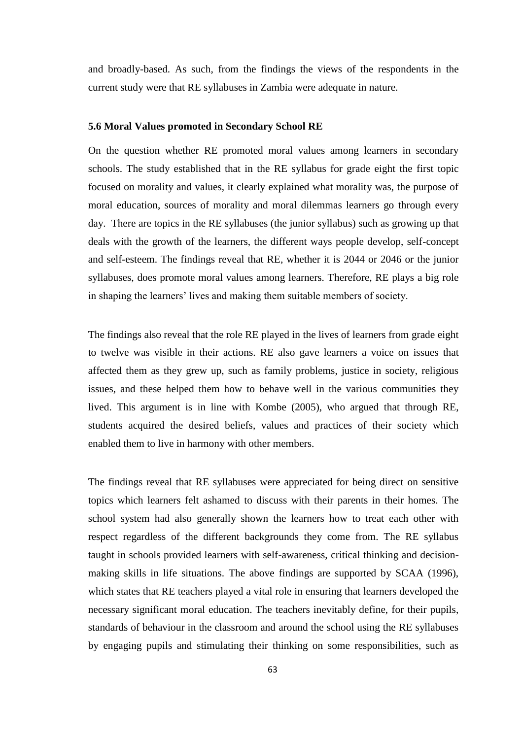and broadly-based. As such, from the findings the views of the respondents in the current study were that RE syllabuses in Zambia were adequate in nature.

#### **5.6 Moral Values promoted in Secondary School RE**

On the question whether RE promoted moral values among learners in secondary schools. The study established that in the RE syllabus for grade eight the first topic focused on morality and values, it clearly explained what morality was, the purpose of moral education, sources of morality and moral dilemmas learners go through every day. There are topics in the RE syllabuses (the junior syllabus) such as growing up that deals with the growth of the learners, the different ways people develop, self-concept and self-esteem. The findings reveal that RE, whether it is 2044 or 2046 or the junior syllabuses, does promote moral values among learners. Therefore, RE plays a big role in shaping the learners' lives and making them suitable members of society.

The findings also reveal that the role RE played in the lives of learners from grade eight to twelve was visible in their actions. RE also gave learners a voice on issues that affected them as they grew up, such as family problems, justice in society, religious issues, and these helped them how to behave well in the various communities they lived. This argument is in line with Kombe (2005), who argued that through RE, students acquired the desired beliefs, values and practices of their society which enabled them to live in harmony with other members.

The findings reveal that RE syllabuses were appreciated for being direct on sensitive topics which learners felt ashamed to discuss with their parents in their homes. The school system had also generally shown the learners how to treat each other with respect regardless of the different backgrounds they come from. The RE syllabus taught in schools provided learners with self-awareness, critical thinking and decisionmaking skills in life situations. The above findings are supported by SCAA (1996), which states that RE teachers played a vital role in ensuring that learners developed the necessary significant moral education. The teachers inevitably define, for their pupils, standards of behaviour in the classroom and around the school using the RE syllabuses by engaging pupils and stimulating their thinking on some responsibilities, such as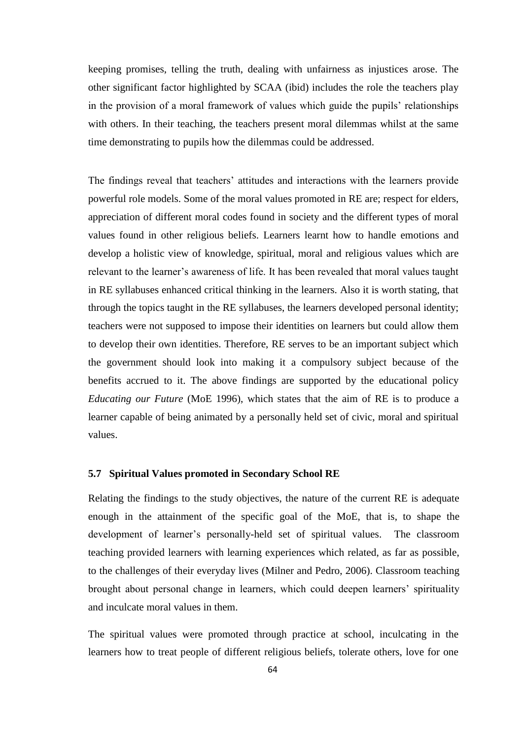keeping promises, telling the truth, dealing with unfairness as injustices arose. The other significant factor highlighted by SCAA (ibid) includes the role the teachers play in the provision of a moral framework of values which guide the pupils" relationships with others. In their teaching, the teachers present moral dilemmas whilst at the same time demonstrating to pupils how the dilemmas could be addressed.

The findings reveal that teachers' attitudes and interactions with the learners provide powerful role models. Some of the moral values promoted in RE are; respect for elders, appreciation of different moral codes found in society and the different types of moral values found in other religious beliefs. Learners learnt how to handle emotions and develop a holistic view of knowledge, spiritual, moral and religious values which are relevant to the learner's awareness of life. It has been revealed that moral values taught in RE syllabuses enhanced critical thinking in the learners. Also it is worth stating, that through the topics taught in the RE syllabuses, the learners developed personal identity; teachers were not supposed to impose their identities on learners but could allow them to develop their own identities. Therefore, RE serves to be an important subject which the government should look into making it a compulsory subject because of the benefits accrued to it. The above findings are supported by the educational policy *Educating our Future* (MoE 1996), which states that the aim of RE is to produce a learner capable of being animated by a personally held set of civic, moral and spiritual values.

### **5.7 Spiritual Values promoted in Secondary School RE**

Relating the findings to the study objectives, the nature of the current RE is adequate enough in the attainment of the specific goal of the MoE, that is, to shape the development of learner"s personally-held set of spiritual values. The classroom teaching provided learners with learning experiences which related, as far as possible, to the challenges of their everyday lives (Milner and Pedro, 2006). Classroom teaching brought about personal change in learners, which could deepen learners" spirituality and inculcate moral values in them.

The spiritual values were promoted through practice at school, inculcating in the learners how to treat people of different religious beliefs, tolerate others, love for one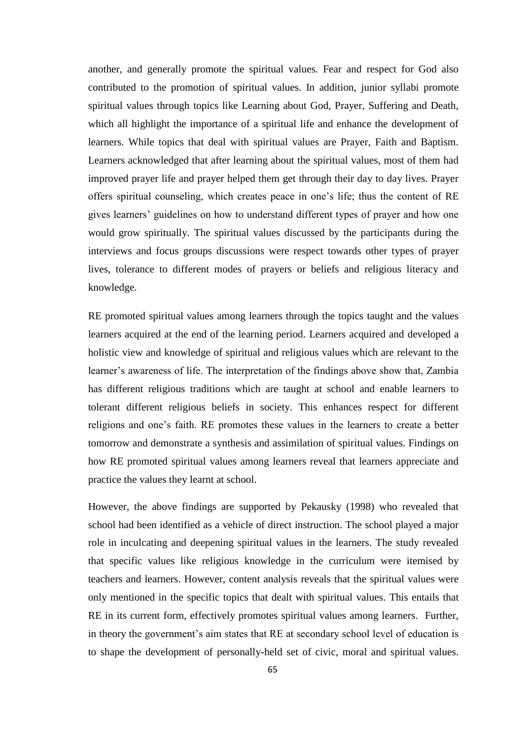another, and generally promote the spiritual values. Fear and respect for God also contributed to the promotion of spiritual values. In addition, junior syllabi promote spiritual values through topics like Learning about God, Prayer, Suffering and Death, which all highlight the importance of a spiritual life and enhance the development of learners. While topics that deal with spiritual values are Prayer, Faith and Baptism. Learners acknowledged that after learning about the spiritual values, most of them had improved prayer life and prayer helped them get through their day to day lives. Prayer offers spiritual counseling, which creates peace in one"s life; thus the content of RE gives learners" guidelines on how to understand different types of prayer and how one would grow spiritually. The spiritual values discussed by the participants during the interviews and focus groups discussions were respect towards other types of prayer lives, tolerance to different modes of prayers or beliefs and religious literacy and knowledge.

RE promoted spiritual values among learners through the topics taught and the values learners acquired at the end of the learning period. Learners acquired and developed a holistic view and knowledge of spiritual and religious values which are relevant to the learner's awareness of life. The interpretation of the findings above show that, Zambia has different religious traditions which are taught at school and enable learners to tolerant different religious beliefs in society. This enhances respect for different religions and one"s faith. RE promotes these values in the learners to create a better tomorrow and demonstrate a synthesis and assimilation of spiritual values. Findings on how RE promoted spiritual values among learners reveal that learners appreciate and practice the values they learnt at school.

However, the above findings are supported by Pekausky (1998) who revealed that school had been identified as a vehicle of direct instruction. The school played a major role in inculcating and deepening spiritual values in the learners. The study revealed that specific values like religious knowledge in the curriculum were itemised by teachers and learners. However, content analysis reveals that the spiritual values were only mentioned in the specific topics that dealt with spiritual values. This entails that RE in its current form, effectively promotes spiritual values among learners. Further, in theory the government's aim states that RE at secondary school level of education is to shape the development of personally-held set of civic, moral and spiritual values.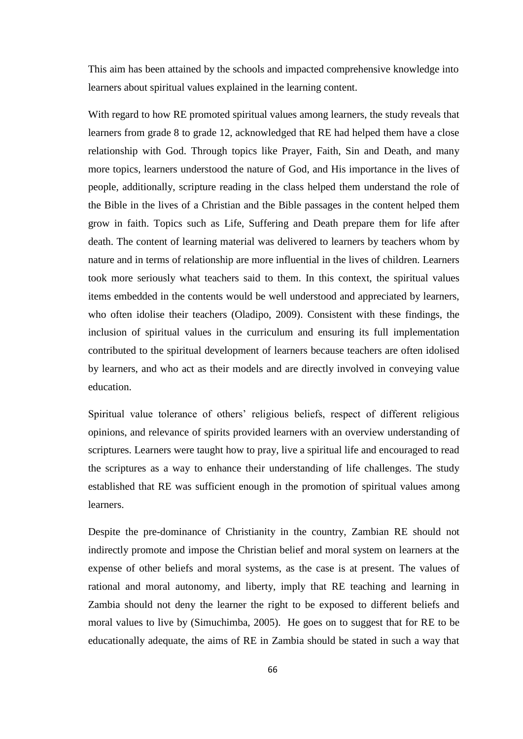This aim has been attained by the schools and impacted comprehensive knowledge into learners about spiritual values explained in the learning content.

With regard to how RE promoted spiritual values among learners, the study reveals that learners from grade 8 to grade 12, acknowledged that RE had helped them have a close relationship with God. Through topics like Prayer, Faith, Sin and Death, and many more topics, learners understood the nature of God, and His importance in the lives of people, additionally, scripture reading in the class helped them understand the role of the Bible in the lives of a Christian and the Bible passages in the content helped them grow in faith. Topics such as Life, Suffering and Death prepare them for life after death. The content of learning material was delivered to learners by teachers whom by nature and in terms of relationship are more influential in the lives of children. Learners took more seriously what teachers said to them. In this context, the spiritual values items embedded in the contents would be well understood and appreciated by learners, who often idolise their teachers (Oladipo, 2009). Consistent with these findings, the inclusion of spiritual values in the curriculum and ensuring its full implementation contributed to the spiritual development of learners because teachers are often idolised by learners, and who act as their models and are directly involved in conveying value education.

Spiritual value tolerance of others' religious beliefs, respect of different religious opinions, and relevance of spirits provided learners with an overview understanding of scriptures. Learners were taught how to pray, live a spiritual life and encouraged to read the scriptures as a way to enhance their understanding of life challenges. The study established that RE was sufficient enough in the promotion of spiritual values among learners.

Despite the pre-dominance of Christianity in the country, Zambian RE should not indirectly promote and impose the Christian belief and moral system on learners at the expense of other beliefs and moral systems, as the case is at present. The values of rational and moral autonomy, and liberty, imply that RE teaching and learning in Zambia should not deny the learner the right to be exposed to different beliefs and moral values to live by (Simuchimba, 2005). He goes on to suggest that for RE to be educationally adequate, the aims of RE in Zambia should be stated in such a way that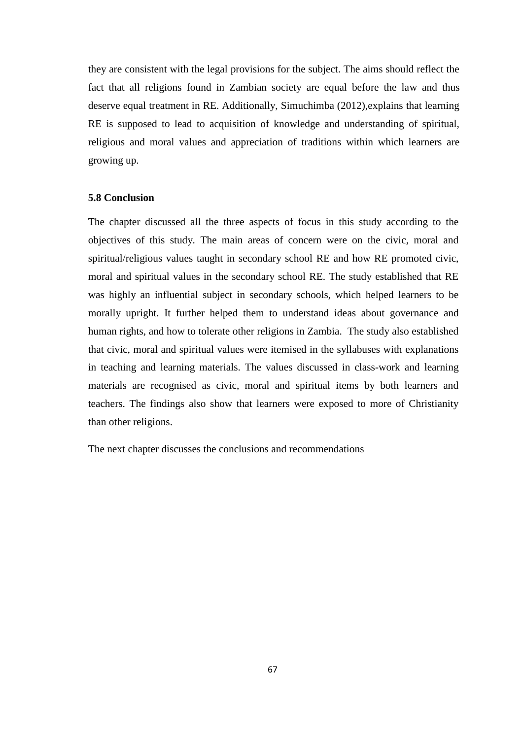they are consistent with the legal provisions for the subject. The aims should reflect the fact that all religions found in Zambian society are equal before the law and thus deserve equal treatment in RE. Additionally, Simuchimba (2012), explains that learning RE is supposed to lead to acquisition of knowledge and understanding of spiritual, religious and moral values and appreciation of traditions within which learners are growing up.

## **5.8 Conclusion**

The chapter discussed all the three aspects of focus in this study according to the objectives of this study. The main areas of concern were on the civic, moral and spiritual/religious values taught in secondary school RE and how RE promoted civic, moral and spiritual values in the secondary school RE. The study established that RE was highly an influential subject in secondary schools, which helped learners to be morally upright. It further helped them to understand ideas about governance and human rights, and how to tolerate other religions in Zambia. The study also established that civic, moral and spiritual values were itemised in the syllabuses with explanations in teaching and learning materials. The values discussed in class-work and learning materials are recognised as civic, moral and spiritual items by both learners and teachers. The findings also show that learners were exposed to more of Christianity than other religions.

The next chapter discusses the conclusions and recommendations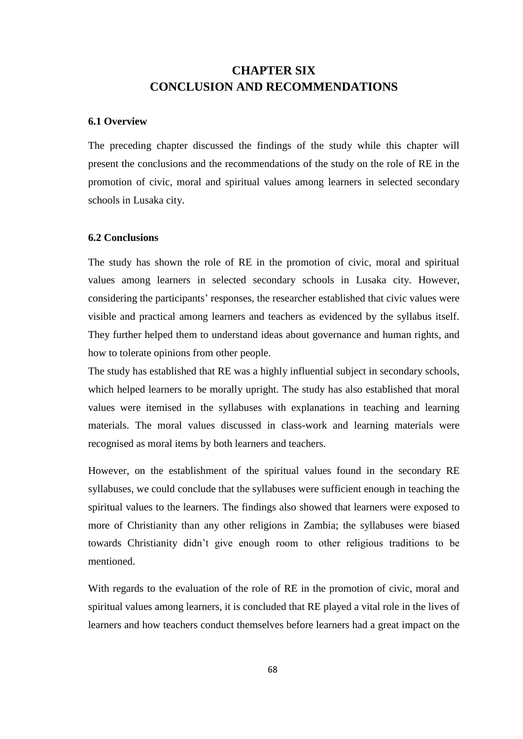# **CHAPTER SIX CONCLUSION AND RECOMMENDATIONS**

### **6.1 Overview**

The preceding chapter discussed the findings of the study while this chapter will present the conclusions and the recommendations of the study on the role of RE in the promotion of civic, moral and spiritual values among learners in selected secondary schools in Lusaka city.

# **6.2 Conclusions**

The study has shown the role of RE in the promotion of civic, moral and spiritual values among learners in selected secondary schools in Lusaka city. However, considering the participants" responses, the researcher established that civic values were visible and practical among learners and teachers as evidenced by the syllabus itself. They further helped them to understand ideas about governance and human rights, and how to tolerate opinions from other people.

The study has established that RE was a highly influential subject in secondary schools, which helped learners to be morally upright. The study has also established that moral values were itemised in the syllabuses with explanations in teaching and learning materials. The moral values discussed in class-work and learning materials were recognised as moral items by both learners and teachers.

However, on the establishment of the spiritual values found in the secondary RE syllabuses, we could conclude that the syllabuses were sufficient enough in teaching the spiritual values to the learners. The findings also showed that learners were exposed to more of Christianity than any other religions in Zambia; the syllabuses were biased towards Christianity didn"t give enough room to other religious traditions to be mentioned.

With regards to the evaluation of the role of RE in the promotion of civic, moral and spiritual values among learners, it is concluded that RE played a vital role in the lives of learners and how teachers conduct themselves before learners had a great impact on the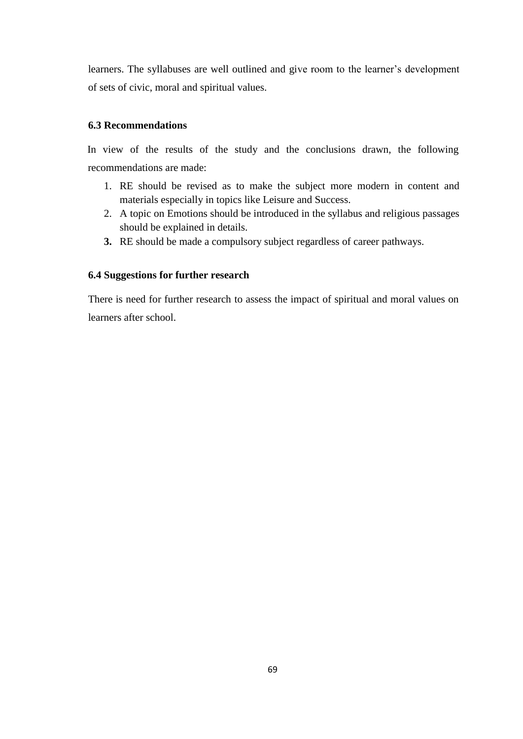learners. The syllabuses are well outlined and give room to the learner's development of sets of civic, moral and spiritual values.

## **6.3 Recommendations**

In view of the results of the study and the conclusions drawn, the following recommendations are made:

- 1. RE should be revised as to make the subject more modern in content and materials especially in topics like Leisure and Success.
- 2. A topic on Emotions should be introduced in the syllabus and religious passages should be explained in details.
- **3.** RE should be made a compulsory subject regardless of career pathways.

# **6.4 Suggestions for further research**

There is need for further research to assess the impact of spiritual and moral values on learners after school.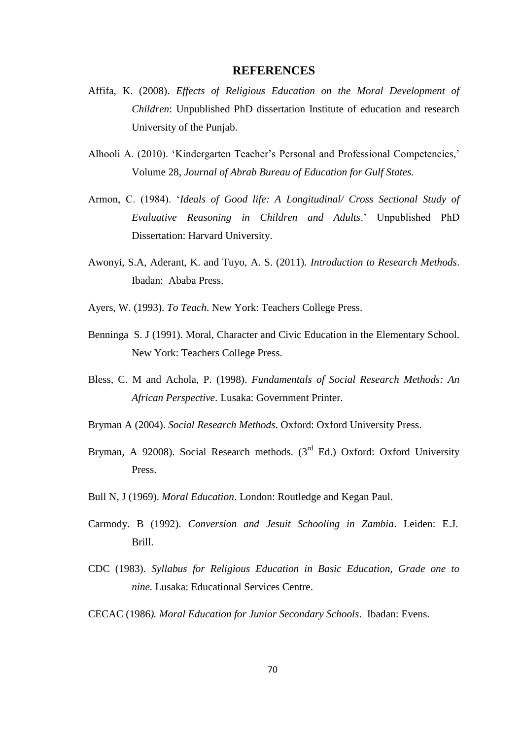#### **REFERENCES**

- Affifa, K. (2008). *Effects of Religious Education on the Moral Development of Children*: Unpublished PhD dissertation Institute of education and research University of the Punjab.
- Alhooli A. (2010). "Kindergarten Teacher"s Personal and Professional Competencies," Volume 28, *Journal of Abrab Bureau of Education for Gulf States.*
- Armon, C. (1984). "*Ideals of Good life: A Longitudinal/ Cross Sectional Study of Evaluative Reasoning in Children and Adults*." Unpublished PhD Dissertation: Harvard University.
- Awonyi, S.A, Aderant, K. and Tuyo, A. S. (2011). *Introduction to Research Methods*. Ibadan: Ababa Press.
- Ayers, W. (1993). *To Teach*. New York: Teachers College Press.
- Benninga S. J (1991). Moral, Character and Civic Education in the Elementary School. New York: Teachers College Press.
- Bless, C. M and Achola, P. (1998). *Fundamentals of Social Research Methods: An African Perspective*. Lusaka: Government Printer.
- Bryman A (2004). *Social Research Methods*. Oxford: Oxford University Press.
- Bryman, A 92008). Social Research methods.  $3<sup>rd</sup>$  Ed.) Oxford: Oxford University Press.
- Bull N, J (1969). *Moral Education*. London: Routledge and Kegan Paul.
- Carmody. B (1992). *Conversion and Jesuit Schooling in Zambia*. Leiden: E.J. Brill.
- CDC (1983). *Syllabus for Religious Education in Basic Education, Grade one to nine.* Lusaka: Educational Services Centre.
- CECAC (1986*). Moral Education for Junior Secondary Schools*. Ibadan: Evens.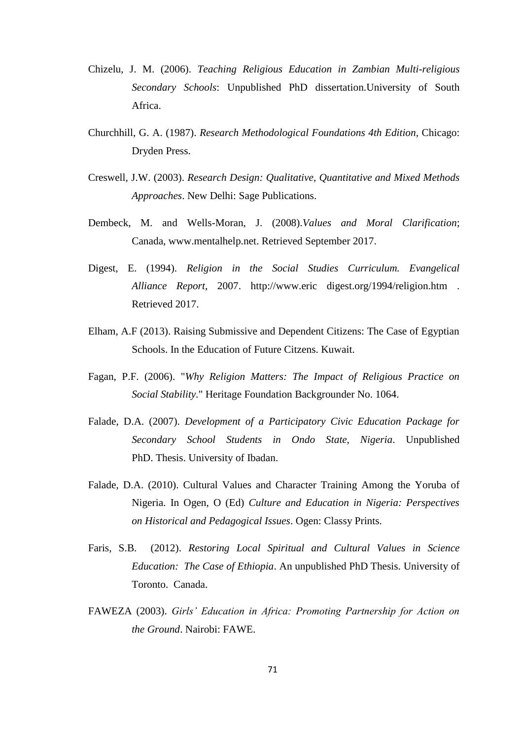- Chizelu, J. M. (2006). *Teaching Religious Education in Zambian Multi-religious Secondary Schools*: Unpublished PhD dissertation.University of South Africa.
- Churchhill, G. A. (1987). *Research Methodological Foundations 4th Edition,* Chicago: Dryden Press.
- Creswell, J.W. (2003). *Research Design: Qualitative, Quantitative and Mixed Methods Approaches*. New Delhi: Sage Publications.
- Dembeck, M. and Wells-Moran, J. (2008).*Values and Moral Clarification*; Canada, www.mentalhelp.net. Retrieved September 2017.
- Digest, E. (1994). *Religion in the Social Studies Curriculum. Evangelical Alliance Report*, 2007. http://www.eric digest.org/1994/religion.htm . Retrieved 2017.
- Elham, A.F (2013). Raising Submissive and Dependent Citizens: The Case of Egyptian Schools. In the Education of Future Citzens. Kuwait.
- Fagan, P.F. (2006). "*Why Religion Matters: The Impact of Religious Practice on Social Stability.*" Heritage Foundation Backgrounder No. 1064.
- Falade, D.A. (2007). *Development of a Participatory Civic Education Package for Secondary School Students in Ondo State, Nigeria*. Unpublished PhD. Thesis. University of Ibadan.
- Falade, D.A. (2010). Cultural Values and Character Training Among the Yoruba of Nigeria. In Ogen, O (Ed) *Culture and Education in Nigeria: Perspectives on Historical and Pedagogical Issues*. Ogen: Classy Prints.
- Faris, S.B. (2012). *Restoring Local Spiritual and Cultural Values in Science Education: The Case of Ethiopia*. An unpublished PhD Thesis. University of Toronto. Canada.
- FAWEZA (2003). *Girls" Education in Africa: Promoting Partnership for Action on the Ground*. Nairobi: FAWE.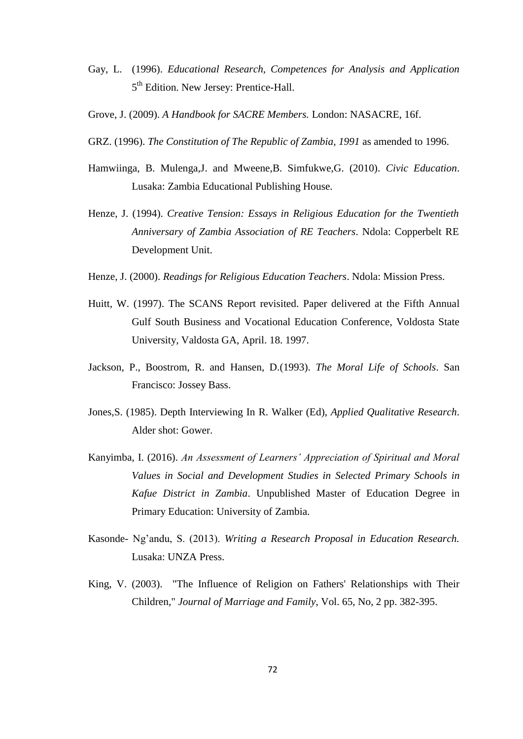- Gay, L. (1996). *Educational Research, Competences for Analysis and Application*  5<sup>th</sup> Edition. New Jersey: Prentice-Hall.
- Grove, J. (2009). *A Handbook for SACRE Members.* London: NASACRE, 16f.
- GRZ. (1996). *The Constitution of The Republic of Zambia, 1991* as amended to 1996.
- Hamwiinga, B. Mulenga,J. and Mweene,B. Simfukwe,G. (2010). *Civic Education*. Lusaka: Zambia Educational Publishing House.
- Henze, J. (1994). *Creative Tension: Essays in Religious Education for the Twentieth Anniversary of Zambia Association of RE Teachers*. Ndola: Copperbelt RE Development Unit.
- Henze, J. (2000). *Readings for Religious Education Teachers*. Ndola: Mission Press.
- Huitt, W. (1997). The SCANS Report revisited. Paper delivered at the Fifth Annual Gulf South Business and Vocational Education Conference, Voldosta State University, Valdosta GA, April. 18. 1997.
- Jackson, P., Boostrom, R. and Hansen, D.(1993). *The Moral Life of Schools*. San Francisco: Jossey Bass.
- Jones,S. (1985). Depth Interviewing In R. Walker (Ed), *Applied Qualitative Research*. Alder shot: Gower.
- Kanyimba, I. (2016). *An Assessment of Learners" Appreciation of Spiritual and Moral Values in Social and Development Studies in Selected Primary Schools in Kafue District in Zambia*. Unpublished Master of Education Degree in Primary Education: University of Zambia.
- Kasonde- Ng"andu, S. (2013). *Writing a Research Proposal in Education Research.* Lusaka: UNZA Press.
- King, V. (2003). "The Influence of Religion on Fathers' Relationships with Their Children," *Journal of Marriage and Family*, Vol. 65, No, 2 pp. 382-395.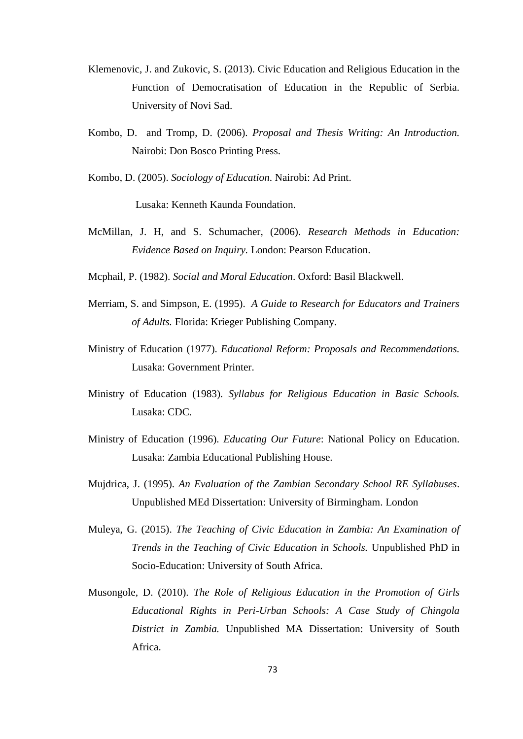- Klemenovic, J. and Zukovic, S. (2013). Civic Education and Religious Education in the Function of Democratisation of Education in the Republic of Serbia. University of Novi Sad.
- Kombo, D. and Tromp, D. (2006). *Proposal and Thesis Writing: An Introduction.*  Nairobi: Don Bosco Printing Press.
- Kombo, D. (2005). *Sociology of Education*. Nairobi: Ad Print.

Lusaka: Kenneth Kaunda Foundation.

- McMillan, J. H, and S. Schumacher, (2006). *Research Methods in Education: Evidence Based on Inquiry.* London: Pearson Education.
- Mcphail, P. (1982). *Social and Moral Education*. Oxford: Basil Blackwell.
- Merriam, S. and Simpson, E. (1995). *A Guide to Research for Educators and Trainers of Adults.* Florida: Krieger Publishing Company.
- Ministry of Education (1977). *Educational Reform: Proposals and Recommendations.* Lusaka: Government Printer.
- Ministry of Education (1983). *Syllabus for Religious Education in Basic Schools.* Lusaka: CDC.
- Ministry of Education (1996). *Educating Our Future*: National Policy on Education. Lusaka: Zambia Educational Publishing House.
- Mujdrica, J. (1995). *An Evaluation of the Zambian Secondary School RE Syllabuses*. Unpublished MEd Dissertation: University of Birmingham. London
- Muleya, G. (2015). *The Teaching of Civic Education in Zambia: An Examination of Trends in the Teaching of Civic Education in Schools.* Unpublished PhD in Socio-Education: University of South Africa.
- Musongole, D. (2010). *The Role of Religious Education in the Promotion of Girls Educational Rights in Peri-Urban Schools: A Case Study of Chingola District in Zambia.* Unpublished MA Dissertation: University of South Africa.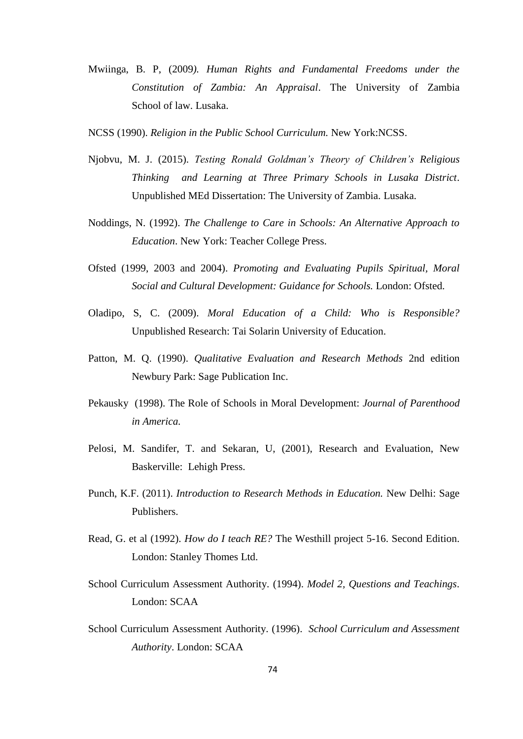- Mwiinga, B. P, (2009*). Human Rights and Fundamental Freedoms under the Constitution of Zambia: An Appraisal*. The University of Zambia School of law. Lusaka.
- NCSS (1990). *Religion in the Public School Curriculum.* New York:NCSS.
- Njobvu, M. J. (2015). *Testing Ronald Goldman"s Theory of Children"s Religious Thinking and Learning at Three Primary Schools in Lusaka District*. Unpublished MEd Dissertation: The University of Zambia. Lusaka.
- Noddings, N. (1992). *The Challenge to Care in Schools: An Alternative Approach to Education*. New York: Teacher College Press.
- Ofsted (1999, 2003 and 2004). *Promoting and Evaluating Pupils Spiritual, Moral Social and Cultural Development: Guidance for Schools.* London: Ofsted.
- Oladipo, S, C. (2009). *Moral Education of a Child: Who is Responsible?* Unpublished Research: Tai Solarin University of Education.
- Patton, M. Q. (1990). *Qualitative Evaluation and Research Methods* 2nd edition Newbury Park: Sage Publication Inc.
- Pekausky (1998). The Role of Schools in Moral Development: *Journal of Parenthood in America.*
- Pelosi, M. Sandifer, T. and Sekaran, U, (2001), Research and Evaluation, New Baskerville: Lehigh Press.
- Punch, K.F. (2011). *Introduction to Research Methods in Education.* New Delhi: Sage Publishers.
- Read, G. et al (1992). *How do I teach RE?* The Westhill project 5-16. Second Edition. London: Stanley Thomes Ltd.
- School Curriculum Assessment Authority. (1994). *Model 2, Questions and Teachings*. London: SCAA
- School Curriculum Assessment Authority. (1996). *School Curriculum and Assessment Authority*. London: SCAA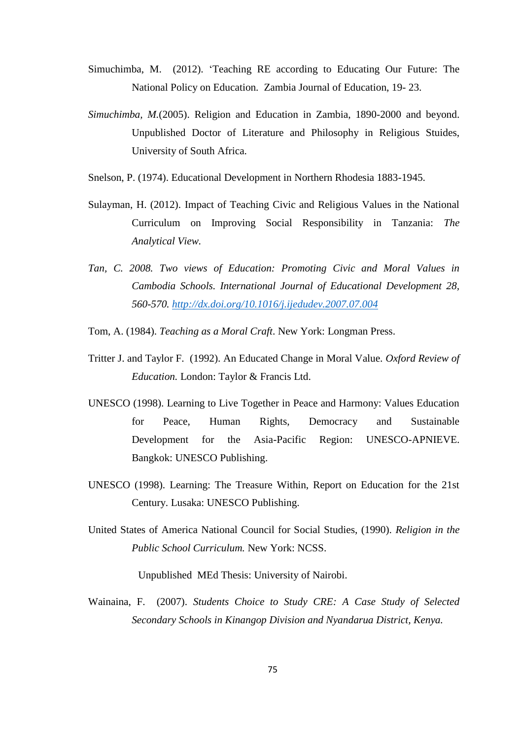- Simuchimba, M. (2012). "Teaching RE according to Educating Our Future: The National Policy on Education*.* Zambia Journal of Education, 19- 23.
- *Simuchimba, M.*(2005). Religion and Education in Zambia, 1890-2000 and beyond. Unpublished Doctor of Literature and Philosophy in Religious Stuides, University of South Africa.
- Snelson, P. (1974). Educational Development in Northern Rhodesia 1883-1945.
- Sulayman, H. (2012). Impact of Teaching Civic and Religious Values in the National Curriculum on Improving Social Responsibility in Tanzania: *The Analytical View.*
- *Tan, C. 2008. Two views of Education: Promoting Civic and Moral Values in Cambodia Schools. International Journal of Educational Development 28, 560-570.<http://dx.doi.org/10.1016/j.ijedudev.2007.07.004>*
- Tom, A. (1984). *Teaching as a Moral Craft*. New York: Longman Press.
- Tritter J. and Taylor F. (1992). An Educated Change in Moral Value*. Oxford Review of Education.* London: Taylor & Francis Ltd.
- UNESCO (1998). Learning to Live Together in Peace and Harmony: Values Education for Peace, Human Rights, Democracy and Sustainable Development for the Asia-Pacific Region: UNESCO-APNIEVE. Bangkok: UNESCO Publishing.
- UNESCO (1998). Learning: The Treasure Within, Report on Education for the 21st Century. Lusaka: UNESCO Publishing.
- United States of America National Council for Social Studies, (1990). *Religion in the Public School Curriculum.* New York: NCSS.

Unpublished MEd Thesis: University of Nairobi.

Wainaina, F. (2007). *Students Choice to Study CRE: A Case Study of Selected Secondary Schools in Kinangop Division and Nyandarua District, Kenya.*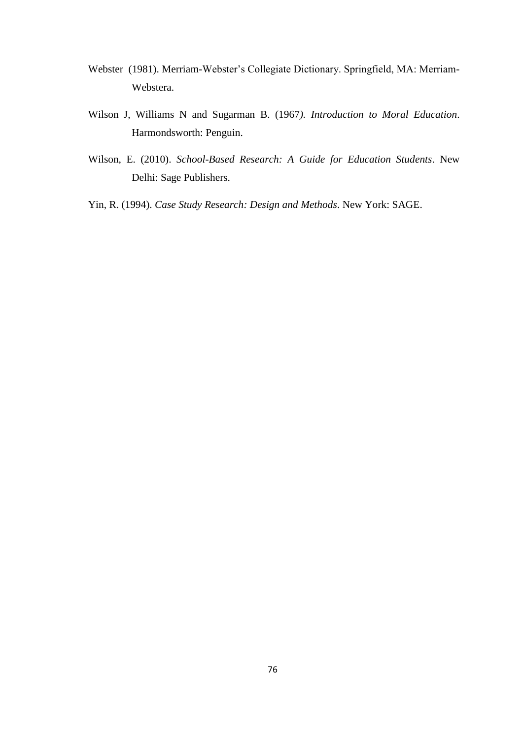- Webster (1981). Merriam-Webster"s Collegiate Dictionary. Springfield, MA: Merriam-Webstera.
- Wilson J, Williams N and Sugarman B. (1967*). Introduction to Moral Education*. Harmondsworth: Penguin.
- Wilson, E. (2010). *School-Based Research: A Guide for Education Students*. New Delhi: Sage Publishers.
- Yin, R. (1994). *Case Study Research: Design and Methods*. New York: SAGE.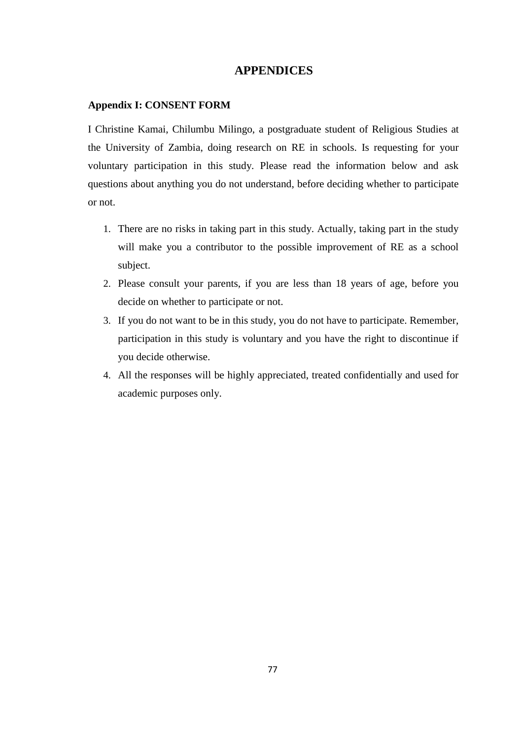# **APPENDICES**

# **Appendix I: CONSENT FORM**

I Christine Kamai, Chilumbu Milingo, a postgraduate student of Religious Studies at the University of Zambia, doing research on RE in schools. Is requesting for your voluntary participation in this study. Please read the information below and ask questions about anything you do not understand, before deciding whether to participate or not.

- 1. There are no risks in taking part in this study. Actually, taking part in the study will make you a contributor to the possible improvement of RE as a school subject.
- 2. Please consult your parents, if you are less than 18 years of age, before you decide on whether to participate or not.
- 3. If you do not want to be in this study, you do not have to participate. Remember, participation in this study is voluntary and you have the right to discontinue if you decide otherwise.
- 4. All the responses will be highly appreciated, treated confidentially and used for academic purposes only.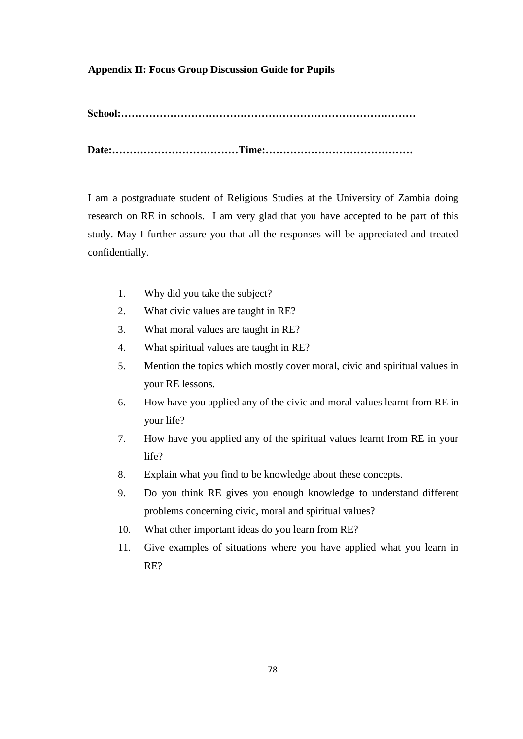# **Appendix II: Focus Group Discussion Guide for Pupils**

**School:…………………………………………………………………………**

**Date:………………………………Time:……………………………………**

I am a postgraduate student of Religious Studies at the University of Zambia doing research on RE in schools. I am very glad that you have accepted to be part of this study. May I further assure you that all the responses will be appreciated and treated confidentially.

- 1. Why did you take the subject?
- 2. What civic values are taught in RE?
- 3. What moral values are taught in RE?
- 4. What spiritual values are taught in RE?
- 5. Mention the topics which mostly cover moral, civic and spiritual values in your RE lessons.
- 6. How have you applied any of the civic and moral values learnt from RE in your life?
- 7. How have you applied any of the spiritual values learnt from RE in your life?
- 8. Explain what you find to be knowledge about these concepts.
- 9. Do you think RE gives you enough knowledge to understand different problems concerning civic, moral and spiritual values?
- 10. What other important ideas do you learn from RE?
- 11. Give examples of situations where you have applied what you learn in RE?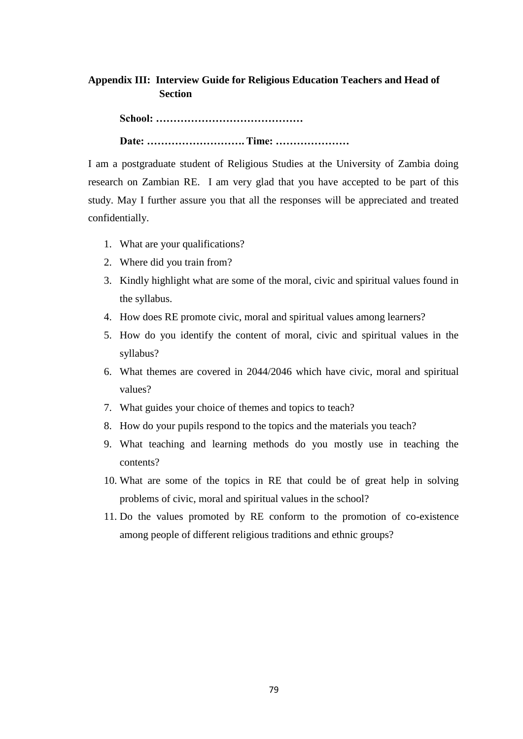# **Appendix III: Interview Guide for Religious Education Teachers and Head of Section**

 **School: …………………………………… Date: ………………………. Time: …………………**

I am a postgraduate student of Religious Studies at the University of Zambia doing research on Zambian RE. I am very glad that you have accepted to be part of this study. May I further assure you that all the responses will be appreciated and treated confidentially.

- 1. What are your qualifications?
- 2. Where did you train from?
- 3. Kindly highlight what are some of the moral, civic and spiritual values found in the syllabus.
- 4. How does RE promote civic, moral and spiritual values among learners?
- 5. How do you identify the content of moral, civic and spiritual values in the syllabus?
- 6. What themes are covered in 2044/2046 which have civic, moral and spiritual values?
- 7. What guides your choice of themes and topics to teach?
- 8. How do your pupils respond to the topics and the materials you teach?
- 9. What teaching and learning methods do you mostly use in teaching the contents?
- 10. What are some of the topics in RE that could be of great help in solving problems of civic, moral and spiritual values in the school?
- 11. Do the values promoted by RE conform to the promotion of co-existence among people of different religious traditions and ethnic groups?